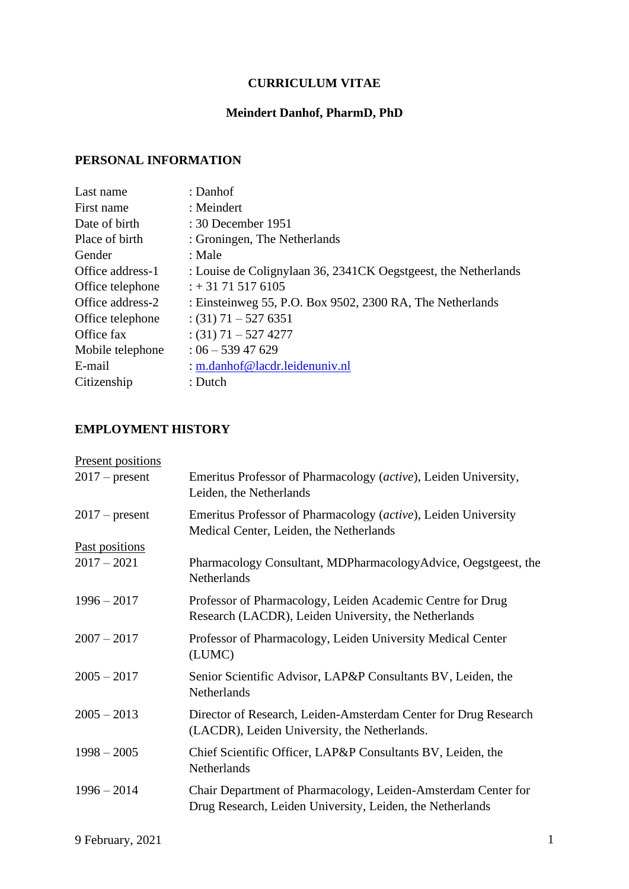# **CURRICULUM VITAE**

## **Meindert Danhof, PharmD, PhD**

## **PERSONAL INFORMATION**

| Last name        | : Danhof                                                       |
|------------------|----------------------------------------------------------------|
| First name       | $:$ Meindert                                                   |
| Date of birth    | $: 30$ December 1951                                           |
| Place of birth   | : Groningen, The Netherlands                                   |
| Gender           | : Male                                                         |
| Office address-1 | : Louise de Colignylaan 36, 2341CK Oegstgeest, the Netherlands |
| Office telephone | $: +31715176105$                                               |
| Office address-2 | : Einsteinweg 55, P.O. Box 9502, 2300 RA, The Netherlands      |
| Office telephone | $(31)$ 71 – 527 6351                                           |
| Office fax       | $(31)$ 71 – 527 4277                                           |
| Mobile telephone | $: 06 - 53947629$                                              |
| E-mail           | : m.danhof@lacdr.leidenuniv.nl                                 |
| Citizenship      | $:$ Dutch                                                      |
|                  |                                                                |

# **EMPLOYMENT HISTORY**

| Emeritus Professor of Pharmacology (active), Leiden University,<br>Leiden, the Netherlands                                 |
|----------------------------------------------------------------------------------------------------------------------------|
| Emeritus Professor of Pharmacology (active), Leiden University<br>Medical Center, Leiden, the Netherlands                  |
| Pharmacology Consultant, MDPharmacologyAdvice, Oegstgeest, the<br><b>Netherlands</b>                                       |
| Professor of Pharmacology, Leiden Academic Centre for Drug<br>Research (LACDR), Leiden University, the Netherlands         |
| Professor of Pharmacology, Leiden University Medical Center<br>(LUMC)                                                      |
| Senior Scientific Advisor, LAP&P Consultants BV, Leiden, the<br>Netherlands                                                |
| Director of Research, Leiden-Amsterdam Center for Drug Research<br>(LACDR), Leiden University, the Netherlands.            |
| Chief Scientific Officer, LAP&P Consultants BV, Leiden, the<br>Netherlands                                                 |
| Chair Department of Pharmacology, Leiden-Amsterdam Center for<br>Drug Research, Leiden University, Leiden, the Netherlands |
|                                                                                                                            |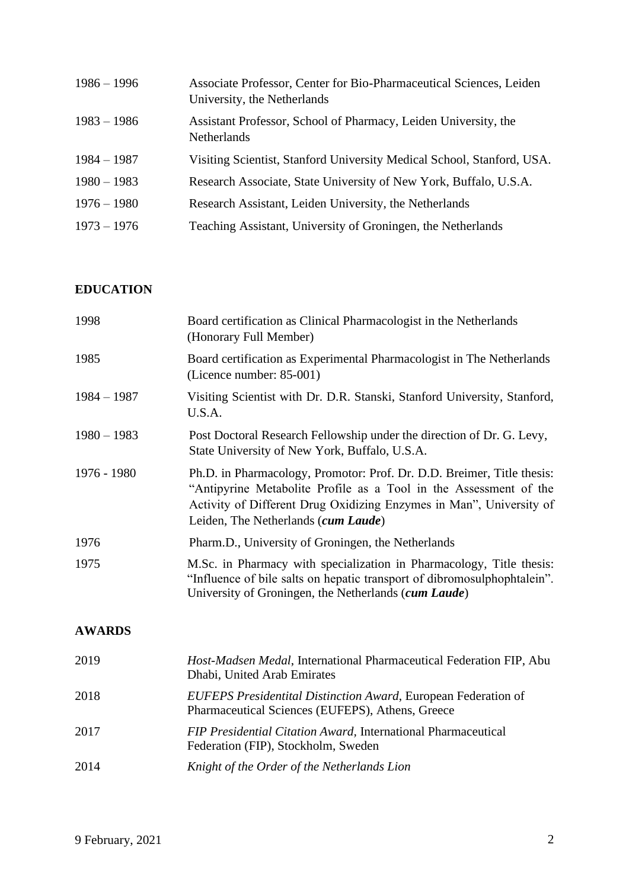| $1986 - 1996$ | Associate Professor, Center for Bio-Pharmaceutical Sciences, Leiden<br>University, the Netherlands |
|---------------|----------------------------------------------------------------------------------------------------|
| $1983 - 1986$ | Assistant Professor, School of Pharmacy, Leiden University, the<br><b>Netherlands</b>              |
| $1984 - 1987$ | Visiting Scientist, Stanford University Medical School, Stanford, USA.                             |
| $1980 - 1983$ | Research Associate, State University of New York, Buffalo, U.S.A.                                  |
| $1976 - 1980$ | Research Assistant, Leiden University, the Netherlands                                             |
| $1973 - 1976$ | Teaching Assistant, University of Groningen, the Netherlands                                       |

### **EDUCATION**

| 1998          | Board certification as Clinical Pharmacologist in the Netherlands<br>(Honorary Full Member)                                                                                                                                                               |
|---------------|-----------------------------------------------------------------------------------------------------------------------------------------------------------------------------------------------------------------------------------------------------------|
| 1985          | Board certification as Experimental Pharmacologist in The Netherlands<br>(Licence number: 85-001)                                                                                                                                                         |
| $1984 - 1987$ | Visiting Scientist with Dr. D.R. Stanski, Stanford University, Stanford,<br>U.S.A.                                                                                                                                                                        |
| $1980 - 1983$ | Post Doctoral Research Fellowship under the direction of Dr. G. Levy,<br>State University of New York, Buffalo, U.S.A.                                                                                                                                    |
| 1976 - 1980   | Ph.D. in Pharmacology, Promotor: Prof. Dr. D.D. Breimer, Title thesis:<br>"Antipyrine Metabolite Profile as a Tool in the Assessment of the<br>Activity of Different Drug Oxidizing Enzymes in Man", University of<br>Leiden, The Netherlands (cum Laude) |
| 1976          | Pharm.D., University of Groningen, the Netherlands                                                                                                                                                                                                        |
| 1975          | M.Sc. in Pharmacy with specialization in Pharmacology, Title thesis:<br>"Influence of bile salts on hepatic transport of dibromosulphophtalein".<br>University of Groningen, the Netherlands (cum Laude)                                                  |
| <b>AWARDS</b> |                                                                                                                                                                                                                                                           |
| 2019          | Host-Madsen Medal, International Pharmaceutical Federation FIP, Abu<br>Dhabi, United Arab Emirates                                                                                                                                                        |
| 2018          | <b>EUFEPS Presidentital Distinction Award, European Federation of</b>                                                                                                                                                                                     |

- Pharmaceutical Sciences (EUFEPS), Athens, Greece
- 2017 *FIP Presidential Citation Award,* International Pharmaceutical Federation (FIP), Stockholm, Sweden
- 2014 *Knight of the Order of the Netherlands Lion*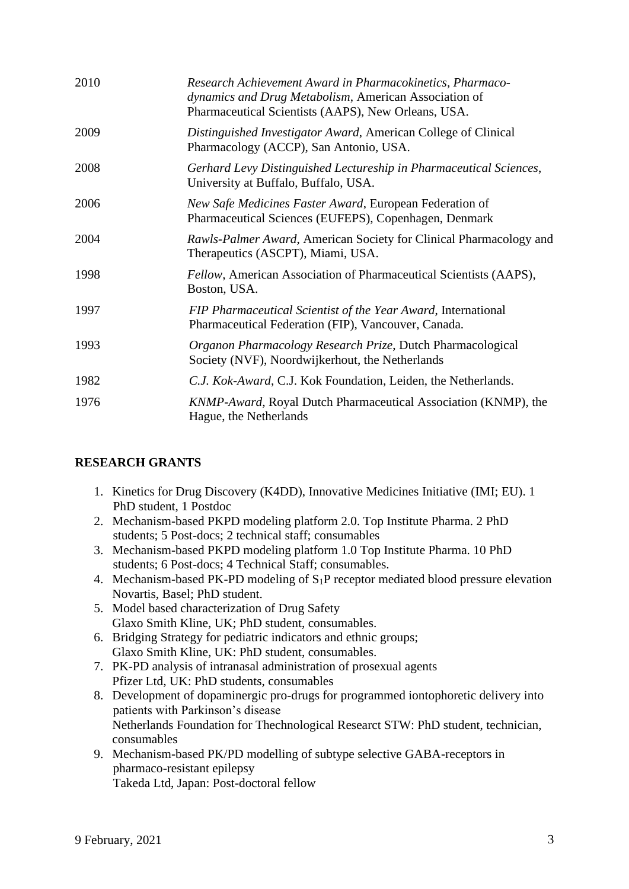| 2010 | Research Achievement Award in Pharmacokinetics, Pharmaco-<br>dynamics and Drug Metabolism, American Association of<br>Pharmaceutical Scientists (AAPS), New Orleans, USA. |
|------|---------------------------------------------------------------------------------------------------------------------------------------------------------------------------|
| 2009 | Distinguished Investigator Award, American College of Clinical<br>Pharmacology (ACCP), San Antonio, USA.                                                                  |
| 2008 | Gerhard Levy Distinguished Lectureship in Pharmaceutical Sciences,<br>University at Buffalo, Buffalo, USA.                                                                |
| 2006 | New Safe Medicines Faster Award, European Federation of<br>Pharmaceutical Sciences (EUFEPS), Copenhagen, Denmark                                                          |
| 2004 | Rawls-Palmer Award, American Society for Clinical Pharmacology and<br>Therapeutics (ASCPT), Miami, USA.                                                                   |
| 1998 | Fellow, American Association of Pharmaceutical Scientists (AAPS),<br>Boston, USA.                                                                                         |
| 1997 | FIP Pharmaceutical Scientist of the Year Award, International<br>Pharmaceutical Federation (FIP), Vancouver, Canada.                                                      |
| 1993 | Organon Pharmacology Research Prize, Dutch Pharmacological<br>Society (NVF), Noordwijkerhout, the Netherlands                                                             |
| 1982 | C.J. Kok-Award, C.J. Kok Foundation, Leiden, the Netherlands.                                                                                                             |
| 1976 | KNMP-Award, Royal Dutch Pharmaceutical Association (KNMP), the<br>Hague, the Netherlands                                                                                  |

## **RESEARCH GRANTS**

- 1. Kinetics for Drug Discovery (K4DD), Innovative Medicines Initiative (IMI; EU). 1 PhD student, 1 Postdoc
- 2. Mechanism-based PKPD modeling platform 2.0. Top Institute Pharma. 2 PhD students; 5 Post-docs; 2 technical staff; consumables
- 3. Mechanism-based PKPD modeling platform 1.0 Top Institute Pharma. 10 PhD students; 6 Post-docs; 4 Technical Staff; consumables.
- 4. Mechanism-based PK-PD modeling of  $S_1P$  receptor mediated blood pressure elevation Novartis, Basel; PhD student.
- 5. Model based characterization of Drug Safety Glaxo Smith Kline, UK; PhD student, consumables.
- 6. Bridging Strategy for pediatric indicators and ethnic groups; Glaxo Smith Kline, UK: PhD student, consumables.
- 7. PK-PD analysis of intranasal administration of prosexual agents Pfizer Ltd, UK: PhD students, consumables
- 8. Development of dopaminergic pro-drugs for programmed iontophoretic delivery into patients with Parkinson's disease Netherlands Foundation for Thechnological Researct STW: PhD student, technician, consumables
- 9. Mechanism-based PK/PD modelling of subtype selective GABA-receptors in pharmaco-resistant epilepsy Takeda Ltd, Japan: Post-doctoral fellow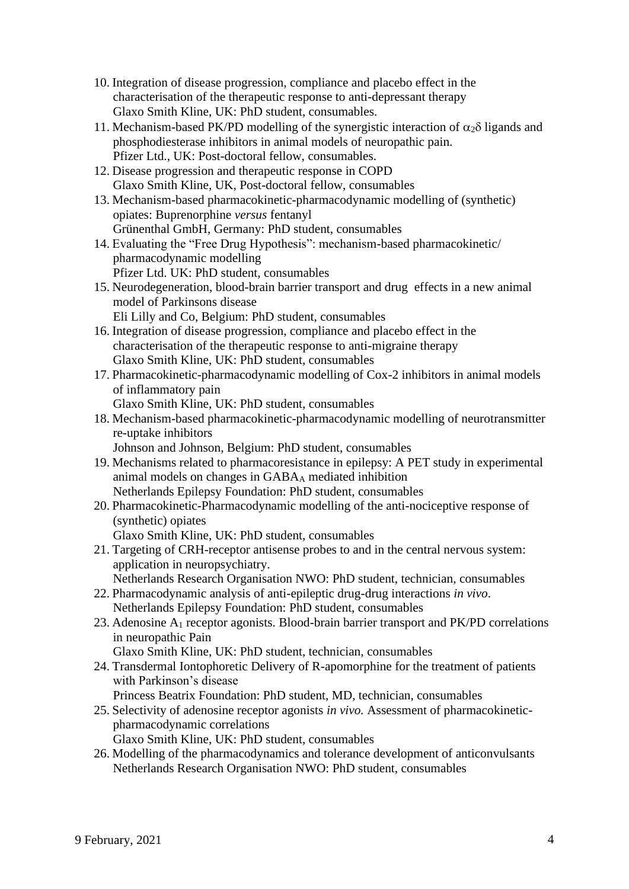- 10. Integration of disease progression, compliance and placebo effect in the characterisation of the therapeutic response to anti-depressant therapy Glaxo Smith Kline, UK: PhD student, consumables.
- 11. Mechanism-based PK/PD modelling of the synergistic interaction of  $\alpha_2\delta$  ligands and phosphodiesterase inhibitors in animal models of neuropathic pain. Pfizer Ltd., UK: Post-doctoral fellow, consumables.
- 12. Disease progression and therapeutic response in COPD Glaxo Smith Kline, UK, Post-doctoral fellow, consumables
- 13. Mechanism-based pharmacokinetic-pharmacodynamic modelling of (synthetic) opiates: Buprenorphine *versus* fentanyl Grünenthal GmbH, Germany: PhD student, consumables
- 14. Evaluating the "Free Drug Hypothesis": mechanism-based pharmacokinetic/ pharmacodynamic modelling Pfizer Ltd. UK: PhD student, consumables
- 15. Neurodegeneration, blood-brain barrier transport and drug effects in a new animal model of Parkinsons disease
	- Eli Lilly and Co, Belgium: PhD student, consumables
- 16. Integration of disease progression, compliance and placebo effect in the characterisation of the therapeutic response to anti-migraine therapy Glaxo Smith Kline, UK: PhD student, consumables
- 17. Pharmacokinetic-pharmacodynamic modelling of Cox-2 inhibitors in animal models of inflammatory pain
	- Glaxo Smith Kline, UK: PhD student, consumables
- 18. Mechanism-based pharmacokinetic-pharmacodynamic modelling of neurotransmitter re-uptake inhibitors

Johnson and Johnson, Belgium: PhD student, consumables

- 19. Mechanisms related to pharmacoresistance in epilepsy: A PET study in experimental animal models on changes in GABA<sup>A</sup> mediated inhibition Netherlands Epilepsy Foundation: PhD student, consumables
- 20. Pharmacokinetic-Pharmacodynamic modelling of the anti-nociceptive response of (synthetic) opiates

Glaxo Smith Kline, UK: PhD student, consumables

21. Targeting of CRH-receptor antisense probes to and in the central nervous system: application in neuropsychiatry.

Netherlands Research Organisation NWO: PhD student, technician, consumables

- 22. Pharmacodynamic analysis of anti-epileptic drug-drug interactions *in vivo*. Netherlands Epilepsy Foundation: PhD student, consumables
- 23. Adenosine A<sup>1</sup> receptor agonists. Blood-brain barrier transport and PK/PD correlations in neuropathic Pain

Glaxo Smith Kline, UK: PhD student, technician, consumables

24. Transdermal Iontophoretic Delivery of R-apomorphine for the treatment of patients with Parkinson's disease

Princess Beatrix Foundation: PhD student, MD, technician, consumables

- 25. Selectivity of adenosine receptor agonists *in vivo.* Assessment of pharmacokineticpharmacodynamic correlations
	- Glaxo Smith Kline, UK: PhD student, consumables
- 26. Modelling of the pharmacodynamics and tolerance development of anticonvulsants Netherlands Research Organisation NWO: PhD student, consumables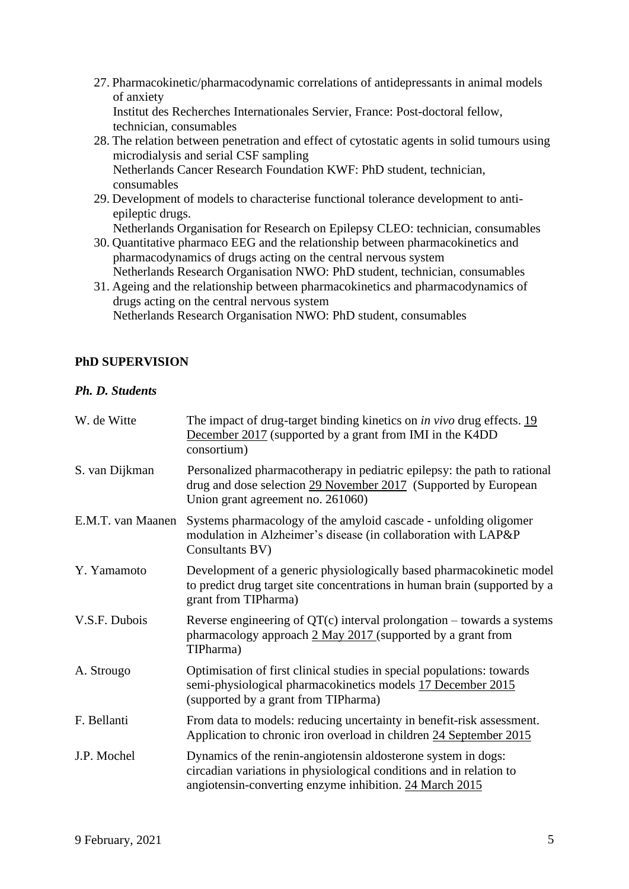- 27. Pharmacokinetic/pharmacodynamic correlations of antidepressants in animal models of anxiety Institut des Recherches Internationales Servier, France: Post-doctoral fellow,
- technician, consumables 28. The relation between penetration and effect of cytostatic agents in solid tumours using microdialysis and serial CSF sampling Netherlands Cancer Research Foundation KWF: PhD student, technician, consumables
- 29. Development of models to characterise functional tolerance development to antiepileptic drugs.
	- Netherlands Organisation for Research on Epilepsy CLEO: technician, consumables
- 30. Quantitative pharmaco EEG and the relationship between pharmacokinetics and pharmacodynamics of drugs acting on the central nervous system Netherlands Research Organisation NWO: PhD student, technician, consumables
- 31. Ageing and the relationship between pharmacokinetics and pharmacodynamics of drugs acting on the central nervous system Netherlands Research Organisation NWO: PhD student, consumables

## **PhD SUPERVISION**

## *Ph. D. Students*

| W. de Witte       | The impact of drug-target binding kinetics on <i>in vivo</i> drug effects. 19<br>December 2017 (supported by a grant from IMI in the K4DD<br>consortium)                                        |
|-------------------|-------------------------------------------------------------------------------------------------------------------------------------------------------------------------------------------------|
| S. van Dijkman    | Personalized pharmacotherapy in pediatric epilepsy: the path to rational<br>drug and dose selection 29 November 2017 (Supported by European<br>Union grant agreement no. 261060)                |
| E.M.T. van Maanen | Systems pharmacology of the amyloid cascade - unfolding oligomer<br>modulation in Alzheimer's disease (in collaboration with LAP&P<br>Consultants BV)                                           |
| Y. Yamamoto       | Development of a generic physiologically based pharmacokinetic model<br>to predict drug target site concentrations in human brain (supported by a<br>grant from TIPharma)                       |
| V.S.F. Dubois     | Reverse engineering of $QT(c)$ interval prolongation – towards a systems<br>pharmacology approach $2$ May $2017$ (supported by a grant from<br>TIPharma)                                        |
| A. Strougo        | Optimisation of first clinical studies in special populations: towards<br>semi-physiological pharmacokinetics models 17 December 2015<br>(supported by a grant from TIPharma)                   |
| F. Bellanti       | From data to models: reducing uncertainty in benefit-risk assessment.<br>Application to chronic iron overload in children 24 September 2015                                                     |
| J.P. Mochel       | Dynamics of the renin-angiotensin aldosterone system in dogs:<br>circadian variations in physiological conditions and in relation to<br>angiotensin-converting enzyme inhibition. 24 March 2015 |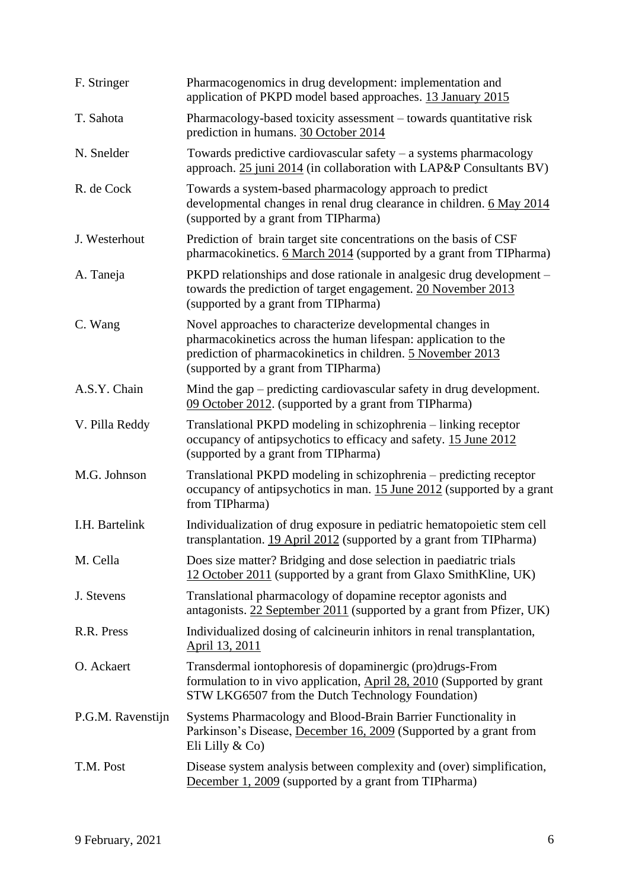| F. Stringer       | Pharmacogenomics in drug development: implementation and<br>application of PKPD model based approaches. 13 January 2015                                                                                                            |
|-------------------|------------------------------------------------------------------------------------------------------------------------------------------------------------------------------------------------------------------------------------|
| T. Sahota         | Pharmacology-based toxicity assessment – towards quantitative risk<br>prediction in humans. 30 October 2014                                                                                                                        |
| N. Snelder        | Towards predictive cardiovascular safety $-$ a systems pharmacology<br>approach. 25 juni 2014 (in collaboration with LAP&P Consultants BV)                                                                                         |
| R. de Cock        | Towards a system-based pharmacology approach to predict<br>developmental changes in renal drug clearance in children. 6 May 2014<br>(supported by a grant from TIPharma)                                                           |
| J. Westerhout     | Prediction of brain target site concentrations on the basis of CSF<br>pharmacokinetics. 6 March 2014 (supported by a grant from TIPharma)                                                                                          |
| A. Taneja         | PKPD relationships and dose rationale in analgesic drug development –<br>towards the prediction of target engagement. 20 November 2013<br>(supported by a grant from TIPharma)                                                     |
| C. Wang           | Novel approaches to characterize developmental changes in<br>pharmacokinetics across the human lifespan: application to the<br>prediction of pharmacokinetics in children. 5 November 2013<br>(supported by a grant from TIPharma) |
| A.S.Y. Chain      | Mind the gap – predicting cardiovascular safety in drug development.<br>09 October 2012. (supported by a grant from TIPharma)                                                                                                      |
| V. Pilla Reddy    | Translational PKPD modeling in schizophrenia - linking receptor<br>occupancy of antipsychotics to efficacy and safety. 15 June 2012<br>(supported by a grant from TIPharma)                                                        |
| M.G. Johnson      | Translational PKPD modeling in schizophrenia - predicting receptor<br>occupancy of antipsychotics in man. 15 June 2012 (supported by a grant<br>from TIPharma)                                                                     |
| I.H. Bartelink    | Individualization of drug exposure in pediatric hematopoietic stem cell<br>transplantation. 19 April 2012 (supported by a grant from TIPharma)                                                                                     |
| M. Cella          | Does size matter? Bridging and dose selection in paediatric trials<br>12 October 2011 (supported by a grant from Glaxo SmithKline, UK)                                                                                             |
| J. Stevens        | Translational pharmacology of dopamine receptor agonists and<br>antagonists. 22 September 2011 (supported by a grant from Pfizer, UK)                                                                                              |
| R.R. Press        | Individualized dosing of calcineurin inhitors in renal transplantation,<br><u>April 13, 2011</u>                                                                                                                                   |
| O. Ackaert        | Transdermal iontophoresis of dopaminergic (pro)drugs-From<br>formulation to in vivo application, April 28, 2010 (Supported by grant<br>STW LKG6507 from the Dutch Technology Foundation)                                           |
| P.G.M. Ravenstijn | Systems Pharmacology and Blood-Brain Barrier Functionality in<br>Parkinson's Disease, December 16, 2009 (Supported by a grant from<br>Eli Lilly $& Co)$                                                                            |
| T.M. Post         | Disease system analysis between complexity and (over) simplification,<br>December 1, 2009 (supported by a grant from TIPharma)                                                                                                     |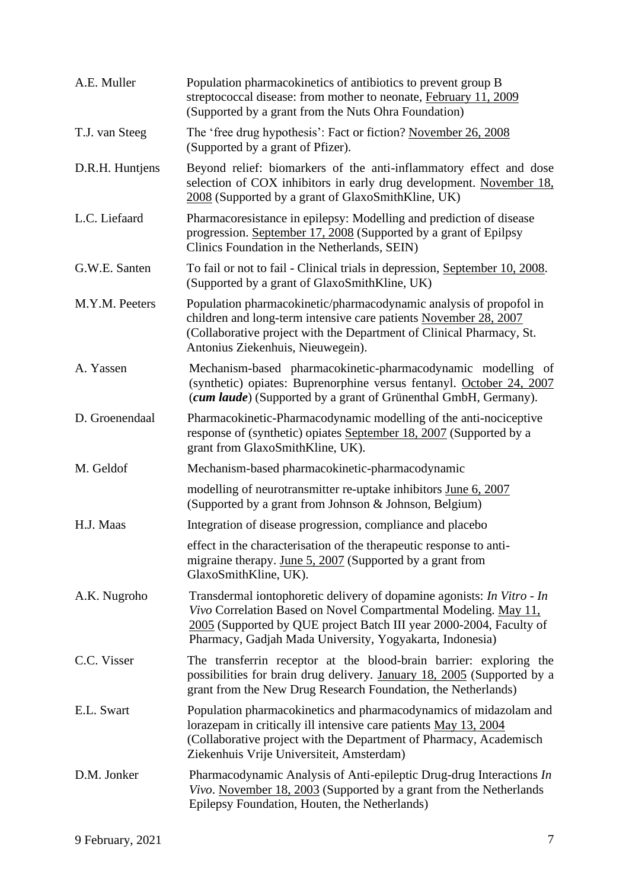| A.E. Muller     | Population pharmacokinetics of antibiotics to prevent group B<br>streptococcal disease: from mother to neonate, February 11, 2009<br>(Supported by a grant from the Nuts Ohra Foundation)                                                                                    |
|-----------------|------------------------------------------------------------------------------------------------------------------------------------------------------------------------------------------------------------------------------------------------------------------------------|
| T.J. van Steeg  | The 'free drug hypothesis': Fact or fiction? November 26, 2008<br>(Supported by a grant of Pfizer).                                                                                                                                                                          |
| D.R.H. Huntjens | Beyond relief: biomarkers of the anti-inflammatory effect and dose<br>selection of COX inhibitors in early drug development. November 18,<br>2008 (Supported by a grant of GlaxoSmithKline, UK)                                                                              |
| L.C. Liefaard   | Pharmacoresistance in epilepsy: Modelling and prediction of disease<br>progression. September 17, 2008 (Supported by a grant of Epilpsy<br>Clinics Foundation in the Netherlands, SEIN)                                                                                      |
| G.W.E. Santen   | To fail or not to fail - Clinical trials in depression, September 10, 2008.<br>(Supported by a grant of GlaxoSmithKline, UK)                                                                                                                                                 |
| M.Y.M. Peeters  | Population pharmacokinetic/pharmacodynamic analysis of propofol in<br>children and long-term intensive care patients November 28, 2007<br>(Collaborative project with the Department of Clinical Pharmacy, St.<br>Antonius Ziekenhuis, Nieuwegein).                          |
| A. Yassen       | Mechanism-based pharmacokinetic-pharmacodynamic modelling of<br>(synthetic) opiates: Buprenorphine versus fentanyl. October 24, 2007<br>(cum laude) (Supported by a grant of Grünenthal GmbH, Germany).                                                                      |
| D. Groenendaal  | Pharmacokinetic-Pharmacodynamic modelling of the anti-nociceptive<br>response of (synthetic) opiates September 18, 2007 (Supported by a<br>grant from GlaxoSmithKline, UK).                                                                                                  |
| M. Geldof       | Mechanism-based pharmacokinetic-pharmacodynamic                                                                                                                                                                                                                              |
|                 | modelling of neurotransmitter re-uptake inhibitors June 6, 2007<br>(Supported by a grant from Johnson & Johnson, Belgium)                                                                                                                                                    |
| H.J. Maas       | Integration of disease progression, compliance and placebo                                                                                                                                                                                                                   |
|                 | effect in the characterisation of the therapeutic response to anti-<br>migraine therapy. June $5, 2007$ (Supported by a grant from<br>GlaxoSmithKline, UK).                                                                                                                  |
| A.K. Nugroho    | Transdermal iontophoretic delivery of dopamine agonists: In Vitro - In<br>Vivo Correlation Based on Novel Compartmental Modeling. May 11,<br>2005 (Supported by QUE project Batch III year 2000-2004, Faculty of<br>Pharmacy, Gadjah Mada University, Yogyakarta, Indonesia) |
| C.C. Visser     | The transferrin receptor at the blood-brain barrier: exploring the<br>possibilities for brain drug delivery. January 18, 2005 (Supported by a<br>grant from the New Drug Research Foundation, the Netherlands)                                                               |
| E.L. Swart      | Population pharmacokinetics and pharmacodynamics of midazolam and<br>lorazepam in critically ill intensive care patients May 13, 2004<br>(Collaborative project with the Department of Pharmacy, Academisch<br>Ziekenhuis Vrije Universiteit, Amsterdam)                     |
| D.M. Jonker     | Pharmacodynamic Analysis of Anti-epileptic Drug-drug Interactions In<br>Vivo. November 18, 2003 (Supported by a grant from the Netherlands<br>Epilepsy Foundation, Houten, the Netherlands)                                                                                  |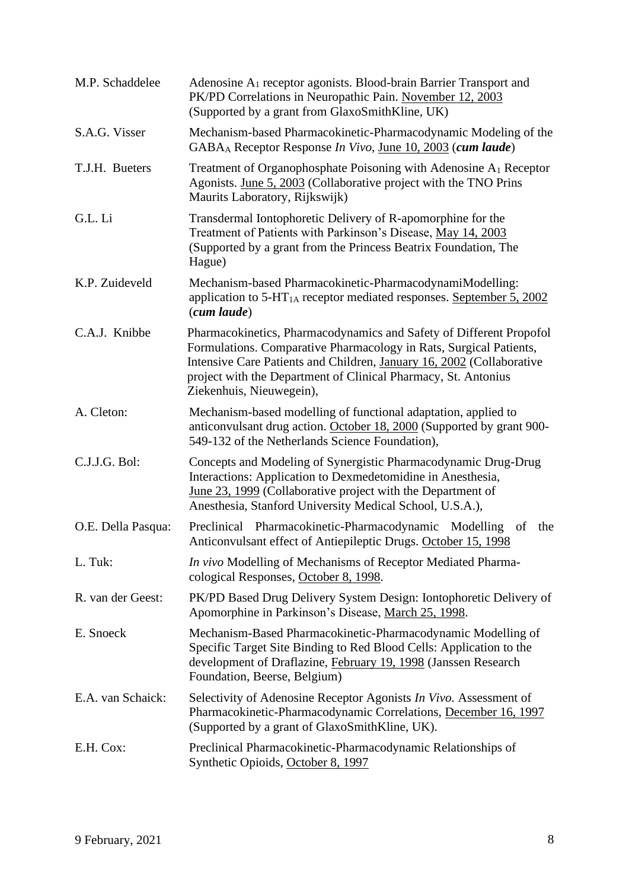| M.P. Schaddelee    | Adenosine A <sub>1</sub> receptor agonists. Blood-brain Barrier Transport and<br>PK/PD Correlations in Neuropathic Pain. November 12, 2003<br>(Supported by a grant from GlaxoSmithKline, UK)                                                                                                                    |
|--------------------|------------------------------------------------------------------------------------------------------------------------------------------------------------------------------------------------------------------------------------------------------------------------------------------------------------------|
| S.A.G. Visser      | Mechanism-based Pharmacokinetic-Pharmacodynamic Modeling of the<br>GABA <sub>A</sub> Receptor Response <i>In Vivo</i> , <u>June 10, 2003</u> (cum laude)                                                                                                                                                         |
| T.J.H. Bueters     | Treatment of Organophosphate Poisoning with Adenosine A <sub>1</sub> Receptor<br>Agonists. June 5, 2003 (Collaborative project with the TNO Prins<br>Maurits Laboratory, Rijkswijk)                                                                                                                              |
| G.L. Li            | Transdermal Iontophoretic Delivery of R-apomorphine for the<br>Treatment of Patients with Parkinson's Disease, May 14, 2003<br>(Supported by a grant from the Princess Beatrix Foundation, The<br>Hague)                                                                                                         |
| K.P. Zuideveld     | Mechanism-based Pharmacokinetic-PharmacodynamiModelling:<br>application to 5-HT <sub>1A</sub> receptor mediated responses. September 5, 2002<br>$(cum \; laude)$                                                                                                                                                 |
| C.A.J. Knibbe      | Pharmacokinetics, Pharmacodynamics and Safety of Different Propofol<br>Formulations. Comparative Pharmacology in Rats, Surgical Patients,<br>Intensive Care Patients and Children, January 16, 2002 (Collaborative<br>project with the Department of Clinical Pharmacy, St. Antonius<br>Ziekenhuis, Nieuwegein), |
| A. Cleton:         | Mechanism-based modelling of functional adaptation, applied to<br>anticonvulsant drug action. October 18, 2000 (Supported by grant 900-<br>549-132 of the Netherlands Science Foundation),                                                                                                                       |
| C.J.J.G. Bol:      | Concepts and Modeling of Synergistic Pharmacodynamic Drug-Drug<br>Interactions: Application to Dexmedetomidine in Anesthesia,<br>June 23, 1999 (Collaborative project with the Department of<br>Anesthesia, Stanford University Medical School, U.S.A.),                                                         |
| O.E. Della Pasqua: | Preclinical Pharmacokinetic-Pharmacodynamic Modelling of<br>the<br>Anticonvulsant effect of Antiepileptic Drugs. October 15, 1998                                                                                                                                                                                |
| L. Tuk:            | <i>In vivo</i> Modelling of Mechanisms of Receptor Mediated Pharma-<br>cological Responses, October 8, 1998.                                                                                                                                                                                                     |
| R. van der Geest:  | PK/PD Based Drug Delivery System Design: Iontophoretic Delivery of<br>Apomorphine in Parkinson's Disease, March 25, 1998.                                                                                                                                                                                        |
| E. Snoeck          | Mechanism-Based Pharmacokinetic-Pharmacodynamic Modelling of<br>Specific Target Site Binding to Red Blood Cells: Application to the<br>development of Draflazine, February 19, 1998 (Janssen Research<br>Foundation, Beerse, Belgium)                                                                            |
| E.A. van Schaick:  | Selectivity of Adenosine Receptor Agonists <i>In Vivo</i> . Assessment of<br>Pharmacokinetic-Pharmacodynamic Correlations, December 16, 1997<br>(Supported by a grant of GlaxoSmithKline, UK).                                                                                                                   |
| E.H. Cox:          | Preclinical Pharmacokinetic-Pharmacodynamic Relationships of<br>Synthetic Opioids, October 8, 1997                                                                                                                                                                                                               |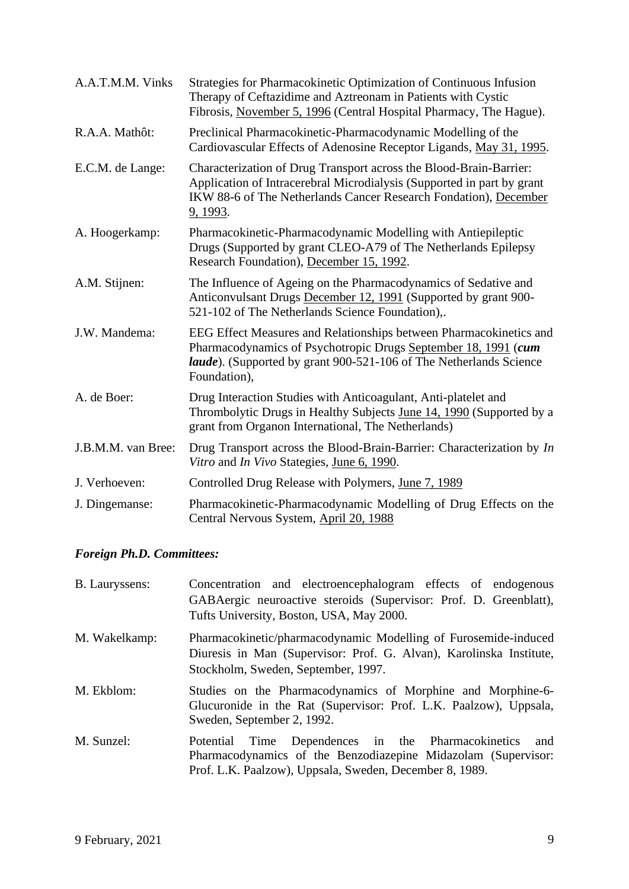| A.A.T.M.M. Vinks   | Strategies for Pharmacokinetic Optimization of Continuous Infusion<br>Therapy of Ceftazidime and Aztreonam in Patients with Cystic<br>Fibrosis, November 5, 1996 (Central Hospital Pharmacy, The Hague).                           |
|--------------------|------------------------------------------------------------------------------------------------------------------------------------------------------------------------------------------------------------------------------------|
| R.A.A. Mathôt:     | Preclinical Pharmacokinetic-Pharmacodynamic Modelling of the<br>Cardiovascular Effects of Adenosine Receptor Ligands, May 31, 1995.                                                                                                |
| E.C.M. de Lange:   | Characterization of Drug Transport across the Blood-Brain-Barrier:<br>Application of Intracerebral Microdialysis (Supported in part by grant<br>IKW 88-6 of The Netherlands Cancer Research Fondation), December<br>9, 1993.       |
| A. Hoogerkamp:     | Pharmacokinetic-Pharmacodynamic Modelling with Antiepileptic<br>Drugs (Supported by grant CLEO-A79 of The Netherlands Epilepsy<br>Research Foundation), December 15, 1992.                                                         |
| A.M. Stijnen:      | The Influence of Ageing on the Pharmacodynamics of Sedative and<br>Anticonvulsant Drugs December 12, 1991 (Supported by grant 900-<br>521-102 of The Netherlands Science Foundation),.                                             |
| J.W. Mandema:      | EEG Effect Measures and Relationships between Pharmacokinetics and<br>Pharmacodynamics of Psychotropic Drugs September 18, 1991 (cum<br><i>laude</i> ). (Supported by grant 900-521-106 of The Netherlands Science<br>Foundation), |
| A. de Boer:        | Drug Interaction Studies with Anticoagulant, Anti-platelet and<br>Thrombolytic Drugs in Healthy Subjects June 14, 1990 (Supported by a<br>grant from Organon International, The Netherlands)                                       |
| J.B.M.M. van Bree: | Drug Transport across the Blood-Brain-Barrier: Characterization by In<br>Vitro and In Vivo Stategies, June 6, 1990.                                                                                                                |
| J. Verhoeven:      | Controlled Drug Release with Polymers, June 7, 1989                                                                                                                                                                                |
| J. Dingemanse:     | Pharmacokinetic-Pharmacodynamic Modelling of Drug Effects on the<br>Central Nervous System, April 20, 1988                                                                                                                         |

# *Foreign Ph.D. Committees:*

| <b>B.</b> Lauryssens: | Concentration and electroencephalogram effects of endogenous<br>GABAergic neuroactive steroids (Supervisor: Prof. D. Greenblatt),<br>Tufts University, Boston, USA, May 2000.            |
|-----------------------|------------------------------------------------------------------------------------------------------------------------------------------------------------------------------------------|
| M. Wakelkamp:         | Pharmacokinetic/pharmacodynamic Modelling of Furosemide-induced<br>Diuresis in Man (Supervisor: Prof. G. Alvan), Karolinska Institute,<br>Stockholm, Sweden, September, 1997.            |
| M. Ekblom:            | Studies on the Pharmacodynamics of Morphine and Morphine-6-<br>Glucuronide in the Rat (Supervisor: Prof. L.K. Paalzow), Uppsala,<br>Sweden, September 2, 1992.                           |
| M. Sunzel:            | Time Dependences in the Pharmacokinetics<br>and<br>Potential<br>Pharmacodynamics of the Benzodiazepine Midazolam (Supervisor:<br>Prof. L.K. Paalzow), Uppsala, Sweden, December 8, 1989. |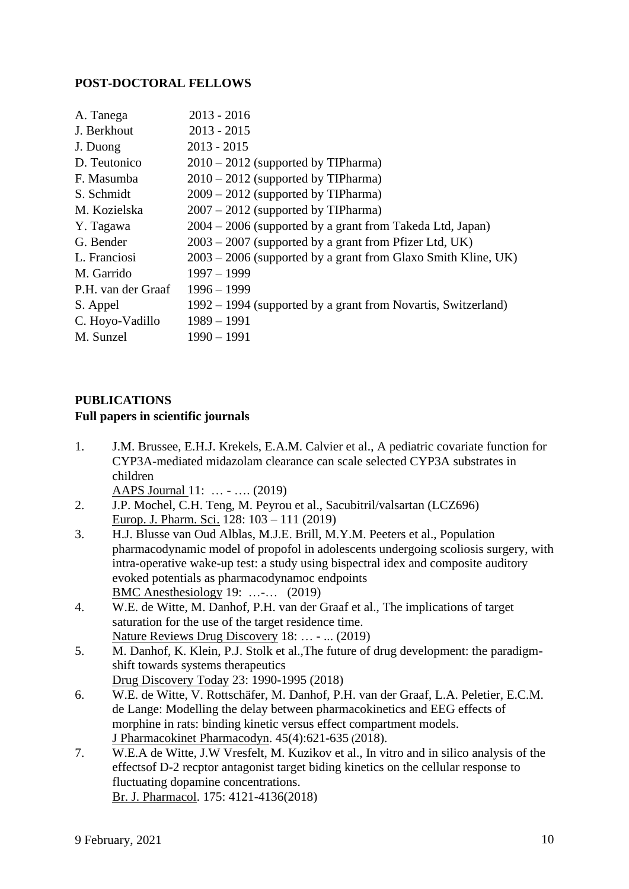## **POST-DOCTORAL FELLOWS**

| A. Tanega          | $2013 - 2016$                                                   |
|--------------------|-----------------------------------------------------------------|
| J. Berkhout        | $2013 - 2015$                                                   |
| J. Duong           | $2013 - 2015$                                                   |
| D. Teutonico       | $2010 - 2012$ (supported by TIPharma)                           |
| F. Masumba         | $2010 - 2012$ (supported by TIPharma)                           |
| S. Schmidt         | $2009 - 2012$ (supported by TIPharma)                           |
| M. Kozielska       | $2007 - 2012$ (supported by TIPharma)                           |
| Y. Tagawa          | 2004 – 2006 (supported by a grant from Takeda Ltd, Japan)       |
| G. Bender          | $2003 - 2007$ (supported by a grant from Pfizer Ltd, UK)        |
| L. Franciosi       | $2003 - 2006$ (supported by a grant from Glaxo Smith Kline, UK) |
| M. Garrido         | $1997 - 1999$                                                   |
| P.H. van der Graaf | $1996 - 1999$                                                   |
| S. Appel           | 1992 – 1994 (supported by a grant from Novartis, Switzerland)   |
| C. Hoyo-Vadillo    | $1989 - 1991$                                                   |
| M. Sunzel          | $1990 - 1991$                                                   |
|                    |                                                                 |

## **PUBLICATIONS**

#### **Full papers in scientific journals**

1. J.M. Brussee, E.H.J. Krekels, E.A.M. Calvier et al., A pediatric covariate function for CYP3A-mediated midazolam clearance can scale selected CYP3A substrates in children

AAPS Journal 11: … - …. (2019)

- 2. J.P. Mochel, C.H. Teng, M. Peyrou et al., Sacubitril/valsartan (LCZ696) Europ. J. Pharm. Sci. 128: 103 – 111 (2019)
- 3. H.J. Blusse van Oud Alblas, M.J.E. Brill, M.Y.M. Peeters et al., Population pharmacodynamic model of propofol in adolescents undergoing scoliosis surgery, with intra-operative wake-up test: a study using bispectral idex and composite auditory evoked potentials as pharmacodynamoc endpoints BMC Anesthesiology 19: …-… (2019)
- 4. W.E. de Witte, M. Danhof, P.H. van der Graaf et al., The implications of target saturation for the use of the target residence time. Nature Reviews Drug Discovery 18: … - ... (2019)
- 5. M. Danhof, K. Klein, P.J. Stolk et al.,The future of drug development: the paradigmshift towards systems therapeutics Drug Discovery Today 23: 1990-1995 (2018)
- 6. W.E. de Witte, V. Rottschäfer, M. Danhof, P.H. van der Graaf, L.A. Peletier, E.C.M. de Lange: Modelling the delay between pharmacokinetics and EEG effects of morphine in rats: binding kinetic versus effect compartment models. J Pharmacokinet Pharmacodyn. 45(4):621-635 (2018).
- 7. W.E.A de Witte, J.W Vresfelt, M. Kuzikov et al., In vitro and in silico analysis of the effectsof D-2 recptor antagonist target biding kinetics on the cellular response to fluctuating dopamine concentrations. Br. J. Pharmacol. 175: 4121-4136(2018)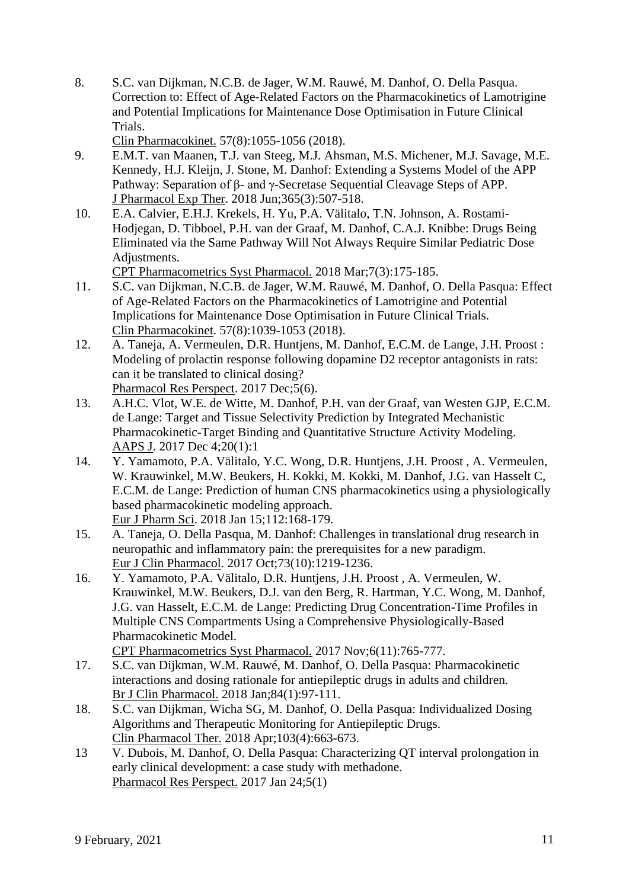8. S.C. van Dijkman, N.C.B. de Jager, W.M. Rauwé, M. Danhof, O. Della Pasqua. Correction to: Effect of Age-Related Factors on the Pharmacokinetics of Lamotrigine and Potential Implications for Maintenance Dose Optimisation in Future Clinical Trials.

Clin Pharmacokinet. 57(8):1055-1056 (2018).

- 9. E.M.T. van Maanen, T.J. van Steeg, M.J. Ahsman, M.S. Michener, M.J. Savage, M.E. Kennedy, H.J. Kleijn, J. Stone, M. Danhof: Extending a Systems Model of the APP Pathway: Separation of β- and γ-Secretase Sequential Cleavage Steps of APP. J Pharmacol Exp Ther. 2018 Jun;365(3):507-518.
- 10. E.A. Calvier, E.H.J. Krekels, H. Yu, P.A. Välitalo, T.N. Johnson, A. Rostami-Hodjegan, D. Tibboel, P.H. van der Graaf, M. Danhof, C.A.J. Knibbe: Drugs Being Eliminated via the Same Pathway Will Not Always Require Similar Pediatric Dose Adjustments.

CPT Pharmacometrics Syst Pharmacol. 2018 Mar;7(3):175-185.

- 11. S.C. van Dijkman, N.C.B. de Jager, W.M. Rauwé, M. Danhof, O. Della Pasqua: Effect of Age-Related Factors on the Pharmacokinetics of Lamotrigine and Potential Implications for Maintenance Dose Optimisation in Future Clinical Trials. Clin Pharmacokinet. 57(8):1039-1053 (2018).
- 12. A. Taneja, A. Vermeulen, D.R. Huntjens, M. Danhof, E.C.M. de Lange, J.H. Proost : Modeling of prolactin response following dopamine D2 receptor antagonists in rats: can it be translated to clinical dosing? Pharmacol Res Perspect. 2017 Dec;5(6).
- 13. A.H.C. Vlot, W.E. de Witte, M. Danhof, P.H. van der Graaf, van Westen GJP, E.C.M. de Lange: Target and Tissue Selectivity Prediction by Integrated Mechanistic Pharmacokinetic-Target Binding and Quantitative Structure Activity Modeling. AAPS J. 2017 Dec 4;20(1):1
- 14. Y. Yamamoto, P.A. Välitalo, Y.C. Wong, D.R. Huntjens, J.H. Proost , A. Vermeulen, W. Krauwinkel, M.W. Beukers, H. Kokki, M. Kokki, M. Danhof, J.G. van Hasselt C, E.C.M. de Lange: Prediction of human CNS pharmacokinetics using a physiologically based pharmacokinetic modeling approach. Eur J Pharm Sci. 2018 Jan 15;112:168-179.
- 15. A. Taneja, O. Della Pasqua, M. Danhof: Challenges in translational drug research in neuropathic and inflammatory pain: the prerequisites for a new paradigm. Eur J Clin Pharmacol. 2017 Oct;73(10):1219-1236.
- 16. Y. Yamamoto, P.A. Välitalo, D.R. Huntjens, J.H. Proost , A. Vermeulen, W. Krauwinkel, M.W. Beukers, D.J. van den Berg, R. Hartman, Y.C. Wong, M. Danhof, J.G. van Hasselt, E.C.M. de Lange: Predicting Drug Concentration-Time Profiles in Multiple CNS Compartments Using a Comprehensive Physiologically-Based Pharmacokinetic Model.

CPT Pharmacometrics Syst Pharmacol. 2017 Nov;6(11):765-777.

- 17. S.C. van Dijkman, W.M. Rauwé, M. Danhof, O. Della Pasqua: Pharmacokinetic interactions and dosing rationale for antiepileptic drugs in adults and children. Br J Clin Pharmacol. 2018 Jan;84(1):97-111.
- 18. S.C. van Dijkman, Wicha SG, M. Danhof, O. Della Pasqua: Individualized Dosing Algorithms and Therapeutic Monitoring for Antiepileptic Drugs. Clin Pharmacol Ther. 2018 Apr;103(4):663-673.
- 13 V. Dubois, M. Danhof, O. Della Pasqua: Characterizing QT interval prolongation in early clinical development: a case study with methadone. Pharmacol Res Perspect. 2017 Jan 24;5(1)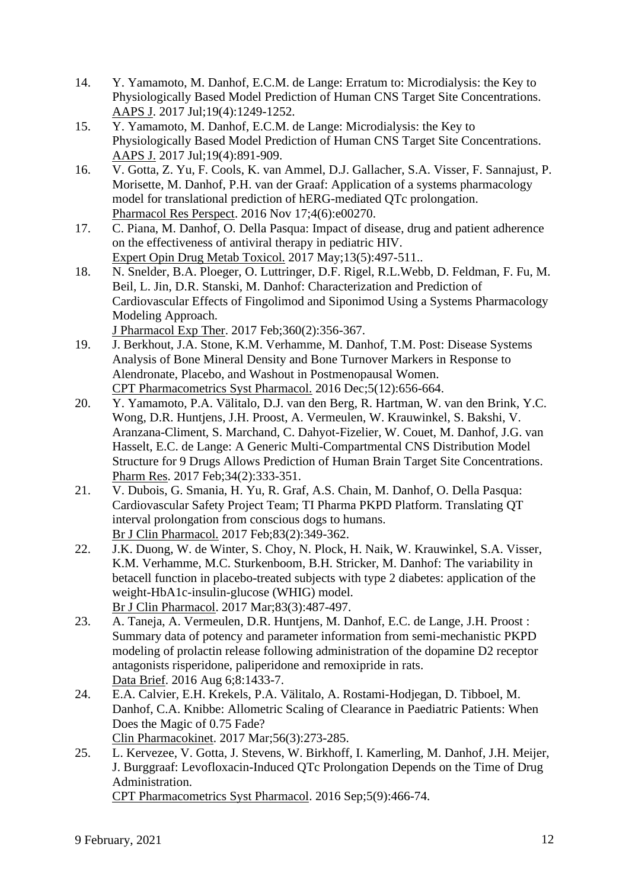- 14. Y. Yamamoto, M. Danhof, E.C.M. de Lange: Erratum to: Microdialysis: the Key to Physiologically Based Model Prediction of Human CNS Target Site Concentrations. AAPS J. 2017 Jul;19(4):1249-1252.
- 15. Y. Yamamoto, M. Danhof, E.C.M. de Lange: Microdialysis: the Key to Physiologically Based Model Prediction of Human CNS Target Site Concentrations. AAPS J. 2017 Jul;19(4):891-909.
- 16. V. Gotta, Z. Yu, F. Cools, K. van Ammel, D.J. Gallacher, S.A. Visser, F. Sannajust, P. Morisette, M. Danhof, P.H. van der Graaf: Application of a systems pharmacology model for translational prediction of hERG-mediated QTc prolongation. Pharmacol Res Perspect. 2016 Nov 17;4(6):e00270.
- 17. C. Piana, M. Danhof, O. Della Pasqua: Impact of disease, drug and patient adherence on the effectiveness of antiviral therapy in pediatric HIV. Expert Opin Drug Metab Toxicol. 2017 May;13(5):497-511..
- 18. N. Snelder, B.A. Ploeger, O. Luttringer, D.F. Rigel, R.L.Webb, D. Feldman, F. Fu, M. Beil, L. Jin, D.R. Stanski, M. Danhof: Characterization and Prediction of Cardiovascular Effects of Fingolimod and Siponimod Using a Systems Pharmacology Modeling Approach.

J Pharmacol Exp Ther. 2017 Feb;360(2):356-367.

- 19. J. Berkhout, J.A. Stone, K.M. Verhamme, M. Danhof, T.M. Post: Disease Systems Analysis of Bone Mineral Density and Bone Turnover Markers in Response to Alendronate, Placebo, and Washout in Postmenopausal Women. CPT Pharmacometrics Syst Pharmacol. 2016 Dec;5(12):656-664.
- 20. Y. Yamamoto, P.A. Välitalo, D.J. van den Berg, R. Hartman, W. van den Brink, Y.C. Wong, D.R. Huntjens, J.H. Proost, A. Vermeulen, W. Krauwinkel, S. Bakshi, V. Aranzana-Climent, S. Marchand, C. Dahyot-Fizelier, W. Couet, M. Danhof, J.G. van Hasselt, E.C. de Lange: A Generic Multi-Compartmental CNS Distribution Model Structure for 9 Drugs Allows Prediction of Human Brain Target Site Concentrations. Pharm Res. 2017 Feb;34(2):333-351.
- 21. V. Dubois, G. Smania, H. Yu, R. Graf, A.S. Chain, M. Danhof, O. Della Pasqua: Cardiovascular Safety Project Team; TI Pharma PKPD Platform. Translating QT interval prolongation from conscious dogs to humans. Br J Clin Pharmacol. 2017 Feb;83(2):349-362.
- 22. J.K. Duong, W. de Winter, S. Choy, N. Plock, H. Naik, W. Krauwinkel, S.A. Visser, K.M. Verhamme, M.C. Sturkenboom, B.H. Stricker, M. Danhof: The variability in betacell function in placebo-treated subjects with type 2 diabetes: application of the weight-HbA1c-insulin-glucose (WHIG) model. Br J Clin Pharmacol. 2017 Mar;83(3):487-497.
- 23. A. Taneja, A. Vermeulen, D.R. Huntjens, M. Danhof, E.C. de Lange, J.H. Proost : Summary data of potency and parameter information from semi-mechanistic PKPD modeling of prolactin release following administration of the dopamine D2 receptor antagonists risperidone, paliperidone and remoxipride in rats. Data Brief. 2016 Aug 6;8:1433-7.
- 24. E.A. Calvier, E.H. Krekels, P.A. Välitalo, A. Rostami-Hodjegan, D. Tibboel, M. Danhof, C.A. Knibbe: Allometric Scaling of Clearance in Paediatric Patients: When Does the Magic of 0.75 Fade?

Clin Pharmacokinet. 2017 Mar;56(3):273-285.

25. L. Kervezee, V. Gotta, J. Stevens, W. Birkhoff, I. Kamerling, M. Danhof, J.H. Meijer, J. Burggraaf: Levofloxacin-Induced QTc Prolongation Depends on the Time of Drug Administration.

CPT Pharmacometrics Syst Pharmacol. 2016 Sep;5(9):466-74.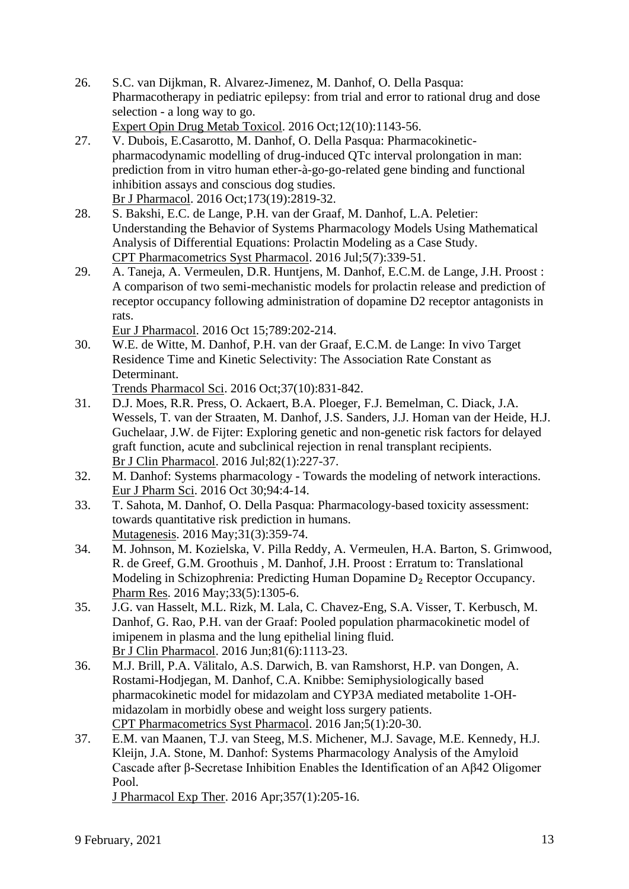26. S.C. van Dijkman, R. Alvarez-Jimenez, M. Danhof, O. Della Pasqua: Pharmacotherapy in pediatric epilepsy: from trial and error to rational drug and dose selection - a long way to go. Expert Opin Drug Metab Toxicol. 2016 Oct;12(10):1143-56.

27. V. Dubois, E.Casarotto, M. Danhof, O. Della Pasqua: Pharmacokineticpharmacodynamic modelling of drug-induced QTc interval prolongation in man: prediction from in vitro human ether-à-go-go-related gene binding and functional inhibition assays and conscious dog studies. Br J Pharmacol. 2016 Oct;173(19):2819-32.

- 28. S. Bakshi, E.C. de Lange, P.H. van der Graaf, M. Danhof, L.A. Peletier: Understanding the Behavior of Systems Pharmacology Models Using Mathematical Analysis of Differential Equations: Prolactin Modeling as a Case Study. CPT Pharmacometrics Syst Pharmacol. 2016 Jul;5(7):339-51.
- 29. A. Taneja, A. Vermeulen, D.R. Huntjens, M. Danhof, E.C.M. de Lange, J.H. Proost : A comparison of two semi-mechanistic models for prolactin release and prediction of receptor occupancy following administration of dopamine D2 receptor antagonists in rats.

Eur J Pharmacol. 2016 Oct 15;789:202-214.

30. W.E. de Witte, M. Danhof, P.H. van der Graaf, E.C.M. de Lange: In vivo Target Residence Time and Kinetic Selectivity: The Association Rate Constant as Determinant.

Trends Pharmacol Sci. 2016 Oct;37(10):831-842.

- 31. D.J. Moes, R.R. Press, O. Ackaert, B.A. Ploeger, F.J. Bemelman, C. Diack, J.A. Wessels, T. van der Straaten, M. Danhof, J.S. Sanders, J.J. Homan van der Heide, H.J. Guchelaar, J.W. de Fijter: Exploring genetic and non-genetic risk factors for delayed graft function, acute and subclinical rejection in renal transplant recipients. Br J Clin Pharmacol. 2016 Jul;82(1):227-37.
- 32. M. Danhof: Systems pharmacology Towards the modeling of network interactions. Eur J Pharm Sci. 2016 Oct 30;94:4-14.
- 33. T. Sahota, M. Danhof, O. Della Pasqua: Pharmacology-based toxicity assessment: towards quantitative risk prediction in humans. Mutagenesis. 2016 May;31(3):359-74.
- 34. M. Johnson, M. Kozielska, V. Pilla Reddy, A. Vermeulen, H.A. Barton, S. Grimwood, R. de Greef, G.M. Groothuis , M. Danhof, J.H. Proost : Erratum to: Translational Modeling in Schizophrenia: Predicting Human Dopamine D<sub>2</sub> Receptor Occupancy. Pharm Res. 2016 May;33(5):1305-6.
- 35. J.G. van Hasselt, M.L. Rizk, M. Lala, C. Chavez-Eng, S.A. Visser, T. Kerbusch, M. Danhof, G. Rao, P.H. van der Graaf: Pooled population pharmacokinetic model of imipenem in plasma and the lung epithelial lining fluid. Br J Clin Pharmacol. 2016 Jun;81(6):1113-23.
- 36. M.J. Brill, P.A. Välitalo, A.S. Darwich, B. van Ramshorst, H.P. van Dongen, A. Rostami-Hodjegan, M. Danhof, C.A. Knibbe: Semiphysiologically based pharmacokinetic model for midazolam and CYP3A mediated metabolite 1-OHmidazolam in morbidly obese and weight loss surgery patients. CPT Pharmacometrics Syst Pharmacol. 2016 Jan;5(1):20-30.
- 37. E.M. van Maanen, T.J. van Steeg, M.S. Michener, M.J. Savage, M.E. Kennedy, H.J. Kleijn, J.A. Stone, M. Danhof: Systems Pharmacology Analysis of the Amyloid Cascade after β-Secretase Inhibition Enables the Identification of an Aβ42 Oligomer Pool.

J Pharmacol Exp Ther. 2016 Apr;357(1):205-16.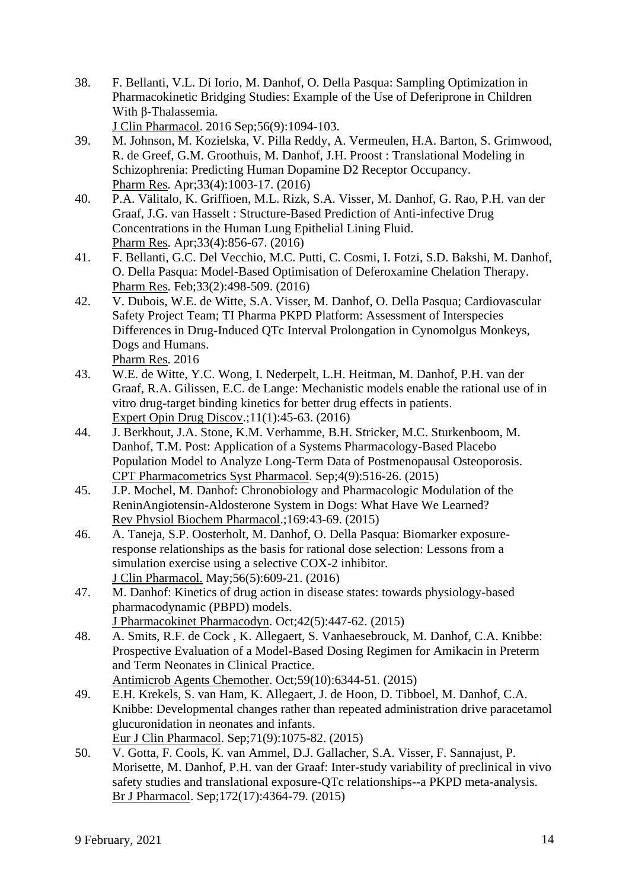38. F. Bellanti, V.L. Di Iorio, M. Danhof, O. Della Pasqua: Sampling Optimization in Pharmacokinetic Bridging Studies: Example of the Use of Deferiprone in Children With β-Thalassemia.

J Clin Pharmacol. 2016 Sep;56(9):1094-103.

- 39. M. Johnson, M. Kozielska, V. Pilla Reddy, A. Vermeulen, H.A. Barton, S. Grimwood, R. de Greef, G.M. Groothuis, M. Danhof, J.H. Proost : Translational Modeling in Schizophrenia: Predicting Human Dopamine D2 Receptor Occupancy. Pharm Res. Apr;33(4):1003-17. (2016)
- 40. P.A. Välitalo, K. Griffioen, M.L. Rizk, S.A. Visser, M. Danhof, G. Rao, P.H. van der Graaf, J.G. van Hasselt : Structure-Based Prediction of Anti-infective Drug Concentrations in the Human Lung Epithelial Lining Fluid. Pharm Res. Apr;33(4):856-67. (2016)
- 41. F. Bellanti, G.C. Del Vecchio, M.C. Putti, C. Cosmi, I. Fotzi, S.D. Bakshi, M. Danhof, O. Della Pasqua: Model-Based Optimisation of Deferoxamine Chelation Therapy. Pharm Res. Feb;33(2):498-509. (2016)
- 42. V. Dubois, W.E. de Witte, S.A. Visser, M. Danhof, O. Della Pasqua; Cardiovascular Safety Project Team; TI Pharma PKPD Platform: Assessment of Interspecies Differences in Drug-Induced QTc Interval Prolongation in Cynomolgus Monkeys, Dogs and Humans. Pharm Res. 2016
- 43. W.E. de Witte, Y.C. Wong, I. Nederpelt, L.H. Heitman, M. Danhof, P.H. van der Graaf, R.A. Gilissen, E.C. de Lange: Mechanistic models enable the rational use of in vitro drug-target binding kinetics for better drug effects in patients. Expert Opin Drug Discov.;11(1):45-63. (2016)
- 44. J. Berkhout, J.A. Stone, K.M. Verhamme, B.H. Stricker, M.C. Sturkenboom, M. Danhof, T.M. Post: Application of a Systems Pharmacology-Based Placebo Population Model to Analyze Long-Term Data of Postmenopausal Osteoporosis. CPT Pharmacometrics Syst Pharmacol. Sep;4(9):516-26. (2015)
- 45. J.P. Mochel, M. Danhof: Chronobiology and Pharmacologic Modulation of the ReninAngiotensin-Aldosterone System in Dogs: What Have We Learned? Rev Physiol Biochem Pharmacol.;169:43-69. (2015)
- 46. A. Taneja, S.P. Oosterholt, M. Danhof, O. Della Pasqua: Biomarker exposureresponse relationships as the basis for rational dose selection: Lessons from a simulation exercise using a selective COX-2 inhibitor. J Clin Pharmacol. May;56(5):609-21. (2016)
- 47. M. Danhof: Kinetics of drug action in disease states: towards physiology-based pharmacodynamic (PBPD) models. J Pharmacokinet Pharmacodyn. Oct;42(5):447-62. (2015)
- 48. A. Smits, R.F. de Cock , K. Allegaert, S. Vanhaesebrouck, M. Danhof, C.A. Knibbe: Prospective Evaluation of a Model-Based Dosing Regimen for Amikacin in Preterm and Term Neonates in Clinical Practice. Antimicrob Agents Chemother. Oct;59(10):6344-51. (2015)
- 49. E.H. Krekels, S. van Ham, K. Allegaert, J. de Hoon, D. Tibboel, M. Danhof, C.A. Knibbe: Developmental changes rather than repeated administration drive paracetamol glucuronidation in neonates and infants. Eur J Clin Pharmacol. Sep;71(9):1075-82. (2015)
- 50. V. Gotta, F. Cools, K. van Ammel, D.J. Gallacher, S.A. Visser, F. Sannajust, P. Morisette, M. Danhof, P.H. van der Graaf: Inter-study variability of preclinical in vivo safety studies and translational exposure-QTc relationships--a PKPD meta-analysis. Br J Pharmacol. Sep;172(17):4364-79. (2015)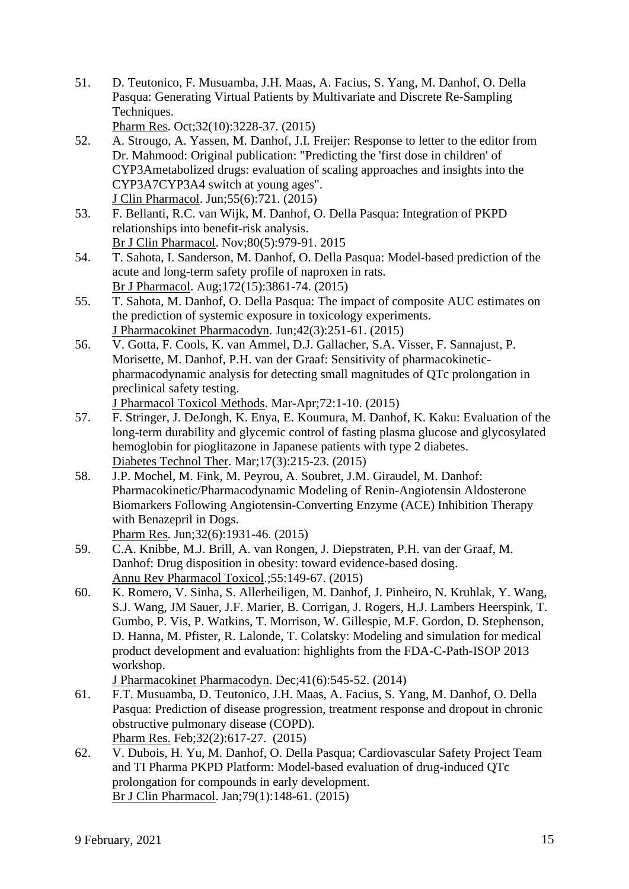51. D. Teutonico, F. Musuamba, J.H. Maas, A. Facius, S. Yang, M. Danhof, O. Della Pasqua: Generating Virtual Patients by Multivariate and Discrete Re-Sampling Techniques.

Pharm Res. Oct;32(10):3228-37. (2015)

- 52. A. Strougo, A. Yassen, M. Danhof, J.I. Freijer: Response to letter to the editor from Dr. Mahmood: Original publication: "Predicting the 'first dose in children' of CYP3Ametabolized drugs: evaluation of scaling approaches and insights into the CYP3A7CYP3A4 switch at young ages". J Clin Pharmacol. Jun;55(6):721. (2015)
- 53. F. Bellanti, R.C. van Wijk, M. Danhof, O. Della Pasqua: Integration of PKPD relationships into benefit-risk analysis. Br J Clin Pharmacol. Nov;80(5):979-91. 2015
- 54. T. Sahota, I. Sanderson, M. Danhof, O. Della Pasqua: Model-based prediction of the acute and long-term safety profile of naproxen in rats. Br J Pharmacol. Aug;172(15):3861-74. (2015)
- 55. T. Sahota, M. Danhof, O. Della Pasqua: The impact of composite AUC estimates on the prediction of systemic exposure in toxicology experiments. J Pharmacokinet Pharmacodyn. Jun;42(3):251-61. (2015)
- 56. V. Gotta, F. Cools, K. van Ammel, D.J. Gallacher, S.A. Visser, F. Sannajust, P. Morisette, M. Danhof, P.H. van der Graaf: Sensitivity of pharmacokineticpharmacodynamic analysis for detecting small magnitudes of QTc prolongation in preclinical safety testing.

J Pharmacol Toxicol Methods. Mar-Apr;72:1-10. (2015)

- 57. F. Stringer, J. DeJongh, K. Enya, E. Koumura, M. Danhof, K. Kaku: Evaluation of the long-term durability and glycemic control of fasting plasma glucose and glycosylated hemoglobin for pioglitazone in Japanese patients with type 2 diabetes. Diabetes Technol Ther. Mar;17(3):215-23. (2015)
- 58. J.P. Mochel, M. Fink, M. Peyrou, A. Soubret, J.M. Giraudel, M. Danhof: Pharmacokinetic/Pharmacodynamic Modeling of Renin-Angiotensin Aldosterone Biomarkers Following Angiotensin-Converting Enzyme (ACE) Inhibition Therapy with Benazepril in Dogs.

Pharm Res. Jun;32(6):1931-46. (2015)

- 59. C.A. Knibbe, M.J. Brill, A. van Rongen, J. Diepstraten, P.H. van der Graaf, M. Danhof: Drug disposition in obesity: toward evidence-based dosing. Annu Rev Pharmacol Toxicol.;55:149-67. (2015)
- 60. K. Romero, V. Sinha, S. Allerheiligen, M. Danhof, J. Pinheiro, N. Kruhlak, Y. Wang, S.J. Wang, JM Sauer, J.F. Marier, B. Corrigan, J. Rogers, H.J. Lambers Heerspink, T. Gumbo, P. Vis, P. Watkins, T. Morrison, W. Gillespie, M.F. Gordon, D. Stephenson, D. Hanna, M. Pfister, R. Lalonde, T. Colatsky: Modeling and simulation for medical product development and evaluation: highlights from the FDA-C-Path-ISOP 2013 workshop.

J Pharmacokinet Pharmacodyn. Dec;41(6):545-52. (2014)

61. F.T. Musuamba, D. Teutonico, J.H. Maas, A. Facius, S. Yang, M. Danhof, O. Della Pasqua: Prediction of disease progression, treatment response and dropout in chronic obstructive pulmonary disease (COPD).

Pharm Res. Feb;32(2):617-27. (2015)

62. V. Dubois, H. Yu, M. Danhof, O. Della Pasqua; Cardiovascular Safety Project Team and TI Pharma PKPD Platform: Model-based evaluation of drug-induced QTc prolongation for compounds in early development. Br J Clin Pharmacol. Jan;79(1):148-61. (2015)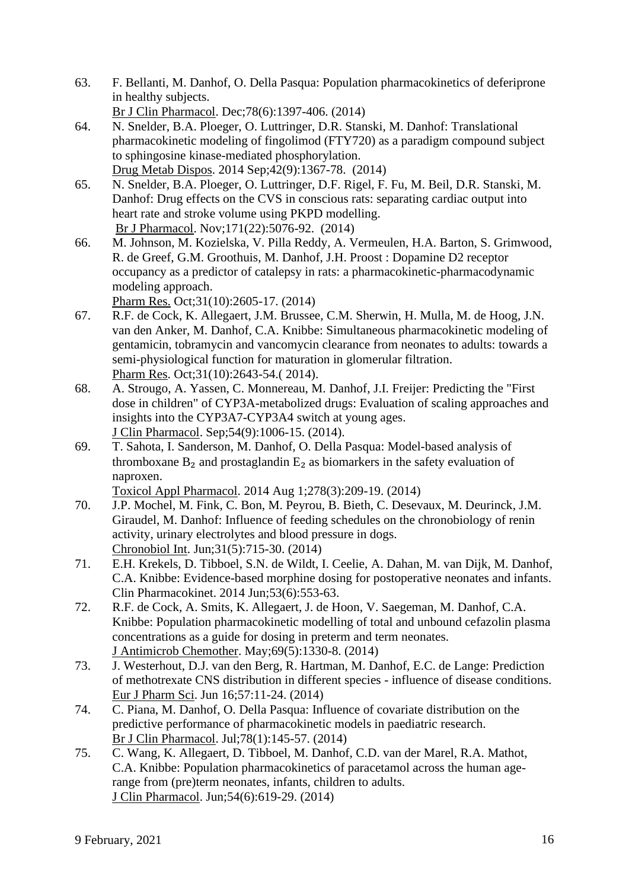- 63. F. Bellanti, M. Danhof, O. Della Pasqua: Population pharmacokinetics of deferiprone in healthy subjects.
	- Br J Clin Pharmacol. Dec;78(6):1397-406. (2014)
- 64. N. Snelder, B.A. Ploeger, O. Luttringer, D.R. Stanski, M. Danhof: Translational pharmacokinetic modeling of fingolimod (FTY720) as a paradigm compound subject to sphingosine kinase-mediated phosphorylation. Drug Metab Dispos. 2014 Sep;42(9):1367-78. (2014)
- 65. N. Snelder, B.A. Ploeger, O. Luttringer, D.F. Rigel, F. Fu, M. Beil, D.R. Stanski, M. Danhof: Drug effects on the CVS in conscious rats: separating cardiac output into heart rate and stroke volume using PKPD modelling. Br J Pharmacol. Nov;171(22):5076-92. (2014)
- 66. M. Johnson, M. Kozielska, V. Pilla Reddy, A. Vermeulen, H.A. Barton, S. Grimwood, R. de Greef, G.M. Groothuis, M. Danhof, J.H. Proost : Dopamine D2 receptor occupancy as a predictor of catalepsy in rats: a pharmacokinetic-pharmacodynamic modeling approach.

Pharm Res. Oct;31(10):2605-17. (2014)

- 67. R.F. de Cock, K. Allegaert, J.M. Brussee, C.M. Sherwin, H. Mulla, M. de Hoog, J.N. van den Anker, M. Danhof, C.A. Knibbe: Simultaneous pharmacokinetic modeling of gentamicin, tobramycin and vancomycin clearance from neonates to adults: towards a semi-physiological function for maturation in glomerular filtration. Pharm Res. Oct;31(10):2643-54.( 2014).
- 68. A. Strougo, A. Yassen, C. Monnereau, M. Danhof, J.I. Freijer: Predicting the "First dose in children" of CYP3A-metabolized drugs: Evaluation of scaling approaches and insights into the CYP3A7-CYP3A4 switch at young ages. J Clin Pharmacol. Sep;54(9):1006-15. (2014).
- 69. T. Sahota, I. Sanderson, M. Danhof, O. Della Pasqua: Model-based analysis of thromboxane  $B_2$  and prostaglandin  $E_2$  as biomarkers in the safety evaluation of naproxen.

Toxicol Appl Pharmacol. 2014 Aug 1;278(3):209-19. (2014)

- 70. J.P. Mochel, M. Fink, C. Bon, M. Peyrou, B. Bieth, C. Desevaux, M. Deurinck, J.M. Giraudel, M. Danhof: Influence of feeding schedules on the chronobiology of renin activity, urinary electrolytes and blood pressure in dogs. Chronobiol Int. Jun;31(5):715-30. (2014)
- 71. E.H. Krekels, D. Tibboel, S.N. de Wildt, I. Ceelie, A. Dahan, M. van Dijk, M. Danhof, C.A. Knibbe: Evidence-based morphine dosing for postoperative neonates and infants. Clin Pharmacokinet. 2014 Jun;53(6):553-63.
- 72. R.F. de Cock, A. Smits, K. Allegaert, J. de Hoon, V. Saegeman, M. Danhof, C.A. Knibbe: Population pharmacokinetic modelling of total and unbound cefazolin plasma concentrations as a guide for dosing in preterm and term neonates. J Antimicrob Chemother. May;69(5):1330-8. (2014)
- 73. J. Westerhout, D.J. van den Berg, R. Hartman, M. Danhof, E.C. de Lange: Prediction of methotrexate CNS distribution in different species - influence of disease conditions. Eur J Pharm Sci. Jun 16;57:11-24. (2014)
- 74. C. Piana, M. Danhof, O. Della Pasqua: Influence of covariate distribution on the predictive performance of pharmacokinetic models in paediatric research. Br J Clin Pharmacol. Jul;78(1):145-57. (2014)
- 75. C. Wang, K. Allegaert, D. Tibboel, M. Danhof, C.D. van der Marel, R.A. Mathot, C.A. Knibbe: Population pharmacokinetics of paracetamol across the human agerange from (pre)term neonates, infants, children to adults. J Clin Pharmacol. Jun;54(6):619-29. (2014)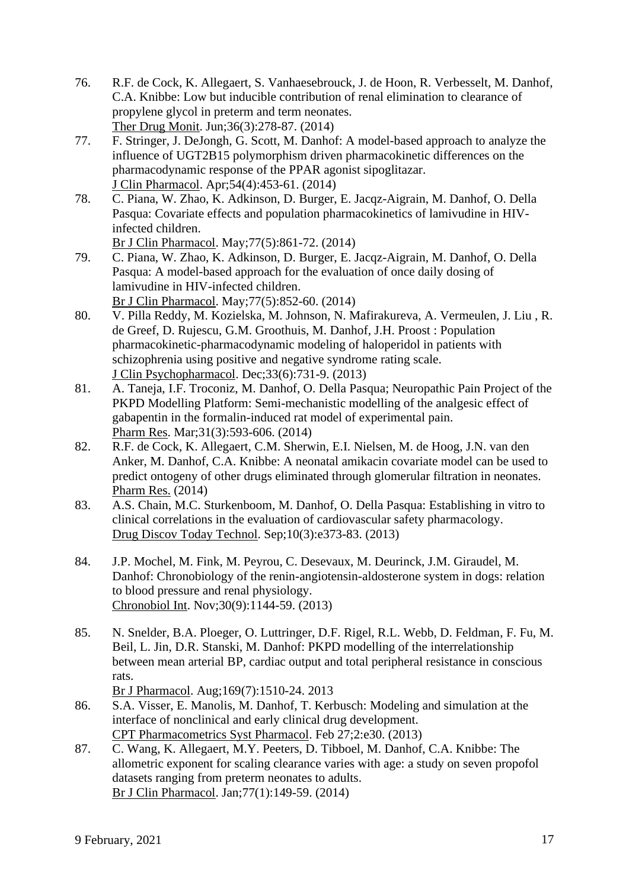- 76. R.F. de Cock, K. Allegaert, S. Vanhaesebrouck, J. de Hoon, R. Verbesselt, M. Danhof, C.A. Knibbe: Low but inducible contribution of renal elimination to clearance of propylene glycol in preterm and term neonates. Ther Drug Monit. Jun;36(3):278-87. (2014)
- 77. F. Stringer, J. DeJongh, G. Scott, M. Danhof: A model-based approach to analyze the influence of UGT2B15 polymorphism driven pharmacokinetic differences on the pharmacodynamic response of the PPAR agonist sipoglitazar. J Clin Pharmacol. Apr;54(4):453-61. (2014)
- 78. C. Piana, W. Zhao, K. Adkinson, D. Burger, E. Jacqz-Aigrain, M. Danhof, O. Della Pasqua: Covariate effects and population pharmacokinetics of lamivudine in HIVinfected children.
	- Br J Clin Pharmacol. May;77(5):861-72. (2014)
- 79. C. Piana, W. Zhao, K. Adkinson, D. Burger, E. Jacqz-Aigrain, M. Danhof, O. Della Pasqua: A model-based approach for the evaluation of once daily dosing of lamivudine in HIV-infected children. Br J Clin Pharmacol. May;77(5):852-60. (2014)
- 80. V. Pilla Reddy, M. Kozielska, M. Johnson, N. Mafirakureva, A. Vermeulen, J. Liu , R. de Greef, D. Rujescu, G.M. Groothuis, M. Danhof, J.H. Proost : Population pharmacokinetic-pharmacodynamic modeling of haloperidol in patients with schizophrenia using positive and negative syndrome rating scale. J Clin Psychopharmacol. Dec;33(6):731-9. (2013)
- 81. A. Taneja, I.F. Troconiz, M. Danhof, O. Della Pasqua; Neuropathic Pain Project of the PKPD Modelling Platform: Semi-mechanistic modelling of the analgesic effect of gabapentin in the formalin-induced rat model of experimental pain. Pharm Res. Mar;31(3):593-606. (2014)
- 82. R.F. de Cock, K. Allegaert, C.M. Sherwin, E.I. Nielsen, M. de Hoog, J.N. van den Anker, M. Danhof, C.A. Knibbe: A neonatal amikacin covariate model can be used to predict ontogeny of other drugs eliminated through glomerular filtration in neonates. Pharm Res. (2014)
- 83. A.S. Chain, M.C. Sturkenboom, M. Danhof, O. Della Pasqua: Establishing in vitro to clinical correlations in the evaluation of cardiovascular safety pharmacology. Drug Discov Today Technol. Sep;10(3):e373-83. (2013)
- 84. J.P. Mochel, M. Fink, M. Peyrou, C. Desevaux, M. Deurinck, J.M. Giraudel, M. Danhof: Chronobiology of the renin-angiotensin-aldosterone system in dogs: relation to blood pressure and renal physiology. Chronobiol Int. Nov;30(9):1144-59. (2013)
- 85. N. Snelder, B.A. Ploeger, O. Luttringer, D.F. Rigel, R.L. Webb, D. Feldman, F. Fu, M. Beil, L. Jin, D.R. Stanski, M. Danhof: PKPD modelling of the interrelationship between mean arterial BP, cardiac output and total peripheral resistance in conscious rats.
	- Br J Pharmacol. Aug;169(7):1510-24. 2013
- 86. S.A. Visser, E. Manolis, M. Danhof, T. Kerbusch: Modeling and simulation at the interface of nonclinical and early clinical drug development. CPT Pharmacometrics Syst Pharmacol. Feb 27;2:e30. (2013)
- 87. C. Wang, K. Allegaert, M.Y. Peeters, D. Tibboel, M. Danhof, C.A. Knibbe: The allometric exponent for scaling clearance varies with age: a study on seven propofol datasets ranging from preterm neonates to adults. Br J Clin Pharmacol. Jan;77(1):149-59. (2014)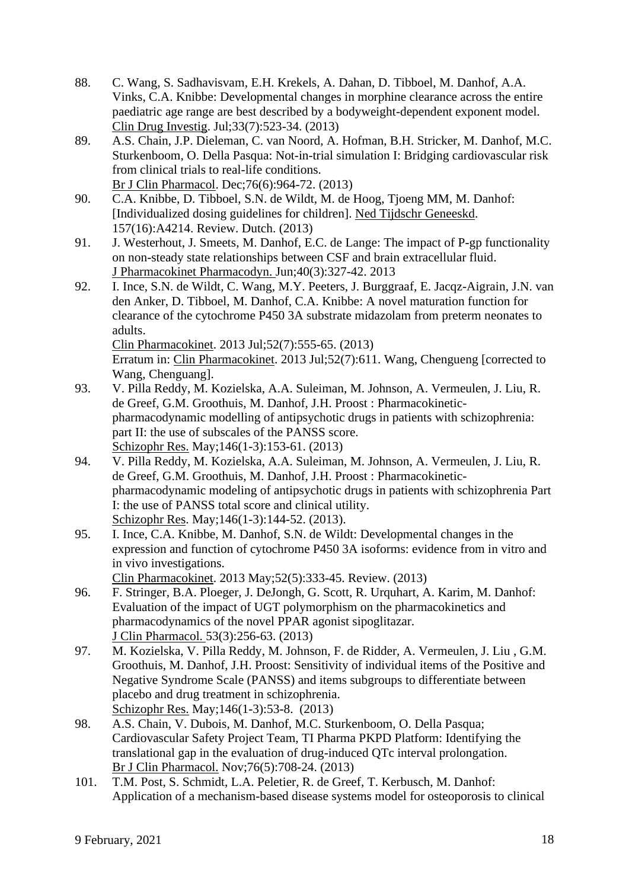- 88. C. Wang, S. Sadhavisvam, E.H. Krekels, A. Dahan, D. Tibboel, M. Danhof, A.A. Vinks, C.A. Knibbe: Developmental changes in morphine clearance across the entire paediatric age range are best described by a bodyweight-dependent exponent model. Clin Drug Investig. Jul;33(7):523-34. (2013)
- 89. A.S. Chain, J.P. Dieleman, C. van Noord, A. Hofman, B.H. Stricker, M. Danhof, M.C. Sturkenboom, O. Della Pasqua: Not-in-trial simulation I: Bridging cardiovascular risk from clinical trials to real-life conditions. Br J Clin Pharmacol. Dec;76(6):964-72. (2013)
- 90. C.A. Knibbe, D. Tibboel, S.N. de Wildt, M. de Hoog, Tjoeng MM, M. Danhof: [Individualized dosing guidelines for children]. Ned Tijdschr Geneeskd. 157(16):A4214. Review. Dutch. (2013)
- 91. J. Westerhout, J. Smeets, M. Danhof, E.C. de Lange: The impact of P-gp functionality on non-steady state relationships between CSF and brain extracellular fluid. J Pharmacokinet Pharmacodyn. Jun;40(3):327-42. 2013
- 92. I. Ince, S.N. de Wildt, C. Wang, M.Y. Peeters, J. Burggraaf, E. Jacqz-Aigrain, J.N. van den Anker, D. Tibboel, M. Danhof, C.A. Knibbe: A novel maturation function for clearance of the cytochrome P450 3A substrate midazolam from preterm neonates to adults. Clin Pharmacokinet. 2013 Jul;52(7):555-65. (2013)

Erratum in: Clin Pharmacokinet. 2013 Jul;52(7):611. Wang, Chengueng [corrected to Wang, Chenguang].

- 93. V. Pilla Reddy, M. Kozielska, A.A. Suleiman, M. Johnson, A. Vermeulen, J. Liu, R. de Greef, G.M. Groothuis, M. Danhof, J.H. Proost : Pharmacokineticpharmacodynamic modelling of antipsychotic drugs in patients with schizophrenia: part II: the use of subscales of the PANSS score. Schizophr Res. May;146(1-3):153-61. (2013)
- 94. V. Pilla Reddy, M. Kozielska, A.A. Suleiman, M. Johnson, A. Vermeulen, J. Liu, R. de Greef, G.M. Groothuis, M. Danhof, J.H. Proost : Pharmacokineticpharmacodynamic modeling of antipsychotic drugs in patients with schizophrenia Part I: the use of PANSS total score and clinical utility. Schizophr Res. May;146(1-3):144-52. (2013).
- 95. I. Ince, C.A. Knibbe, M. Danhof, S.N. de Wildt: Developmental changes in the expression and function of cytochrome P450 3A isoforms: evidence from in vitro and in vivo investigations.
	- Clin Pharmacokinet. 2013 May;52(5):333-45. Review. (2013)
- 96. F. Stringer, B.A. Ploeger, J. DeJongh, G. Scott, R. Urquhart, A. Karim, M. Danhof: Evaluation of the impact of UGT polymorphism on the pharmacokinetics and pharmacodynamics of the novel PPAR agonist sipoglitazar. J Clin Pharmacol. 53(3):256-63. (2013)
- 97. M. Kozielska, V. Pilla Reddy, M. Johnson, F. de Ridder, A. Vermeulen, J. Liu , G.M. Groothuis, M. Danhof, J.H. Proost: Sensitivity of individual items of the Positive and Negative Syndrome Scale (PANSS) and items subgroups to differentiate between placebo and drug treatment in schizophrenia. Schizophr Res. May;146(1-3):53-8. (2013)
- 98. A.S. Chain, V. Dubois, M. Danhof, M.C. Sturkenboom, O. Della Pasqua; Cardiovascular Safety Project Team, TI Pharma PKPD Platform: Identifying the translational gap in the evaluation of drug-induced QTc interval prolongation. Br J Clin Pharmacol. Nov;76(5):708-24. (2013)
- 101. T.M. Post, S. Schmidt, L.A. Peletier, R. de Greef, T. Kerbusch, M. Danhof: Application of a mechanism-based disease systems model for osteoporosis to clinical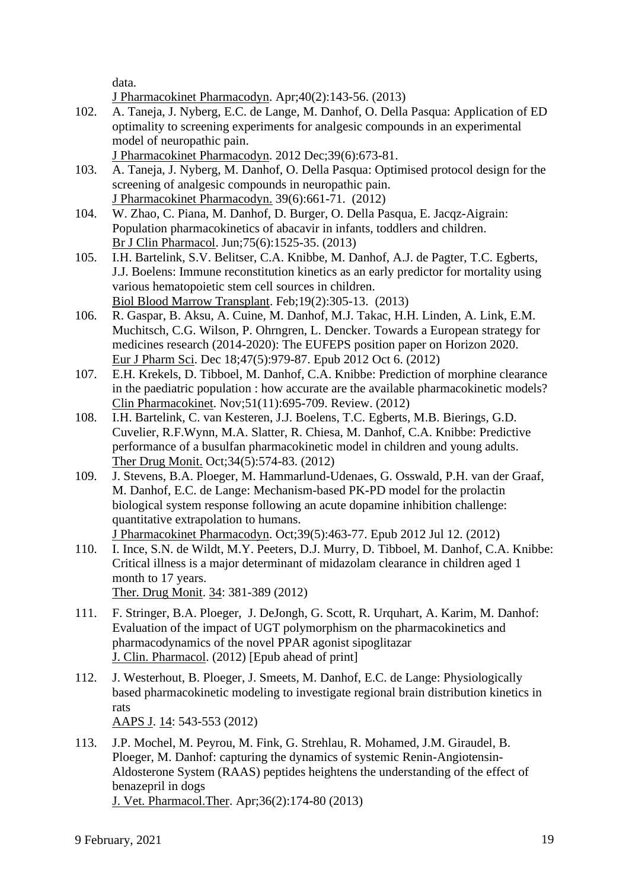data.

J Pharmacokinet Pharmacodyn. Apr;40(2):143-56. (2013)

- 102. A. Taneja, J. Nyberg, E.C. de Lange, M. Danhof, O. Della Pasqua: Application of ED optimality to screening experiments for analgesic compounds in an experimental model of neuropathic pain.
	- J Pharmacokinet Pharmacodyn. 2012 Dec;39(6):673-81.
- 103. A. Taneja, J. Nyberg, M. Danhof, O. Della Pasqua: Optimised protocol design for the screening of analgesic compounds in neuropathic pain. J Pharmacokinet Pharmacodyn. 39(6):661-71. (2012)
- 104. W. Zhao, C. Piana, M. Danhof, D. Burger, O. Della Pasqua, E. Jacqz-Aigrain: Population pharmacokinetics of abacavir in infants, toddlers and children. Br J Clin Pharmacol. Jun;75(6):1525-35. (2013)
- 105. I.H. Bartelink, S.V. Belitser, C.A. Knibbe, M. Danhof, A.J. de Pagter, T.C. Egberts, J.J. Boelens: Immune reconstitution kinetics as an early predictor for mortality using various hematopoietic stem cell sources in children. Biol Blood Marrow Transplant. Feb;19(2):305-13. (2013)
- 106. R. Gaspar, B. Aksu, A. Cuine, M. Danhof, M.J. Takac, H.H. Linden, A. Link, E.M. Muchitsch, C.G. Wilson, P. Ohrngren, L. Dencker. Towards a European strategy for medicines research (2014-2020): The EUFEPS position paper on Horizon 2020. Eur J Pharm Sci. Dec 18;47(5):979-87. Epub 2012 Oct 6. (2012)
- 107. E.H. Krekels, D. Tibboel, M. Danhof, C.A. Knibbe: Prediction of morphine clearance in the paediatric population : how accurate are the available pharmacokinetic models? Clin Pharmacokinet. Nov;51(11):695-709. Review. (2012)
- 108. I.H. Bartelink, C. van Kesteren, J.J. Boelens, T.C. Egberts, M.B. Bierings, G.D. Cuvelier, R.F.Wynn, M.A. Slatter, R. Chiesa, M. Danhof, C.A. Knibbe: Predictive performance of a busulfan pharmacokinetic model in children and young adults. Ther Drug Monit. Oct;34(5):574-83. (2012)
- 109. J. Stevens, B.A. Ploeger, M. Hammarlund-Udenaes, G. Osswald, P.H. van der Graaf, M. Danhof, E.C. de Lange: Mechanism-based PK-PD model for the prolactin biological system response following an acute dopamine inhibition challenge: quantitative extrapolation to humans. J Pharmacokinet Pharmacodyn. Oct;39(5):463-77. Epub 2012 Jul 12. (2012)
- 110. I. Ince, S.N. de Wildt, M.Y. Peeters, D.J. Murry, D. Tibboel, M. Danhof, C.A. Knibbe: Critical illness is a major determinant of midazolam clearance in children aged 1 month to 17 years. Ther. Drug Monit. 34: 381-389 (2012)
- 111. F. Stringer, B.A. Ploeger, J. DeJongh, G. Scott, R. Urquhart, A. Karim, M. Danhof: Evaluation of the impact of UGT polymorphism on the pharmacokinetics and pharmacodynamics of the novel PPAR agonist sipoglitazar J. Clin. Pharmacol. (2012) [Epub ahead of print]
- 112. J. Westerhout, B. Ploeger, J. Smeets, M. Danhof, E.C. de Lange: Physiologically based pharmacokinetic modeling to investigate regional brain distribution kinetics in rats AAPS J. 14: 543-553 (2012)
- 113. J.P. Mochel, M. Peyrou, M. Fink, G. Strehlau, R. Mohamed, J.M. Giraudel, B. Ploeger, M. Danhof: capturing the dynamics of systemic Renin-Angiotensin-Aldosterone System (RAAS) peptides heightens the understanding of the effect of benazepril in dogs J. Vet. Pharmacol.Ther. Apr;36(2):174-80 (2013)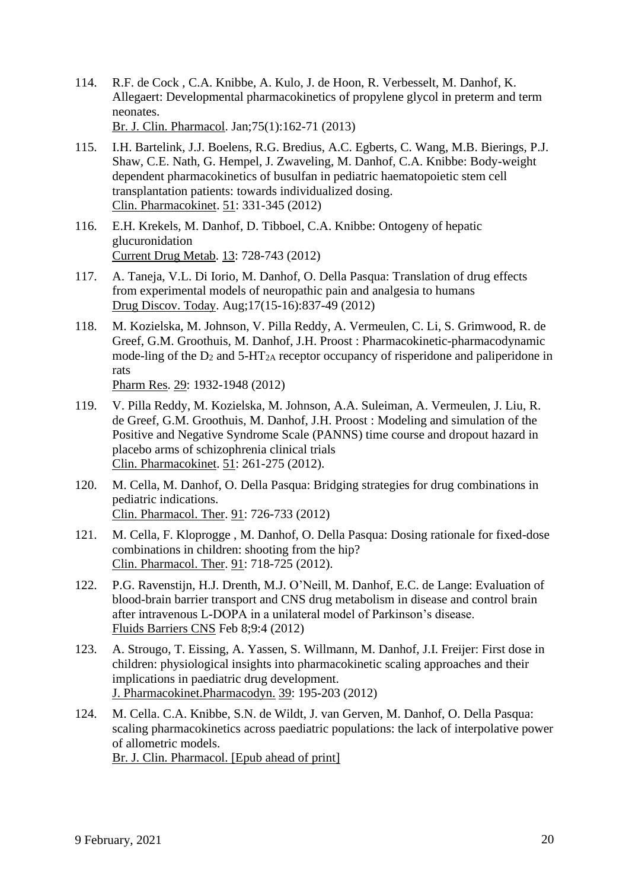- 114. R.F. de Cock , C.A. Knibbe, A. Kulo, J. de Hoon, R. Verbesselt, M. Danhof, K. Allegaert: Developmental pharmacokinetics of propylene glycol in preterm and term neonates. Br. J. Clin. Pharmacol. Jan;75(1):162-71 (2013)
- 115. I.H. Bartelink, J.J. Boelens, R.G. Bredius, A.C. Egberts, C. Wang, M.B. Bierings, P.J. Shaw, C.E. Nath, G. Hempel, J. Zwaveling, M. Danhof, C.A. Knibbe: Body-weight dependent pharmacokinetics of busulfan in pediatric haematopoietic stem cell transplantation patients: towards individualized dosing. Clin. Pharmacokinet. 51: 331-345 (2012)
- 116. E.H. Krekels, M. Danhof, D. Tibboel, C.A. Knibbe: Ontogeny of hepatic glucuronidation Current Drug Metab. 13: 728-743 (2012)
- 117. A. Taneja, V.L. Di Iorio, M. Danhof, O. Della Pasqua: Translation of drug effects from experimental models of neuropathic pain and analgesia to humans Drug Discov. Today. Aug;17(15-16):837-49 (2012)
- 118. M. Kozielska, M. Johnson, V. Pilla Reddy, A. Vermeulen, C. Li, S. Grimwood, R. de Greef, G.M. Groothuis, M. Danhof, J.H. Proost : Pharmacokinetic-pharmacodynamic mode-ling of the  $D_2$  and  $5-HT_{2A}$  receptor occupancy of risperidone and paliperidone in rats Pharm Res. 29: 1932-1948 (2012)
- 119. V. Pilla Reddy, M. Kozielska, M. Johnson, A.A. Suleiman, A. Vermeulen, J. Liu, R. de Greef, G.M. Groothuis, M. Danhof, J.H. Proost : Modeling and simulation of the Positive and Negative Syndrome Scale (PANNS) time course and dropout hazard in placebo arms of schizophrenia clinical trials Clin. Pharmacokinet. 51: 261-275 (2012).
- 120. M. Cella, M. Danhof, O. Della Pasqua: Bridging strategies for drug combinations in pediatric indications. Clin. Pharmacol. Ther. 91: 726-733 (2012)
- 121. M. Cella, F. Kloprogge , M. Danhof, O. Della Pasqua: Dosing rationale for fixed-dose combinations in children: shooting from the hip? Clin. Pharmacol. Ther. 91: 718-725 (2012).
- 122. P.G. Ravenstijn, H.J. Drenth, M.J. O'Neill, M. Danhof, E.C. de Lange: Evaluation of blood-brain barrier transport and CNS drug metabolism in disease and control brain after intravenous L-DOPA in a unilateral model of Parkinson's disease. Fluids Barriers CNS Feb 8;9:4 (2012)
- 123. A. Strougo, T. Eissing, A. Yassen, S. Willmann, M. Danhof, J.I. Freijer: First dose in children: physiological insights into pharmacokinetic scaling approaches and their implications in paediatric drug development. J. Pharmacokinet.Pharmacodyn. 39: 195-203 (2012)
- 124. M. Cella. C.A. Knibbe, S.N. de Wildt, J. van Gerven, M. Danhof, O. Della Pasqua: scaling pharmacokinetics across paediatric populations: the lack of interpolative power of allometric models. Br. J. Clin. Pharmacol. [Epub ahead of print]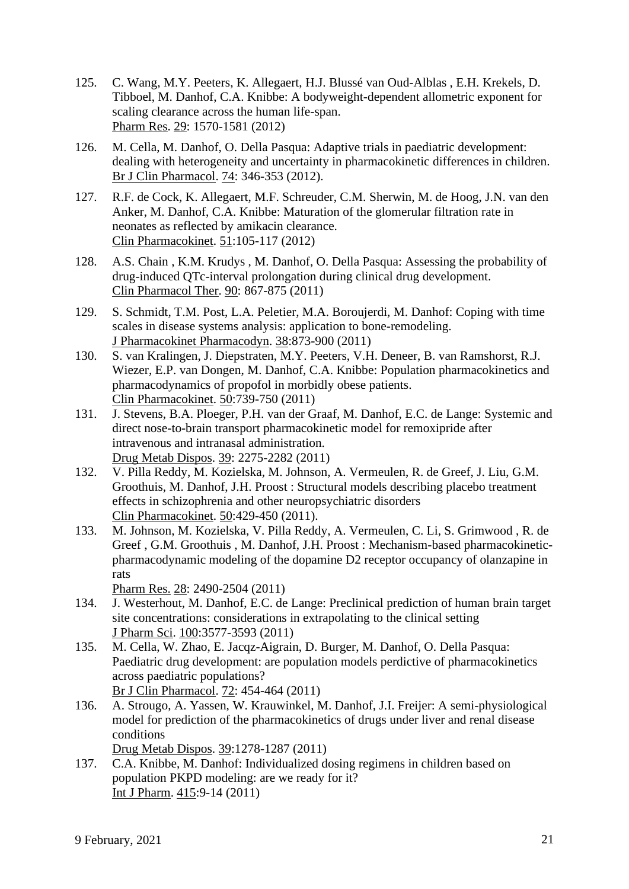- 125. C. Wang, M.Y. Peeters, K. Allegaert, H.J. Blussé van Oud-Alblas , E.H. Krekels, D. Tibboel, M. Danhof, C.A. Knibbe: A bodyweight-dependent allometric exponent for scaling clearance across the human life-span. Pharm Res. 29: 1570-1581 (2012)
- 126. M. Cella, M. Danhof, O. Della Pasqua: Adaptive trials in paediatric development: dealing with heterogeneity and uncertainty in pharmacokinetic differences in children. Br J Clin Pharmacol. 74: 346-353 (2012).
- 127. R.F. de Cock, K. Allegaert, M.F. Schreuder, C.M. Sherwin, M. de Hoog, J.N. van den Anker, M. Danhof, C.A. Knibbe: Maturation of the glomerular filtration rate in neonates as reflected by amikacin clearance. Clin Pharmacokinet. 51:105-117 (2012)
- 128. A.S. Chain , K.M. Krudys , M. Danhof, O. Della Pasqua: Assessing the probability of drug-induced QTc-interval prolongation during clinical drug development. Clin Pharmacol Ther. 90: 867-875 (2011)
- 129. S. Schmidt, T.M. Post, L.A. Peletier, M.A. Boroujerdi, M. Danhof: Coping with time scales in disease systems analysis: application to bone-remodeling. J Pharmacokinet Pharmacodyn. 38:873-900 (2011)
- 130. S. van Kralingen, J. Diepstraten, M.Y. Peeters, V.H. Deneer, B. van Ramshorst, R.J. Wiezer, E.P. van Dongen, M. Danhof, C.A. Knibbe: Population pharmacokinetics and pharmacodynamics of propofol in morbidly obese patients. Clin Pharmacokinet. 50:739-750 (2011)
- 131. J. Stevens, B.A. Ploeger, P.H. van der Graaf, M. Danhof, E.C. de Lange: Systemic and direct nose-to-brain transport pharmacokinetic model for remoxipride after intravenous and intranasal administration. Drug Metab Dispos. 39: 2275-2282 (2011)
- 132. V. Pilla Reddy, M. Kozielska, M. Johnson, A. Vermeulen, R. de Greef, J. Liu, G.M. Groothuis, M. Danhof, J.H. Proost : Structural models describing placebo treatment effects in schizophrenia and other neuropsychiatric disorders Clin Pharmacokinet. 50:429-450 (2011).
- 133. M. Johnson, M. Kozielska, V. Pilla Reddy, A. Vermeulen, C. Li, S. Grimwood , R. de Greef , G.M. Groothuis , M. Danhof, J.H. Proost : Mechanism-based pharmacokineticpharmacodynamic modeling of the dopamine D2 receptor occupancy of olanzapine in rats

Pharm Res. 28: 2490-2504 (2011)

- 134. J. Westerhout, M. Danhof, E.C. de Lange: Preclinical prediction of human brain target site concentrations: considerations in extrapolating to the clinical setting J Pharm Sci. 100:3577-3593 (2011)
- 135. M. Cella, W. Zhao, E. Jacqz-Aigrain, D. Burger, M. Danhof, O. Della Pasqua: Paediatric drug development: are population models perdictive of pharmacokinetics across paediatric populations? Br J Clin Pharmacol. 72: 454-464 (2011)
- 136. A. Strougo, A. Yassen, W. Krauwinkel, M. Danhof, J.I. Freijer: A semi-physiological model for prediction of the pharmacokinetics of drugs under liver and renal disease conditions

Drug Metab Dispos. 39:1278-1287 (2011)

137. C.A. Knibbe, M. Danhof: Individualized dosing regimens in children based on population PKPD modeling: are we ready for it? Int J Pharm. 415:9-14 (2011)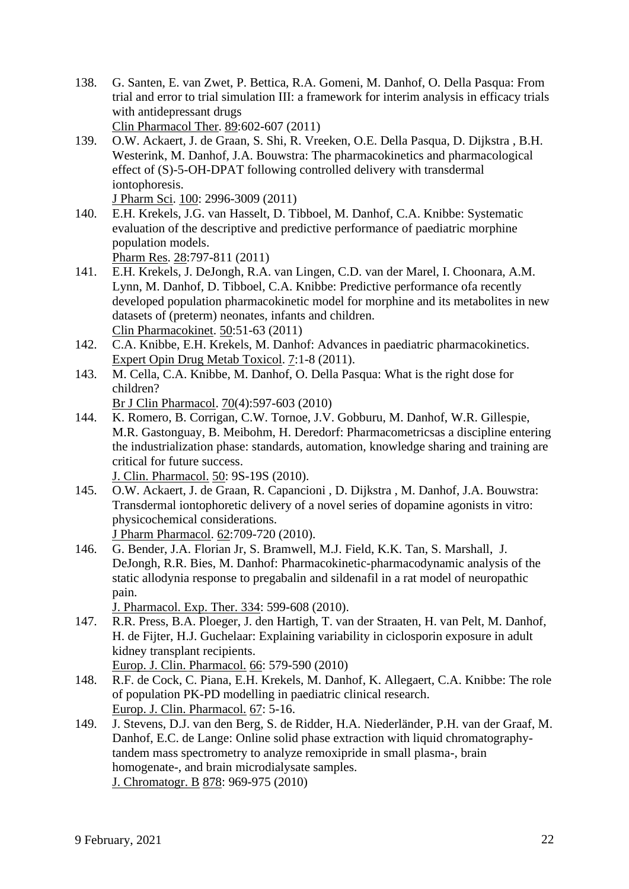- 138. G. Santen, E. van Zwet, P. Bettica, R.A. Gomeni, M. Danhof, O. Della Pasqua: From trial and error to trial simulation III: a framework for interim analysis in efficacy trials with antidepressant drugs Clin Pharmacol Ther. 89:602-607 (2011)
- 139. O.W. Ackaert, J. de Graan, S. Shi, R. Vreeken, O.E. Della Pasqua, D. Dijkstra , B.H. Westerink, M. Danhof, J.A. Bouwstra: The pharmacokinetics and pharmacological effect of (S)-5-OH-DPAT following controlled delivery with transdermal iontophoresis.

J Pharm Sci. 100: 2996-3009 (2011)

- 140. E.H. Krekels, J.G. van Hasselt, D. Tibboel, M. Danhof, C.A. Knibbe: Systematic evaluation of the descriptive and predictive performance of paediatric morphine population models. Pharm Res. 28:797-811 (2011)
- 141. E.H. Krekels, J. DeJongh, R.A. van Lingen, C.D. van der Marel, I. Choonara, A.M. Lynn, M. Danhof, D. Tibboel, C.A. Knibbe: Predictive performance ofa recently developed population pharmacokinetic model for morphine and its metabolites in new datasets of (preterm) neonates, infants and children. Clin Pharmacokinet. 50:51-63 (2011)
- 142. C.A. Knibbe, E.H. Krekels, M. Danhof: Advances in paediatric pharmacokinetics. Expert Opin Drug Metab Toxicol. 7:1-8 (2011).
- 143. M. Cella, C.A. Knibbe, M. Danhof, O. Della Pasqua: What is the right dose for children?

Br J Clin Pharmacol. 70(4):597-603 (2010)

144. K. Romero, B. Corrigan, C.W. Tornoe, J.V. Gobburu, M. Danhof, W.R. Gillespie, M.R. Gastonguay, B. Meibohm, H. Deredorf: Pharmacometricsas a discipline entering the industrialization phase: standards, automation, knowledge sharing and training are critical for future success.

J. Clin. Pharmacol. 50: 9S-19S (2010).

145. O.W. Ackaert, J. de Graan, R. Capancioni , D. Dijkstra , M. Danhof, J.A. Bouwstra: [Transdermal iontophoretic delivery of a novel series of dopamine agonists in vitro:](http://www.ncbi.nlm.nih.gov/pubmed/20636858)  [physicochemical considerations.](http://www.ncbi.nlm.nih.gov/pubmed/20636858)

J Pharm Pharmacol. 62:709-720 (2010).

146. G. Bender, J.A. Florian Jr, S. Bramwell, M.J. Field, K.K. Tan, S. Marshall, J. DeJongh, R.R. Bies, M. Danhof: [Pharmacokinetic-pharmacodynamic analysis of the](http://www.ncbi.nlm.nih.gov/pubmed/20444880)  [static allodynia response to pregabalin and sildenafil in a rat model of neuropathic](http://www.ncbi.nlm.nih.gov/pubmed/20444880)  [pain.](http://www.ncbi.nlm.nih.gov/pubmed/20444880)

J. Pharmacol. Exp. Ther. 334: 599-608 (2010).

147. R.R. Press, B.A. Ploeger, J. den Hartigh, T. van der Straaten, H. van Pelt, M. Danhof, H. de Fijter, H.J. Guchelaar: [Explaining variability in ciclosporin exposure in adult](http://www.ncbi.nlm.nih.gov/pubmed/20354687)  [kidney transplant recipients.](http://www.ncbi.nlm.nih.gov/pubmed/20354687)

Europ. J. Clin. Pharmacol. 66: 579-590 (2010)

- 148. R.F. de Cock, C. Piana, E.H. Krekels, M. Danhof, K. Allegaert, C.A. Knibbe: The role of population PK-PD modelling in paediatric clinical research. Europ. J. Clin. Pharmacol. 67: 5-16.
- 149. J. Stevens, D.J. van den Berg, S. de Ridder, H.A. Niederländer, P.H. van der Graaf, M. Danhof, E.C. de Lange: [Online solid phase extraction with liquid chromatography](http://www.ncbi.nlm.nih.gov/pubmed/20303836)[tandem mass spectrometry to analyze remoxipride in small plasma-, brain](http://www.ncbi.nlm.nih.gov/pubmed/20303836)  [homogenate-, and brain microdialysate samples.](http://www.ncbi.nlm.nih.gov/pubmed/20303836) J. Chromatogr. B 878: 969-975 (2010)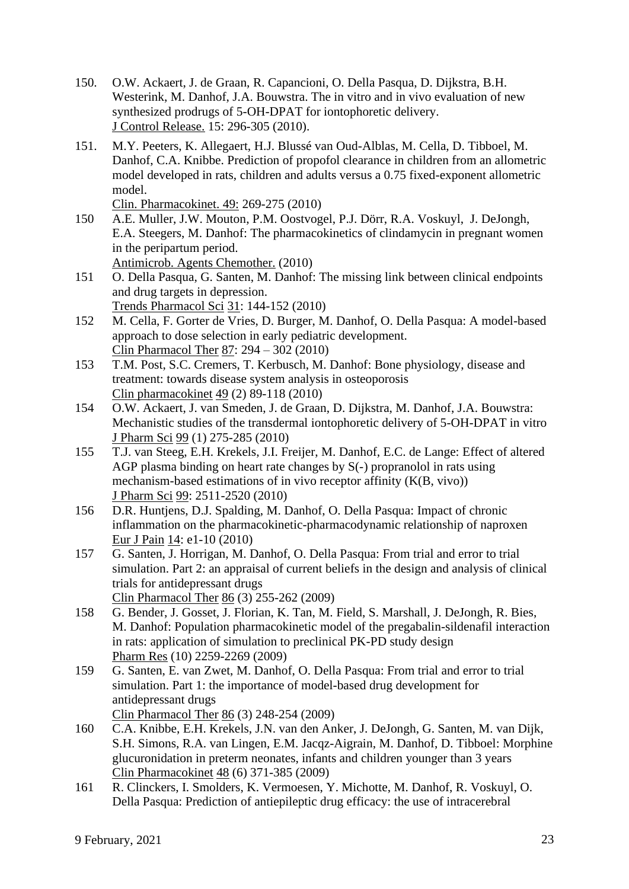- 150. O.W. Ackaert, J. de Graan, R. Capancioni, O. Della Pasqua, D. Dijkstra, B.H. Westerink, M. Danhof, J.A. Bouwstra. The in vitro and in vivo evaluation of new synthesized prodrugs of 5-OH-DPAT for iontophoretic delivery. J Control Release. 15: 296-305 (2010).
- 151. M.Y. Peeters, K. Allegaert, H.J. Blussé van Oud-Alblas, M. Cella, D. Tibboel, M. Danhof, C.A. Knibbe. [Prediction of propofol clearance in children from an allometric](http://www.ncbi.nlm.nih.gov/pubmed/20214410)  [model developed in rats, children and adults versus a 0.75 fixed-exponent allometric](http://www.ncbi.nlm.nih.gov/pubmed/20214410)  [model.](http://www.ncbi.nlm.nih.gov/pubmed/20214410)

Clin. Pharmacokinet. 49: 269-275 (2010)

- 150 A.E. Muller, J.W. Mouton, P.M. Oostvogel, P.J. Dörr, R.A. Voskuyl, J. DeJongh, E.A. Steegers, M. Danhof: The pharmacokinetics of clindamycin in pregnant women in the peripartum period. Antimicrob. Agents Chemother. (2010)
- 151 O. Della Pasqua, G. Santen, M. Danhof: The missing link between clinical endpoints and drug targets in depression. Trends Pharmacol Sci 31: 144-152 (2010)
- 152 M. Cella, F. Gorter de Vries, D. Burger, M. Danhof, O. Della Pasqua: A model-based approach to dose selection in early pediatric development. Clin Pharmacol Ther 87: 294 – 302 (2010)
- 153 T.M. Post, S.C. Cremers, T. Kerbusch, M. Danhof: Bone physiology, disease and treatment: towards disease system analysis in osteoporosis Clin pharmacokinet 49 (2) 89-118 (2010)
- 154 O.W. Ackaert, J. van Smeden, J. de Graan, D. Dijkstra, M. Danhof, J.A. Bouwstra: Mechanistic studies of the transdermal iontophoretic delivery of 5-OH-DPAT in vitro J Pharm Sci 99 (1) 275-285 (2010)
- 155 T.J. van Steeg, E.H. Krekels, J.I. Freijer, M. Danhof, E.C. de Lange: Effect of altered AGP plasma binding on heart rate changes by S(-) propranolol in rats using mechanism-based estimations of in vivo receptor affinity (K(B, vivo)) J Pharm Sci 99: 2511-2520 (2010)
- 156 D.R. Huntjens, D.J. Spalding, M. Danhof, O. Della Pasqua: Impact of chronic inflammation on the pharmacokinetic-pharmacodynamic relationship of naproxen Eur J Pain 14: e1-10 (2010)
- 157 G. Santen, J. Horrigan, M. Danhof, O. Della Pasqua: From trial and error to trial simulation. Part 2: an appraisal of current beliefs in the design and analysis of clinical trials for antidepressant drugs Clin Pharmacol Ther 86 (3) 255-262 (2009)
- 158 G. Bender, J. Gosset, J. Florian, K. Tan, M. Field, S. Marshall, J. DeJongh, R. Bies, M. Danhof: Population pharmacokinetic model of the pregabalin-sildenafil interaction in rats: application of simulation to preclinical PK-PD study design Pharm Res (10) 2259-2269 (2009)
- 159 G. Santen, E. van Zwet, M. Danhof, O. Della Pasqua: From trial and error to trial simulation. Part 1: the importance of model-based drug development for antidepressant drugs

Clin Pharmacol Ther 86 (3) 248-254 (2009)

- 160 C.A. Knibbe, E.H. Krekels, J.N. van den Anker, J. DeJongh, G. Santen, M. van Dijk, S.H. Simons, R.A. van Lingen, E.M. Jacqz-Aigrain, M. Danhof, D. Tibboel: Morphine glucuronidation in preterm neonates, infants and children younger than 3 years Clin Pharmacokinet 48 (6) 371-385 (2009)
- 161 R. Clinckers, I. Smolders, K. Vermoesen, Y. Michotte, M. Danhof, R. Voskuyl, O. Della Pasqua: Prediction of antiepileptic drug efficacy: the use of intracerebral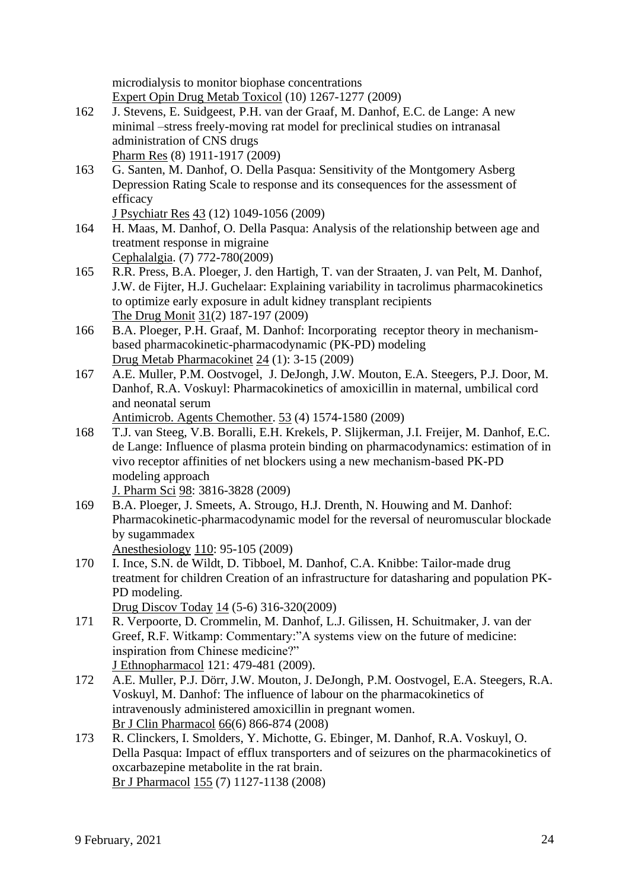microdialysis to monitor biophase concentrations Expert Opin Drug Metab Toxicol (10) 1267-1277 (2009)

- 162 J. Stevens, E. Suidgeest, P.H. van der Graaf, M. Danhof, E.C. de Lange: A new minimal –stress freely-moving rat model for preclinical studies on intranasal administration of CNS drugs Pharm Res (8) 1911-1917 (2009)
- 163 G. Santen, M. Danhof, O. Della Pasqua: Sensitivity of the Montgomery Asberg Depression Rating Scale to response and its consequences for the assessment of efficacy

J Psychiatr Res 43 (12) 1049-1056 (2009)

- 164 H. Maas, M. Danhof, O. Della Pasqua: Analysis of the relationship between age and treatment response in migraine Cephalalgia. (7) 772-780(2009)
- 165 R.R. Press, B.A. Ploeger, J. den Hartigh, T. van der Straaten, J. van Pelt, M. Danhof, J.W. de Fijter, H.J. Guchelaar: Explaining variability in tacrolimus pharmacokinetics to optimize early exposure in adult kidney transplant recipients The Drug Monit 31(2) 187-197 (2009)
- 166 B.A. Ploeger, P.H. Graaf, M. Danhof: Incorporating receptor theory in mechanismbased pharmacokinetic-pharmacodynamic (PK-PD) modeling Drug Metab Pharmacokinet 24 (1): 3-15 (2009)
- 167 A.E. Muller, P.M. Oostvogel, J. DeJongh, J.W. Mouton, E.A. Steegers, P.J. Door, M. Danhof, R.A. Voskuyl: Pharmacokinetics of amoxicillin in maternal, umbilical cord and neonatal serum

Antimicrob. Agents Chemother. 53 (4) 1574-1580 (2009)

168 T.J. van Steeg, V.B. Boralli, E.H. Krekels, P. Slijkerman, J.I. Freijer, M. Danhof, E.C. de Lange: Influence of plasma protein binding on pharmacodynamics: estimation of in vivo receptor affinities of net blockers using a new mechanism-based PK-PD modeling approach

J. Pharm Sci 98: 3816-3828 (2009)

169 B.A. Ploeger, J. Smeets, A. Strougo, H.J. Drenth, N. Houwing and M. Danhof: Pharmacokinetic-pharmacodynamic model for the reversal of neuromuscular blockade by sugammadex

Anesthesiology 110: 95-105 (2009)

170 I. Ince, S.N. de Wildt, D. Tibboel, M. Danhof, C.A. Knibbe: Tailor-made drug treatment for children Creation of an infrastructure for datasharing and population PK-PD modeling.

Drug Discov Today 14 (5-6) 316-320(2009)

- 171 R. Verpoorte, D. Crommelin, M. Danhof, L.J. Gilissen, H. Schuitmaker, J. van der Greef, R.F. Witkamp: Commentary:"A systems view on the future of medicine: inspiration from Chinese medicine?" J Ethnopharmacol 121: 479-481 (2009).
- 172 A.E. Muller, P.J. Dörr, J.W. Mouton, J. DeJongh, P.M. Oostvogel, E.A. Steegers, R.A. Voskuyl, M. Danhof: The influence of labour on the pharmacokinetics of intravenously administered amoxicillin in pregnant women. Br J Clin Pharmacol 66(6) 866-874 (2008)
- 173 R. Clinckers, I. Smolders, Y. Michotte, G. Ebinger, M. Danhof, R.A. Voskuyl, O. Della Pasqua: Impact of efflux transporters and of seizures on the pharmacokinetics of oxcarbazepine metabolite in the rat brain. Br J Pharmacol 155 (7) 1127-1138 (2008)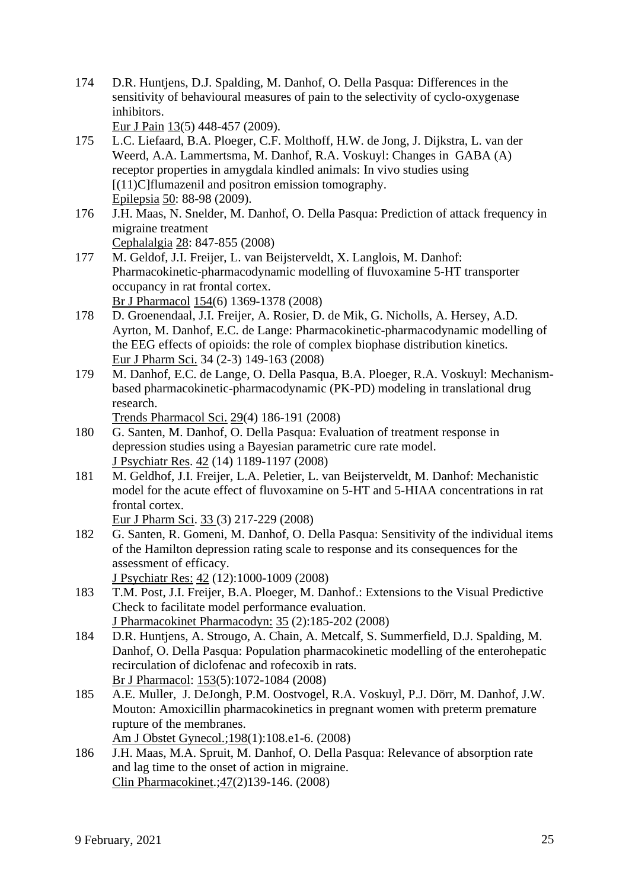174 D.R. Huntjens, D.J. Spalding, M. Danhof, O. Della Pasqua: [Differences in the](http://www.ncbi.nlm.nih.gov/pubmed/18774319?ordinalpos=3&itool=EntrezSystem2.PEntrez.Pubmed.Pubmed_ResultsPanel.Pubmed_DefaultReportPanel.Pubmed_RVDocSum)  [sensitivity of behavioural measures of pain to the selectivity of cyclo-oxygenase](http://www.ncbi.nlm.nih.gov/pubmed/18774319?ordinalpos=3&itool=EntrezSystem2.PEntrez.Pubmed.Pubmed_ResultsPanel.Pubmed_DefaultReportPanel.Pubmed_RVDocSum)  [inhibitors.](http://www.ncbi.nlm.nih.gov/pubmed/18774319?ordinalpos=3&itool=EntrezSystem2.PEntrez.Pubmed.Pubmed_ResultsPanel.Pubmed_DefaultReportPanel.Pubmed_RVDocSum)

Eur J Pain 13(5) 448-457 (2009).

- 175 L.C. Liefaard, B.A. Ploeger, C.F. Molthoff, H.W. de Jong, J. Dijkstra, L. van der Weerd, A.A. Lammertsma, M. Danhof, R.A. Voskuyl: Changes in GABA (A) receptor properties in amygdala kindled animals: In vivo studies using [(11)C]flumazenil and positron emission tomography. Epilepsia 50: 88-98 (2009).
- 176 J.H. Maas, N. Snelder, M. Danhof, O. Della Pasqua: Prediction of attack frequency in migraine treatment

Cephalalgia 28: 847-855 (2008)

- 177 M. Geldof, J.I. Freijer, L. van Beijsterveldt, X. Langlois, M. Danhof: Pharmacokinetic-pharmacodynamic modelling of fluvoxamine 5-HT transporter occupancy in rat frontal cortex. Br J Pharmacol 154(6) 1369-1378 (2008)
- 178 D. Groenendaal, J.I. Freijer, A. Rosier, D. de Mik, G. Nicholls, A. Hersey, A.D. Ayrton, M. Danhof, E.C. de Lange: Pharmacokinetic-pharmacodynamic modelling of the EEG effects of opioids: the role of complex biophase distribution kinetics. Eur J Pharm Sci. 34 (2-3) 149-163 (2008)
- 179 M. Danhof, E.C. de Lange, O. Della Pasqua, B.A. Ploeger, R.A. Voskuyl: Mechanismbased pharmacokinetic-pharmacodynamic (PK-PD) modeling in translational drug research.

Trends Pharmacol Sci. 29(4) 186-191 (2008)

- 180 G. Santen, M. Danhof, O. Della Pasqua: Evaluation of treatment response in depression studies using a Bayesian parametric cure rate model. J Psychiatr Res. 42 (14) 1189-1197 (2008)
- 181 M. Geldhof, J.I. Freijer, L.A. Peletier, L. van Beijsterveldt, M. Danhof: Mechanistic model for the acute effect of fluvoxamine on 5-HT and 5-HIAA concentrations in rat frontal cortex.

Eur J Pharm Sci. 33 (3) 217-229 (2008)

182 G. [Santen, R. Gomeni, M. Danhof, O. Della Pasqua:](http://www.ncbi.nlm.nih.gov/pubmed/18206909?ordinalpos=1&itool=EntrezSystem2.PEntrez.Pubmed.Pubmed_ResultsPanel.Pubmed_RVDocSum) Sensitivity of the individual items of the Hamilton depression rating scale to response and its consequences for the assessment of efficacy.

J Psychiatr Res: 42 (12):1000-1009 (2008)

- 183 [T.M. Post, J.I. Freijer, B.A. Ploeger, M. Danhof.:](http://www.ncbi.nlm.nih.gov/pubmed/18197467?ordinalpos=2&itool=EntrezSystem2.PEntrez.Pubmed.Pubmed_ResultsPanel.Pubmed_RVDocSum) Extensions to the Visual Predictive Check to facilitate model performance evaluation. J Pharmacokinet Pharmacodyn: 35 (2):185-202 (2008)
- 184 [D.R. Huntjens, A. Strougo, A. Chain, A. Metcalf, S. Summerfield, D.J. Spalding, M.](http://www.ncbi.nlm.nih.gov/pubmed/18193075?ordinalpos=3&itool=EntrezSystem2.PEntrez.Pubmed.Pubmed_ResultsPanel.Pubmed_RVDocSum)  [Danhof, O. Della Pasqua:](http://www.ncbi.nlm.nih.gov/pubmed/18193075?ordinalpos=3&itool=EntrezSystem2.PEntrez.Pubmed.Pubmed_ResultsPanel.Pubmed_RVDocSum) Population pharmacokinetic modelling of the enterohepatic recirculation of diclofenac and rofecoxib in rats. Br J Pharmacol: 153(5):1072-1084 (2008)
- 185 [A.E. Muller, J. DeJongh, P.M. Oostvogel, R.A. Voskuyl, P.J. Dörr, M. Danhof, J.W.](http://www.ncbi.nlm.nih.gov/pubmed/18061131?ordinalpos=4&itool=EntrezSystem2.PEntrez.Pubmed.Pubmed_ResultsPanel.Pubmed_RVDocSum)  [Mouton:](http://www.ncbi.nlm.nih.gov/pubmed/18061131?ordinalpos=4&itool=EntrezSystem2.PEntrez.Pubmed.Pubmed_ResultsPanel.Pubmed_RVDocSum) Amoxicillin pharmacokinetics in pregnant women with preterm premature rupture of the membranes.

Am J Obstet Gynecol.;198(1):108.e1-6. (2008)

186 [J.H. Maas, M.A. Spruit, M. Danhof, O. Della Pasqua:](http://www.ncbi.nlm.nih.gov/pubmed/18193920?ordinalpos=5&itool=EntrezSystem2.PEntrez.Pubmed.Pubmed_ResultsPanel.Pubmed_RVDocSum) Relevance of absorption rate and lag time to the onset of action in migraine. Clin Pharmacokinet.;47(2)139-146. (2008)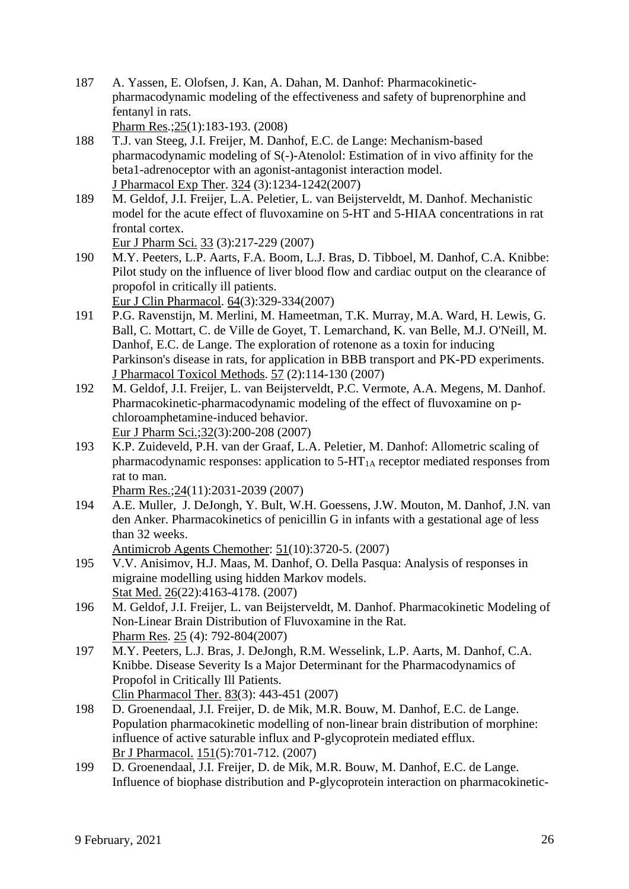- 187 [A. Yassen, E. Olofsen, J. Kan, A. Dahan, M. Danhof:](http://www.ncbi.nlm.nih.gov/pubmed/17914664?ordinalpos=6&itool=EntrezSystem2.PEntrez.Pubmed.Pubmed_ResultsPanel.Pubmed_RVDocSum) Pharmacokineticpharmacodynamic modeling of the effectiveness and safety of buprenorphine and fentanyl in rats. Pharm Res.;25(1):183-193. (2008)
- 188 [T.J. van Steeg, J.I. Freijer, M. Danhof, E.C. de Lange:](http://www.ncbi.nlm.nih.gov/pubmed/18162599?ordinalpos=7&itool=EntrezSystem2.PEntrez.Pubmed.Pubmed_ResultsPanel.Pubmed_RVDocSum) Mechanism-based pharmacodynamic modeling of S(-)-Atenolol: Estimation of in vivo affinity for the beta1-adrenoceptor with an agonist-antagonist interaction model. J Pharmacol Exp Ther. 324 (3):1234-1242(2007)
- 189 M. [Geldof, J.I. Freijer, L.A. Peletier, L. van Beijsterveldt, M. Danhof.](http://www.ncbi.nlm.nih.gov/pubmed/18207708?ordinalpos=8&itool=EntrezSystem2.PEntrez.Pubmed.Pubmed_ResultsPanel.Pubmed_RVDocSum) Mechanistic model for the acute effect of fluvoxamine on 5-HT and 5-HIAA concentrations in rat frontal cortex.

Eur J Pharm Sci. 33 (3):217-229 (2007)

190 [M.Y. Peeters, L.P. Aarts, F.A. Boom, L.J. Bras, D. Tibboel, M. Danhof, C.A. Knibbe:](http://www.ncbi.nlm.nih.gov/pubmed/17994316?ordinalpos=9&itool=EntrezSystem2.PEntrez.Pubmed.Pubmed_ResultsPanel.Pubmed_RVDocSum) Pilot study on the influence of liver blood flow and cardiac output on the clearance of propofol in critically ill patients.

Eur J Clin Pharmacol. 64(3):329-334(2007)

- 191 P.G. [Ravenstijn, M. Merlini, M. Hameetman, T.K. Murray, M.A. Ward, H. Lewis, G.](http://www.ncbi.nlm.nih.gov/pubmed/18155613?ordinalpos=10&itool=EntrezSystem2.PEntrez.Pubmed.Pubmed_ResultsPanel.Pubmed_RVDocSum)  [Ball, C. Mottart, C. de Ville de Goyet, T. Lemarchand, K. van Belle, M.J. O'Neill, M.](http://www.ncbi.nlm.nih.gov/pubmed/18155613?ordinalpos=10&itool=EntrezSystem2.PEntrez.Pubmed.Pubmed_ResultsPanel.Pubmed_RVDocSum)  [Danhof, E.C. de Lange.](http://www.ncbi.nlm.nih.gov/pubmed/18155613?ordinalpos=10&itool=EntrezSystem2.PEntrez.Pubmed.Pubmed_ResultsPanel.Pubmed_RVDocSum) The exploration of rotenone as a toxin for inducing Parkinson's disease in rats, for application in BBB transport and PK-PD experiments. J Pharmacol Toxicol Methods. 57 (2):114-130 (2007)
- 192 M. [Geldof, J.I. Freijer, L. van Beijsterveldt, P.C. Vermote, A.A. Megens,](http://www.ncbi.nlm.nih.gov/pubmed/17825539?ordinalpos=11&itool=EntrezSystem2.PEntrez.Pubmed.Pubmed_ResultsPanel.Pubmed_RVDocSum) M. Danhof. Pharmacokinetic-pharmacodynamic modeling of the effect of fluvoxamine on pchloroamphetamine-induced behavior. Eur J Pharm Sci.;32(3):200-208 (2007)
- 193 [K.P. Zuideveld, P.H. van der Graaf, L.A. Peletier, M. Danhof:](http://www.ncbi.nlm.nih.gov/pubmed/17541734?ordinalpos=12&itool=EntrezSystem2.PEntrez.Pubmed.Pubmed_ResultsPanel.Pubmed_RVDocSum) Allometric scaling of pharmacodynamic responses: application to  $5-HT<sub>1A</sub>$  receptor mediated responses from rat to man.

Pharm Res.;24(11):2031-2039 (2007)

194 A.E. [Muller, J. DeJongh, Y. Bult, W.H. Goessens, J.W. Mouton, M. Danhof, J.N. van](http://www.ncbi.nlm.nih.gov/pubmed/17646418?ordinalpos=13&itool=EntrezSystem2.PEntrez.Pubmed.Pubmed_ResultsPanel.Pubmed_RVDocSum)  [den Anker.](http://www.ncbi.nlm.nih.gov/pubmed/17646418?ordinalpos=13&itool=EntrezSystem2.PEntrez.Pubmed.Pubmed_ResultsPanel.Pubmed_RVDocSum) Pharmacokinetics of penicillin G in infants with a gestational age of less than 32 weeks.

Antimicrob Agents Chemother: 51(10):3720-5. (2007)

- 195 V.V. [Anisimov, H.J. Maas, M. Danhof, O. Della Pasqua:](http://www.ncbi.nlm.nih.gov/pubmed/17385187?ordinalpos=14&itool=EntrezSystem2.PEntrez.Pubmed.Pubmed_ResultsPanel.Pubmed_RVDocSum) Analysis of responses in migraine modelling using hidden Markov models. Stat Med. 26(22):4163-4178. (2007)
- 196 M. [Geldof, J.I. Freijer, L. van Beijsterveldt, M. Danhof.](http://www.ncbi.nlm.nih.gov/pubmed/17710515?ordinalpos=15&itool=EntrezSystem2.PEntrez.Pubmed.Pubmed_ResultsPanel.Pubmed_RVDocSum) Pharmacokinetic Modeling of Non-Linear Brain Distribution of Fluvoxamine in the Rat. Pharm Res. 25 (4): 792-804(2007)
- 197 M.Y. [Peeters, L.J. Bras, J. DeJongh, R.M. Wesselink, L.P. Aarts, M. Danhof, C.A.](http://www.ncbi.nlm.nih.gov/pubmed/17687274?ordinalpos=16&itool=EntrezSystem2.PEntrez.Pubmed.Pubmed_ResultsPanel.Pubmed_RVDocSum)  [Knibbe.](http://www.ncbi.nlm.nih.gov/pubmed/17687274?ordinalpos=16&itool=EntrezSystem2.PEntrez.Pubmed.Pubmed_ResultsPanel.Pubmed_RVDocSum) Disease Severity Is a Major Determinant for the Pharmacodynamics of Propofol in Critically Ill Patients. Clin Pharmacol Ther. 83(3): 443-451 (2007)
- 198 D. [Groenendaal, J.I. Freijer, D. de Mik, M.R. Bouw, M. Danhof, E.C. de Lange.](http://www.ncbi.nlm.nih.gov/pubmed/17471182?ordinalpos=17&itool=EntrezSystem2.PEntrez.Pubmed.Pubmed_ResultsPanel.Pubmed_RVDocSum) Population pharmacokinetic modelling of non-linear brain distribution of morphine: influence of active saturable influx and P-glycoprotein mediated efflux. Br J Pharmacol. 151(5):701-712. (2007)
- 199 D. [Groenendaal, J.I. Freijer, D. de Mik, M.R. Bouw, M. Danhof, E.C. de Lange.](http://www.ncbi.nlm.nih.gov/pubmed/17471181?ordinalpos=18&itool=EntrezSystem2.PEntrez.Pubmed.Pubmed_ResultsPanel.Pubmed_RVDocSum) Influence of biophase distribution and P-glycoprotein interaction on pharmacokinetic-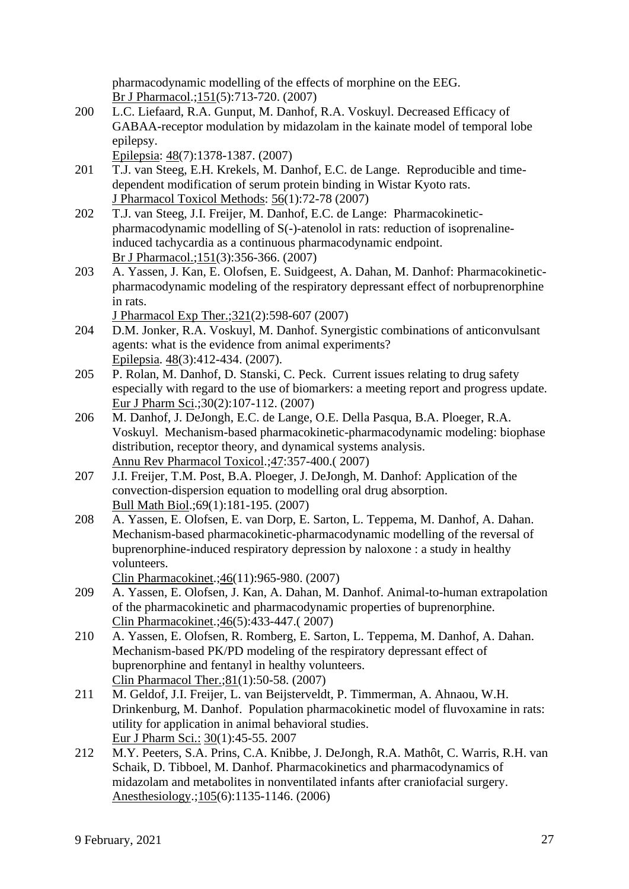pharmacodynamic modelling of the effects of morphine on the EEG. Br J Pharmacol.;151(5):713-720. (2007)

200 L.C. [Liefaard, R.A. Gunput, M. Danhof, R.A. Voskuyl.](http://www.ncbi.nlm.nih.gov/pubmed/17442008?ordinalpos=19&itool=EntrezSystem2.PEntrez.Pubmed.Pubmed_ResultsPanel.Pubmed_RVDocSum) Decreased Efficacy of GABAA-receptor modulation by midazolam in the kainate model of temporal lobe epilepsy.

Epilepsia: 48(7):1378-1387. (2007)

- 201 T.J. [van Steeg, E.H. Krekels, M. Danhof, E.C. de Lange.](http://www.ncbi.nlm.nih.gov/pubmed/17376707?ordinalpos=20&itool=EntrezSystem2.PEntrez.Pubmed.Pubmed_ResultsPanel.Pubmed_RVDocSum) Reproducible and timedependent modification of serum protein binding in Wistar Kyoto rats. J Pharmacol Toxicol Methods: 56(1):72-78 (2007)
- 202 T.J. [van Steeg, J.I. Freijer, M. Danhof, E.C. de Lange:](http://www.ncbi.nlm.nih.gov/pubmed/17420778?ordinalpos=21&itool=EntrezSystem2.PEntrez.Pubmed.Pubmed_ResultsPanel.Pubmed_RVDocSum) Pharmacokineticpharmacodynamic modelling of S(-)-atenolol in rats: reduction of isoprenalineinduced tachycardia as a continuous pharmacodynamic endpoint. Br J Pharmacol.;151(3):356-366. (2007)
- 203 A. [Yassen, J. Kan, E. Olofsen, E. Suidgeest, A. Dahan, M. Danhof:](http://www.ncbi.nlm.nih.gov/pubmed/17283225?ordinalpos=22&itool=EntrezSystem2.PEntrez.Pubmed.Pubmed_ResultsPanel.Pubmed_RVDocSum) Pharmacokineticpharmacodynamic modeling of the respiratory depressant effect of norbuprenorphine in rats.
	- J Pharmacol Exp Ther.;321(2):598-607 (2007)
- 204 D.M. [Jonker, R.A. Voskuyl, M. Danhof.](http://www.ncbi.nlm.nih.gov/pubmed/17346245?ordinalpos=23&itool=EntrezSystem2.PEntrez.Pubmed.Pubmed_ResultsPanel.Pubmed_RVDocSum) Synergistic combinations of anticonvulsant agents: what is the evidence from animal experiments? Epilepsia. 48(3):412-434. (2007).
- 205 P. [Rolan, M. Danhof, D. Stanski, C. Peck.](http://www.ncbi.nlm.nih.gov/pubmed/17196378?ordinalpos=24&itool=EntrezSystem2.PEntrez.Pubmed.Pubmed_ResultsPanel.Pubmed_RVDocSum) Current issues relating to drug safety especially with regard to the use of biomarkers: a meeting report and progress update. Eur J Pharm Sci.;30(2):107-112. (2007)
- 206 M. [Danhof, J. DeJongh, E.C. de Lange, O.E. Della Pasqua, B.A. Ploeger, R.A.](http://www.ncbi.nlm.nih.gov/pubmed/17067280?ordinalpos=25&itool=EntrezSystem2.PEntrez.Pubmed.Pubmed_ResultsPanel.Pubmed_RVDocSum)  [Voskuyl.](http://www.ncbi.nlm.nih.gov/pubmed/17067280?ordinalpos=25&itool=EntrezSystem2.PEntrez.Pubmed.Pubmed_ResultsPanel.Pubmed_RVDocSum) Mechanism-based pharmacokinetic-pharmacodynamic modeling: biophase distribution, receptor theory, and dynamical systems analysis. Annu Rev Pharmacol Toxicol.;47:357-400.( 2007)
- 207 J.I. [Freijer, T.M. Post, B.A. Ploeger, J. DeJongh, M. Danhof:](http://www.ncbi.nlm.nih.gov/pubmed/17024551?ordinalpos=26&itool=EntrezSystem2.PEntrez.Pubmed.Pubmed_ResultsPanel.Pubmed_RVDocSum) Application of the convection-dispersion equation to modelling oral drug absorption. Bull Math Biol.;69(1):181-195. (2007)
- 208 A. [Yassen, E. Olofsen, E. van Dorp, E. Sarton, L. Teppema, M. Danhof, A. Dahan.](http://www.ncbi.nlm.nih.gov/pubmed/17922561?ordinalpos=27&itool=EntrezSystem2.PEntrez.Pubmed.Pubmed_ResultsPanel.Pubmed_RVDocSum) Mechanism-based pharmacokinetic-pharmacodynamic modelling of the reversal of buprenorphine-induced respiratory depression by naloxone : a study in healthy volunteers.

Clin Pharmacokinet.;46(11):965-980. (2007)

- 209 A. [Yassen, E. Olofsen, J. Kan, A. Dahan, M. Danhof.](http://www.ncbi.nlm.nih.gov/pubmed/17465641?ordinalpos=28&itool=EntrezSystem2.PEntrez.Pubmed.Pubmed_ResultsPanel.Pubmed_RVDocSum) Animal-to-human extrapolation of the pharmacokinetic and pharmacodynamic properties of buprenorphine. Clin Pharmacokinet.;46(5):433-447.( 2007)
- 210 A. Yassen, E. [Olofsen, R. Romberg, E. Sarton, L. Teppema, M. Danhof, A. Dahan.](http://www.ncbi.nlm.nih.gov/pubmed/17185999?ordinalpos=29&itool=EntrezSystem2.PEntrez.Pubmed.Pubmed_ResultsPanel.Pubmed_RVDocSum) Mechanism-based PK/PD modeling of the respiratory depressant effect of buprenorphine and fentanyl in healthy volunteers. Clin Pharmacol Ther.;81(1):50-58. (2007)
- 211 M. [Geldof, J.I. Freijer, L. van Beijsterveldt, P. Timmerman, A. Ahnaou, W.H.](http://www.ncbi.nlm.nih.gov/pubmed/17134886?ordinalpos=30&itool=EntrezSystem2.PEntrez.Pubmed.Pubmed_ResultsPanel.Pubmed_RVDocSum)  [Drinkenburg, M. Danhof.](http://www.ncbi.nlm.nih.gov/pubmed/17134886?ordinalpos=30&itool=EntrezSystem2.PEntrez.Pubmed.Pubmed_ResultsPanel.Pubmed_RVDocSum) Population pharmacokinetic model of fluvoxamine in rats: utility for application in animal behavioral studies. Eur J Pharm Sci.: 30(1):45-55. 2007
- 212 M.Y. [Peeters, S.A. Prins, C.A. Knibbe, J. DeJongh, R.A. Mathôt, C. Warris, R.H. van](http://www.ncbi.nlm.nih.gov/pubmed/17122576?ordinalpos=31&itool=EntrezSystem2.PEntrez.Pubmed.Pubmed_ResultsPanel.Pubmed_RVDocSum)  [Schaik, D. Tibboel, M. Danhof.](http://www.ncbi.nlm.nih.gov/pubmed/17122576?ordinalpos=31&itool=EntrezSystem2.PEntrez.Pubmed.Pubmed_ResultsPanel.Pubmed_RVDocSum) Pharmacokinetics and pharmacodynamics of midazolam and metabolites in nonventilated infants after craniofacial surgery. Anesthesiology.;105(6):1135-1146. (2006)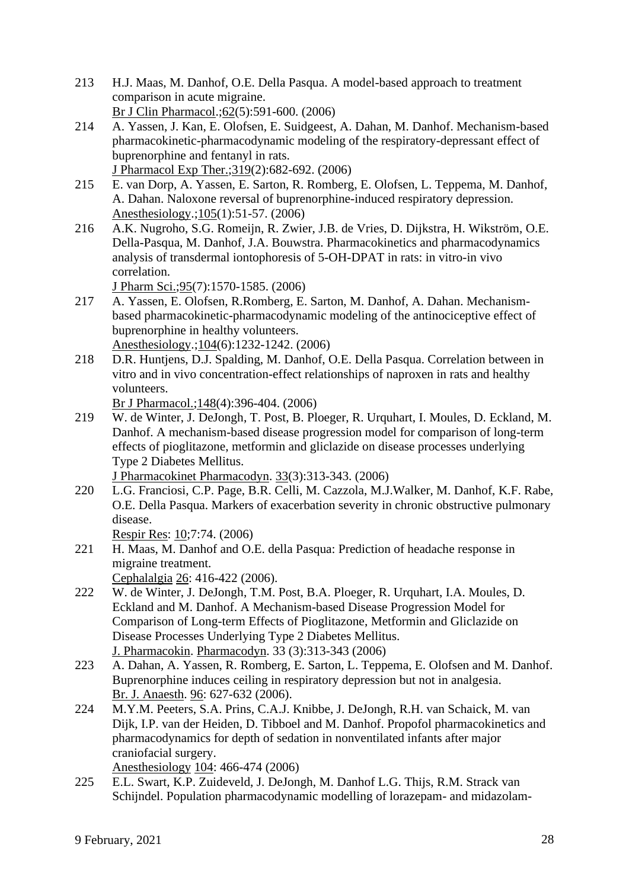- 213 H.J. [Maas, M. Danhof, O.E. Della Pasqua.](http://www.ncbi.nlm.nih.gov/pubmed/17061965?ordinalpos=32&itool=EntrezSystem2.PEntrez.Pubmed.Pubmed_ResultsPanel.Pubmed_RVDocSum) A model-based approach to treatment comparison in acute migraine. Br J Clin Pharmacol.;62(5):591-600. (2006)
- 214 A. [Yassen, J. Kan, E. Olofsen,](http://www.ncbi.nlm.nih.gov/pubmed/16855177?ordinalpos=33&itool=EntrezSystem2.PEntrez.Pubmed.Pubmed_ResultsPanel.Pubmed_RVDocSum) E. Suidgeest, A. Dahan, M. Danhof. Mechanism-based pharmacokinetic-pharmacodynamic modeling of the respiratory-depressant effect of buprenorphine and fentanyl in rats.
- J Pharmacol Exp Ther.;319(2):682-692. (2006) 215 E. [van Dorp, A. Yassen, E. Sarton, R. Romberg, E. Olofsen, L. Teppema, M. Danhof,](http://www.ncbi.nlm.nih.gov/pubmed/16809994?ordinalpos=34&itool=EntrezSystem2.PEntrez.Pubmed.Pubmed_ResultsPanel.Pubmed_RVDocSum)
- [A. Dahan.](http://www.ncbi.nlm.nih.gov/pubmed/16809994?ordinalpos=34&itool=EntrezSystem2.PEntrez.Pubmed.Pubmed_ResultsPanel.Pubmed_RVDocSum) Naloxone reversal of buprenorphine-induced respiratory depression. Anesthesiology.;105(1):51-57. (2006)
- 216 A.K. [Nugroho, S.G. Romeijn, R. Zwier, J.B. de Vries, D. Dijkstra, H. Wikström, O.E.](http://www.ncbi.nlm.nih.gov/pubmed/16732562?ordinalpos=36&itool=EntrezSystem2.PEntrez.Pubmed.Pubmed_ResultsPanel.Pubmed_RVDocSum)  [Della-Pasqua, M. Danhof, J.A. Bouwstra.](http://www.ncbi.nlm.nih.gov/pubmed/16732562?ordinalpos=36&itool=EntrezSystem2.PEntrez.Pubmed.Pubmed_ResultsPanel.Pubmed_RVDocSum) Pharmacokinetics and pharmacodynamics analysis of transdermal iontophoresis of 5-OH-DPAT in rats: in vitro-in vivo correlation.

J Pharm Sci.;95(7):1570-1585. (2006)

- 217 A. [Yassen, E. Olofsen, R.Romberg, E. Sarton, M. Danhof, A. Dahan.](http://www.ncbi.nlm.nih.gov/pubmed/16732095?ordinalpos=37&itool=EntrezSystem2.PEntrez.Pubmed.Pubmed_ResultsPanel.Pubmed_RVDocSum) Mechanismbased pharmacokinetic-pharmacodynamic modeling of the antinociceptive effect of buprenorphine in healthy volunteers. Anesthesiology.;104(6):1232-1242. (2006)
- 218 D.R. [Huntjens, D.J. Spalding, M. Danhof, O.E. Della Pasqua.](http://www.ncbi.nlm.nih.gov/pubmed/16682968?ordinalpos=38&itool=EntrezSystem2.PEntrez.Pubmed.Pubmed_ResultsPanel.Pubmed_RVDocSum) Correlation between in vitro and in vivo concentration-effect relationships of naproxen in rats and healthy volunteers.

Br J Pharmacol.; 148(4): 396-404. (2006)

219 W. [de Winter, J. DeJongh, T. Post, B. Ploeger, R. Urquhart, I. Moules, D. Eckland, M.](http://www.ncbi.nlm.nih.gov/pubmed/16552630?ordinalpos=39&itool=EntrezSystem2.PEntrez.Pubmed.Pubmed_ResultsPanel.Pubmed_RVDocSum)  [Danhof.](http://www.ncbi.nlm.nih.gov/pubmed/16552630?ordinalpos=39&itool=EntrezSystem2.PEntrez.Pubmed.Pubmed_ResultsPanel.Pubmed_RVDocSum) A mechanism-based disease progression model for comparison of long-term effects of pioglitazone, metformin and gliclazide on disease processes underlying Type 2 Diabetes Mellitus.

J Pharmacokinet Pharmacodyn. 33(3):313-343. (2006)

220 L.G. [Franciosi, C.P. Page, B.R. Celli, M. Cazzola, M.J.Walker, M. Danhof, K.F. Rabe,](http://www.ncbi.nlm.nih.gov/pubmed/16686949?ordinalpos=40&itool=EntrezSystem2.PEntrez.Pubmed.Pubmed_ResultsPanel.Pubmed_RVDocSum)  [O.E. Della Pasqua.](http://www.ncbi.nlm.nih.gov/pubmed/16686949?ordinalpos=40&itool=EntrezSystem2.PEntrez.Pubmed.Pubmed_ResultsPanel.Pubmed_RVDocSum) Markers of exacerbation severity in chronic obstructive pulmonary disease.

Respir Res: 10;7:74. (2006)

221 H. Maas, M. Danhof and O.E. della Pasqua: Prediction of headache response in migraine treatment.

Cephalalgia 26: 416-422 (2006).

- 222 W. de Winter, J. DeJongh, T.M. Post, B.A. Ploeger, R. Urquhart, I.A. Moules, D. Eckland and M. Danhof. A Mechanism-based Disease Progression Model for Comparison of Long-term Effects of Pioglitazone, Metformin and Gliclazide on Disease Processes Underlying Type 2 Diabetes Mellitus. J. Pharmacokin. Pharmacodyn. 33 (3):313-343 (2006)
- 223 A. Dahan, A. Yassen, R. Romberg, E. Sarton, L. Teppema, E. Olofsen and M. Danhof. Buprenorphine induces ceiling in respiratory depression but not in analgesia. Br. J. Anaesth. 96: 627-632 (2006).
- 224 M.Y.M. Peeters, S.A. Prins, C.A.J. Knibbe, J. DeJongh, R.H. van Schaick, M. van Dijk, I.P. van der Heiden, D. Tibboel and M. Danhof. Propofol pharmacokinetics and pharmacodynamics for depth of sedation in nonventilated infants after major craniofacial surgery.

Anesthesiology 104: 466-474 (2006)

225 E.L. Swart, K.P. Zuideveld, J. DeJongh, M. Danhof L.G. Thijs, R.M. Strack van Schijndel. Population pharmacodynamic modelling of lorazepam- and midazolam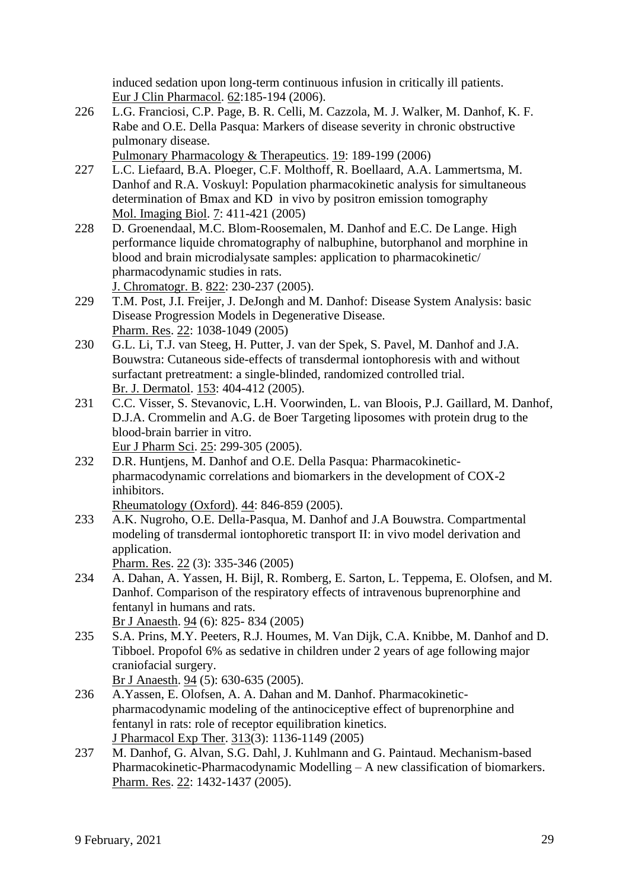induced sedation upon long-term continuous infusion in critically ill patients. Eur J Clin Pharmacol. 62:185-194 (2006).

226 L.G. Franciosi, C.P. Page, B. R. Celli, M. Cazzola, M. J. Walker, M. Danhof, K. F. Rabe and O.E. Della Pasqua: Markers of disease severity in chronic obstructive pulmonary disease.

Pulmonary Pharmacology & Therapeutics. 19: 189-199 (2006)

- 227 L.C. Liefaard, B.A. Ploeger, C.F. Molthoff, R. Boellaard, A.A. Lammertsma, M. Danhof and R.A. Voskuyl: Population pharmacokinetic analysis for simultaneous determination of Bmax and KD in vivo by positron emission tomography Mol. Imaging Biol. 7: 411-421 (2005)
- 228 D. Groenendaal, M.C. Blom-Roosemalen, M. Danhof and E.C. De Lange. High performance liquide chromatography of nalbuphine, butorphanol and morphine in blood and brain microdialysate samples: application to pharmacokinetic/ pharmacodynamic studies in rats.

J. Chromatogr. B. 822: 230-237 (2005).

- 229 T.M. Post, J.I. Freijer, J. DeJongh and M. Danhof: Disease System Analysis: basic Disease Progression Models in Degenerative Disease. Pharm. Res. 22: 1038-1049 (2005)
- 230 G.L. Li, T.J. van Steeg, H. Putter, J. van der Spek, S. Pavel, M. Danhof and J.A. Bouwstra: Cutaneous side-effects of transdermal iontophoresis with and without surfactant pretreatment: a single-blinded, randomized controlled trial. Br. J. Dermatol. 153: 404-412 (2005).
- 231 C.C. Visser, S. Stevanovic, L.H. Voorwinden, L. van Bloois, P.J. Gaillard, M. Danhof, D.J.A. Crommelin and A.G. de Boer Targeting liposomes with protein drug to the blood-brain barrier in vitro.

Eur J Pharm Sci. 25: 299-305 (2005).

232 D.R. Huntjens, M. Danhof and O.E. Della Pasqua: Pharmacokineticpharmacodynamic correlations and biomarkers in the development of COX-2 inhibitors.

Rheumatology (Oxford). 44: 846-859 (2005).

233 A.K. Nugroho, O.E. Della-Pasqua, M. Danhof and J.A Bouwstra. Compartmental modeling of transdermal iontophoretic transport II: in vivo model derivation and application.

Pharm. Res. 22 (3): 335-346 (2005)

- 234 A. Dahan, A. Yassen, H. Bijl, R. Romberg, E. Sarton, L. Teppema, E. Olofsen, and M. Danhof. Comparison of the respiratory effects of intravenous buprenorphine and fentanyl in humans and rats. Br J Anaesth. 94 (6): 825- 834 (2005)
- 235 S.A. Prins, M.Y. Peeters, R.J. Houmes, M. Van Dijk, C.A. Knibbe, M. Danhof and D. Tibboel. Propofol 6% as sedative in children under 2 years of age following major craniofacial surgery.

Br J Anaesth. 94 (5): 630-635 (2005).

- 236 A.Yassen, E. Olofsen, A. A. Dahan and M. Danhof. Pharmacokineticpharmacodynamic modeling of the antinociceptive effect of buprenorphine and fentanyl in rats: role of receptor equilibration kinetics. J Pharmacol Exp Ther. 313(3): 1136-1149 (2005)
- 237 M. Danhof, G. Alvan, S.G. Dahl, J. Kuhlmann and G. Paintaud. Mechanism-based Pharmacokinetic-Pharmacodynamic Modelling – A new classification of biomarkers. Pharm. Res. 22: 1432-1437 (2005).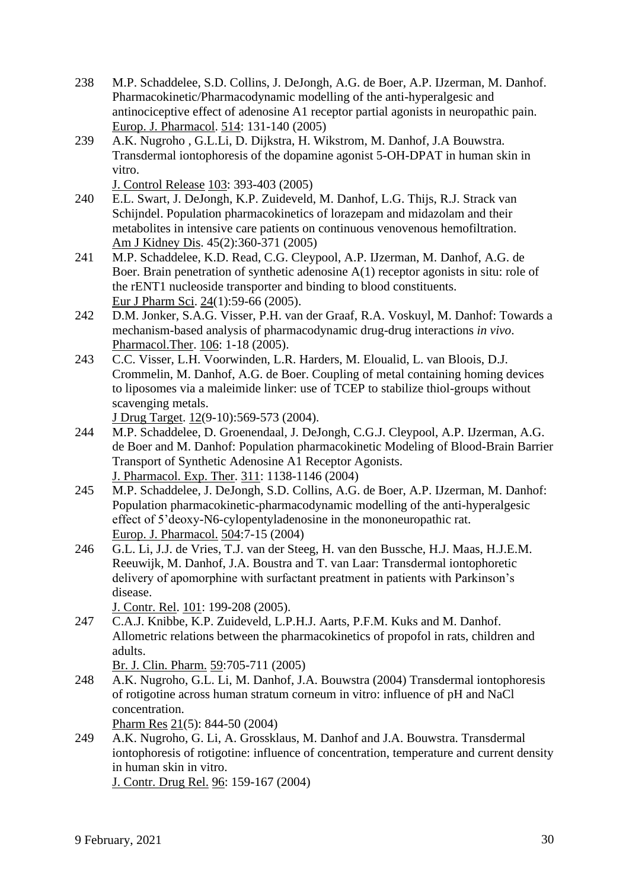- 238 M.P. Schaddelee, S.D. Collins, J. DeJongh, A.G. de Boer, A.P. IJzerman, M. Danhof. Pharmacokinetic/Pharmacodynamic modelling of the anti-hyperalgesic and antinociceptive effect of adenosine A1 receptor partial agonists in neuropathic pain. Europ. J. Pharmacol. 514: 131-140 (2005)
- 239 A.K. Nugroho , G.L.Li, D. Dijkstra, H. Wikstrom, M. Danhof, J.A Bouwstra. Transdermal iontophoresis of the dopamine agonist 5-OH-DPAT in human skin in vitro.

J. Control Release 103: 393-403 (2005)

- 240 E.L. Swart, J. DeJongh, K.P. Zuideveld, M. Danhof, L.G. Thijs, R.J. Strack van Schijndel. Population pharmacokinetics of lorazepam and midazolam and their metabolites in intensive care patients on continuous venovenous hemofiltration. Am J Kidney Dis. 45(2):360-371 (2005)
- 241 M.P. Schaddelee, K.D. Read, C.G. Cleypool, A.P. IJzerman, M. Danhof, A.G. de Boer. Brain penetration of synthetic adenosine A(1) receptor agonists in situ: role of the rENT1 nucleoside transporter and binding to blood constituents. Eur J Pharm Sci. 24(1):59-66 (2005).
- 242 D.M. Jonker, S.A.G. Visser, P.H. van der Graaf, R.A. Voskuyl, M. Danhof: Towards a mechanism-based analysis of pharmacodynamic drug-drug interactions *in vivo*. Pharmacol.Ther. 106: 1-18 (2005).
- 243 C.C. Visser, L.H. Voorwinden, L.R. Harders, M. Eloualid, L. van Bloois, D.J. Crommelin, M. Danhof, A.G. de Boer. Coupling of metal containing homing devices to liposomes via a maleimide linker: use of TCEP to stabilize thiol-groups without scavenging metals.

J Drug Target. 12(9-10):569-573 (2004).

- 244 M.P. Schaddelee, D. Groenendaal, J. DeJongh, C.G.J. Cleypool, A.P. IJzerman, A.G. de Boer and M. Danhof: Population pharmacokinetic Modeling of Blood-Brain Barrier Transport of Synthetic Adenosine A1 Receptor Agonists. J. Pharmacol. Exp. Ther. 311: 1138-1146 (2004)
- 245 M.P. Schaddelee, J. DeJongh, S.D. Collins, A.G. de Boer, A.P. IJzerman, M. Danhof: Population pharmacokinetic-pharmacodynamic modelling of the anti-hyperalgesic effect of 5'deoxy-N6-cylopentyladenosine in the mononeuropathic rat. Europ. J. Pharmacol. 504:7-15 (2004)
- 246 G.L. Li, J.J. de Vries, T.J. van der Steeg, H. van den Bussche, H.J. Maas, H.J.E.M. Reeuwijk, M. Danhof, J.A. Boustra and T. van Laar: Transdermal iontophoretic delivery of apomorphine with surfactant preatment in patients with Parkinson's disease.

J. Contr. Rel. 101: 199-208 (2005).

247 C.A.J. Knibbe, K.P. Zuideveld, L.P.H.J. Aarts, P.F.M. Kuks and M. Danhof. Allometric relations between the pharmacokinetics of propofol in rats, children and adults.

Br. J. Clin. Pharm. 59:705-711 (2005)

248 A.K. Nugroho, G.L. Li, M. Danhof, J.A. Bouwstra (2004) Transdermal iontophoresis of rotigotine across human stratum corneum in vitro: influence of pH and NaCl concentration.

Pharm Res 21(5): 844-50 (2004)

249 A.K. Nugroho, G. Li, A. Grossklaus, M. Danhof and J.A. Bouwstra. Transdermal iontophoresis of rotigotine: influence of concentration, temperature and current density in human skin in vitro.

J. Contr. Drug Rel. 96: 159-167 (2004)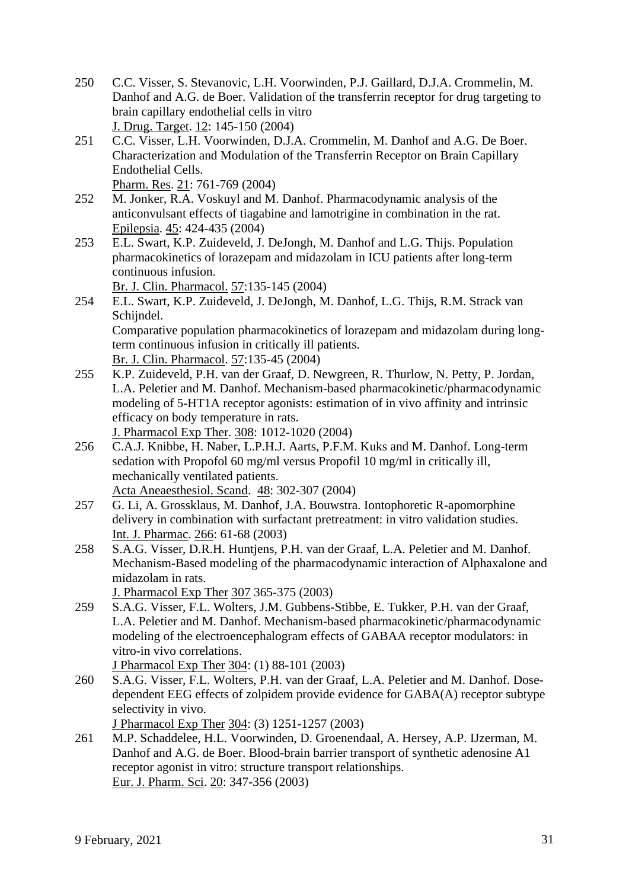- 250 C.C. Visser, S. Stevanovic, L.H. Voorwinden, P.J. Gaillard, D.J.A. Crommelin, M. Danhof and A.G. de Boer. Validation of the transferrin receptor for drug targeting to brain capillary endothelial cells in vitro J. Drug. Target. 12: 145-150 (2004)
- 251 C.C. Visser, L.H. Voorwinden, D.J.A. Crommelin, M. Danhof and A.G. De Boer. Characterization and Modulation of the Transferrin Receptor on Brain Capillary Endothelial Cells. Pharm. Res. 21: 761-769 (2004)
- 252 M. Jonker, R.A. Voskuyl and M. Danhof. Pharmacodynamic analysis of the anticonvulsant effects of tiagabine and lamotrigine in combination in the rat. Epilepsia. 45: 424-435 (2004)
- 253 E.L. Swart, K.P. Zuideveld, J. DeJongh, M. Danhof and L.G. Thijs. Population pharmacokinetics of lorazepam and midazolam in ICU patients after long-term continuous infusion.

Br. J. Clin. Pharmacol. 57:135-145 (2004)

- 254 E.L. Swart, K.P. Zuideveld, J. DeJongh, M. Danhof, L.G. Thijs, R.M. Strack van Schijndel. Comparative population pharmacokinetics of lorazepam and midazolam during longterm continuous infusion in critically ill patients. Br. J. Clin. Pharmacol. 57:135-45 (2004)
- 255 K.P. Zuideveld, P.H. van der Graaf, D. Newgreen, R. Thurlow, N. Petty, P. Jordan, L.A. Peletier and M. Danhof. Mechanism-based pharmacokinetic/pharmacodynamic modeling of 5-HT1A receptor agonists: estimation of in vivo affinity and intrinsic efficacy on body temperature in rats. J. Pharmacol Exp Ther. 308: 1012-1020 (2004)
- 256 C.A.J. Knibbe, H. Naber, L.P.H.J. Aarts, P.F.M. Kuks and M. Danhof. Long-term sedation with Propofol 60 mg/ml versus Propofil 10 mg/ml in critically ill, mechanically ventilated patients. Acta Aneaesthesiol. Scand. 48: 302-307 (2004)
- 257 G. Li, A. Grossklaus, M. Danhof, J.A. Bouwstra. Iontophoretic R-apomorphine delivery in combination with surfactant pretreatment: in vitro validation studies. Int. J. Pharmac. 266: 61-68 (2003)
- 258 S.A.G. Visser, D.R.H. Huntjens, P.H. van der Graaf, L.A. Peletier and M. Danhof. Mechanism-Based modeling of the pharmacodynamic interaction of Alphaxalone and midazolam in rats.

J. Pharmacol Exp Ther 307 365-375 (2003)

259 S.A.G. Visser, F.L. Wolters, J.M. Gubbens-Stibbe, E. Tukker, P.H. van der Graaf, L.A. Peletier and M. Danhof. Mechanism-based pharmacokinetic/pharmacodynamic modeling of the electroencephalogram effects of GABAA receptor modulators: in vitro-in vivo correlations.

J Pharmacol Exp Ther 304: (1) 88-101 (2003)

260 S.A.G. Visser, F.L. Wolters, P.H. van der Graaf, L.A. Peletier and M. Danhof. Dosedependent EEG effects of zolpidem provide evidence for GABA(A) receptor subtype selectivity in vivo.

J Pharmacol Exp Ther 304: (3) 1251-1257 (2003)

261 M.P. Schaddelee, H.L. Voorwinden, D. Groenendaal, A. Hersey, A.P. IJzerman, M. Danhof and A.G. de Boer. Blood-brain barrier transport of synthetic adenosine A1 receptor agonist in vitro: structure transport relationships. Eur. J. Pharm. Sci. 20: 347-356 (2003)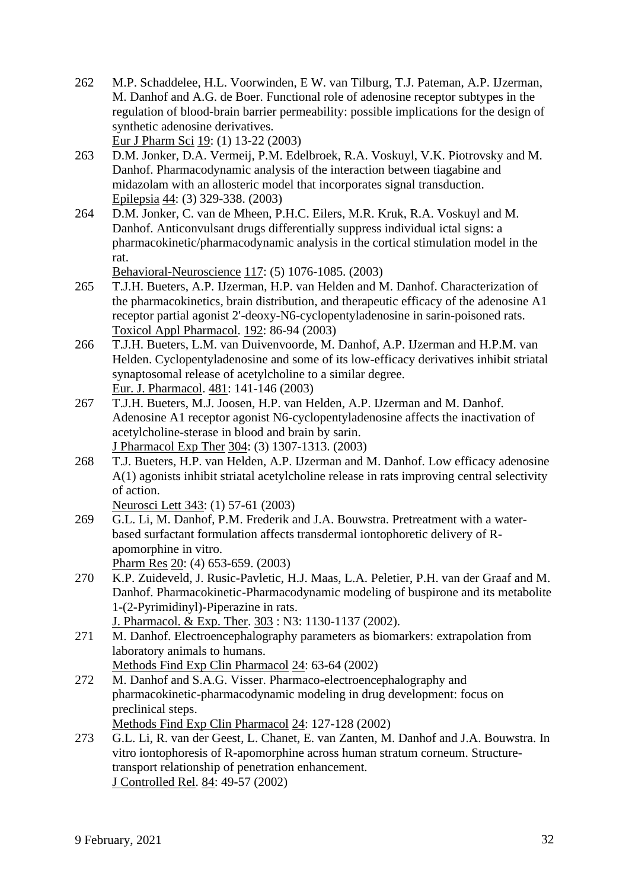- 262 M.P. Schaddelee, H.L. Voorwinden, E W. van Tilburg, T.J. Pateman, A.P. IJzerman, M. Danhof and A.G. de Boer. Functional role of adenosine receptor subtypes in the regulation of blood-brain barrier permeability: possible implications for the design of synthetic adenosine derivatives. Eur J Pharm Sci 19: (1) 13-22 (2003)
- 263 D.M. Jonker, D.A. Vermeij, P.M. Edelbroek, R.A. Voskuyl, V.K. Piotrovsky and M. Danhof. Pharmacodynamic analysis of the interaction between tiagabine and midazolam with an allosteric model that incorporates signal transduction. Epilepsia 44: (3) 329-338. (2003)
- 264 D.M. Jonker, C. van de Mheen, P.H.C. Eilers, M.R. Kruk, R.A. Voskuyl and M. Danhof. Anticonvulsant drugs differentially suppress individual ictal signs: a pharmacokinetic/pharmacodynamic analysis in the cortical stimulation model in the rat.

Behavioral-Neuroscience 117: (5) 1076-1085. (2003)

- 265 T.J.H. Bueters, A.P. IJzerman, H.P. van Helden and M. Danhof. Characterization of the pharmacokinetics, brain distribution, and therapeutic efficacy of the adenosine A1 receptor partial agonist 2'-deoxy-N6-cyclopentyladenosine in sarin-poisoned rats. Toxicol Appl Pharmacol. 192: 86-94 (2003)
- 266 T.J.H. Bueters, L.M. van Duivenvoorde, M. Danhof, A.P. IJzerman and H.P.M. van Helden. Cyclopentyladenosine and some of its low-efficacy derivatives inhibit striatal synaptosomal release of acetylcholine to a similar degree. Eur. J. Pharmacol. 481: 141-146 (2003)
- 267 T.J.H. Bueters, M.J. Joosen, H.P. van Helden, A.P. IJzerman and M. Danhof. Adenosine A1 receptor agonist N6-cyclopentyladenosine affects the inactivation of acetylcholine-sterase in blood and brain by sarin. J Pharmacol Exp Ther 304: (3) 1307-1313. (2003)
- 268 T.J. Bueters, H.P. van Helden, A.P. IJzerman and M. Danhof. Low efficacy adenosine A(1) agonists inhibit striatal acetylcholine release in rats improving central selectivity of action.

Neurosci Lett 343: (1) 57-61 (2003)

- 269 G.L. Li, M. Danhof, P.M. Frederik and J.A. Bouwstra. Pretreatment with a waterbased surfactant formulation affects transdermal iontophoretic delivery of Rapomorphine in vitro. Pharm Res 20: (4) 653-659. (2003)
- 270 K.P. Zuideveld, J. Rusic-Pavletic, H.J. Maas, L.A. Peletier, P.H. van der Graaf and M. Danhof. Pharmacokinetic-Pharmacodynamic modeling of buspirone and its metabolite 1-(2-Pyrimidinyl)-Piperazine in rats. J. Pharmacol. & Exp. Ther. 303 : N3: 1130-1137 (2002).
- 271 M. Danhof. Electroencephalography parameters as biomarkers: extrapolation from laboratory animals to humans. Methods Find Exp Clin Pharmacol 24: 63-64 (2002)
- 272 M. Danhof and S.A.G. Visser. Pharmaco-electroencephalography and pharmacokinetic-pharmacodynamic modeling in drug development: focus on preclinical steps.

Methods Find Exp Clin Pharmacol 24: 127-128 (2002)

273 G.L. Li, R. van der Geest, L. Chanet, E. van Zanten, M. Danhof and J.A. Bouwstra. In vitro iontophoresis of R-apomorphine across human stratum corneum. Structuretransport relationship of penetration enhancement. J Controlled Rel. 84: 49-57 (2002)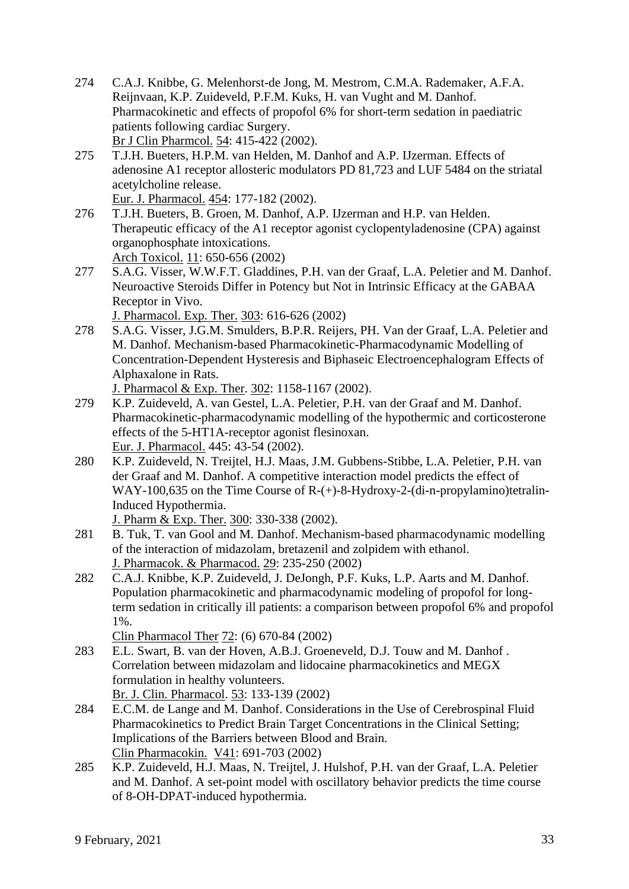- 274 C.A.J. Knibbe, G. Melenhorst-de Jong, M. Mestrom, C.M.A. Rademaker, A.F.A. Reijnvaan, K.P. Zuideveld, P.F.M. Kuks, H. van Vught and M. Danhof. Pharmacokinetic and effects of propofol 6% for short-term sedation in paediatric patients following cardiac Surgery. Br J Clin Pharmcol. 54: 415-422 (2002).
- 275 T.J.H. Bueters, H.P.M. van Helden, M. Danhof and A.P. IJzerman. Effects of adenosine A1 receptor allosteric modulators PD 81,723 and LUF 5484 on the striatal acetylcholine release.

Eur. J. Pharmacol. 454: 177-182 (2002).

- 276 T.J.H. Bueters, B. Groen, M. Danhof, A.P. IJzerman and H.P. van Helden. Therapeutic efficacy of the A1 receptor agonist cyclopentyladenosine (CPA) against organophosphate intoxications. Arch Toxicol. 11: 650-656 (2002)
- 277 S.A.G. Visser, W.W.F.T. Gladdines, P.H. van der Graaf, L.A. Peletier and M. Danhof. Neuroactive Steroids Differ in Potency but Not in Intrinsic Efficacy at the GABAA Receptor in Vivo.
	- J. Pharmacol. Exp. Ther. 303: 616-626 (2002)
- 278 S.A.G. Visser, J.G.M. Smulders, B.P.R. Reijers, PH. Van der Graaf, L.A. Peletier and M. Danhof. Mechanism-based Pharmacokinetic-Pharmacodynamic Modelling of Concentration-Dependent Hysteresis and Biphaseic Electroencephalogram Effects of Alphaxalone in Rats.
	- J. Pharmacol & Exp. Ther. 302: 1158-1167 (2002).
- 279 K.P. Zuideveld, A. van Gestel, L.A. Peletier, P.H. van der Graaf and M. Danhof. Pharmacokinetic-pharmacodynamic modelling of the hypothermic and corticosterone effects of the 5-HT1A-receptor agonist flesinoxan. Eur. J. Pharmacol. 445: 43-54 (2002).
- 280 K.P. Zuideveld, N. Treijtel, H.J. Maas, J.M. Gubbens-Stibbe, L.A. Peletier, P.H. van der Graaf and M. Danhof. A competitive interaction model predicts the effect of WAY-100,635 on the Time Course of R-(+)-8-Hydroxy-2-(di-n-propylamino)tetralin-Induced Hypothermia.

J. Pharm & Exp. Ther. 300: 330-338 (2002).

- 281 B. Tuk, T. van Gool and M. Danhof. Mechanism-based pharmacodynamic modelling of the interaction of midazolam, bretazenil and zolpidem with ethanol. J. Pharmacok. & Pharmacod. 29: 235-250 (2002)
- 282 C.A.J. Knibbe, K.P. Zuideveld, J. DeJongh, P.F. Kuks, L.P. Aarts and M. Danhof. Population pharmacokinetic and pharmacodynamic modeling of propofol for longterm sedation in critically ill patients: a comparison between propofol 6% and propofol 1%.

Clin Pharmacol Ther 72: (6) 670-84 (2002)

- 283 E.L. Swart, B. van der Hoven, A.B.J. Groeneveld, D.J. Touw and M. Danhof . Correlation between midazolam and lidocaine pharmacokinetics and MEGX formulation in healthy volunteers. Br. J. Clin. Pharmacol. 53: 133-139 (2002)
- 284 E.C.M. de Lange and M. Danhof. Considerations in the Use of Cerebrospinal Fluid Pharmacokinetics to Predict Brain Target Concentrations in the Clinical Setting; Implications of the Barriers between Blood and Brain. Clin Pharmacokin. V41: 691-703 (2002)
- 285 K.P. Zuideveld, H.J. Maas, N. Treijtel, J. Hulshof, P.H. van der Graaf, L.A. Peletier and M. Danhof. A set-point model with oscillatory behavior predicts the time course of 8-OH-DPAT-induced hypothermia.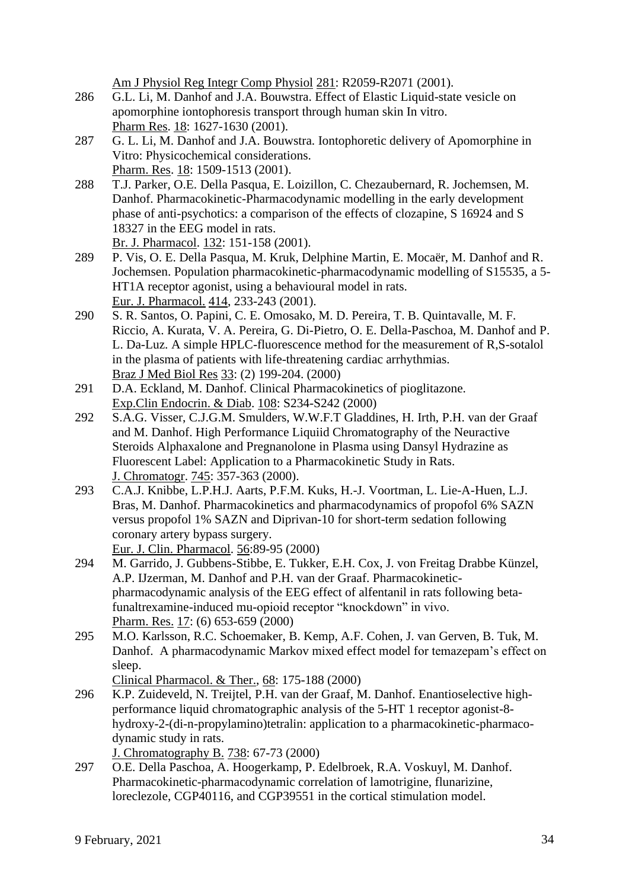Am J Physiol Reg Integr Comp Physiol 281: R2059-R2071 (2001).

- 286 G.L. Li, M. Danhof and J.A. Bouwstra. Effect of Elastic Liquid-state vesicle on apomorphine iontophoresis transport through human skin In vitro. Pharm Res. 18: 1627-1630 (2001).
- 287 G. L. Li, M. Danhof and J.A. Bouwstra. Iontophoretic delivery of Apomorphine in Vitro: Physicochemical considerations. Pharm. Res. 18: 1509-1513 (2001).
- 288 T.J. Parker, O.E. Della Pasqua, E. Loizillon, C. Chezaubernard, R. Jochemsen, M. Danhof. Pharmacokinetic-Pharmacodynamic modelling in the early development phase of anti-psychotics: a comparison of the effects of clozapine, S 16924 and S 18327 in the EEG model in rats. Br. J. Pharmacol. 132: 151-158 (2001).
- 289 P. Vis, O. E. Della Pasqua, M. Kruk, Delphine Martin, E. Mocaër, M. Danhof and R. Jochemsen. Population pharmacokinetic-pharmacodynamic modelling of S15535, a 5- HT1A receptor agonist, using a behavioural model in rats. Eur. J. Pharmacol. 414, 233-243 (2001).
- 290 S. R. Santos, O. Papini, C. E. Omosako, M. D. Pereira, T. B. Quintavalle, M. F. Riccio, A. Kurata, V. A. Pereira, G. Di-Pietro, O. E. Della-Paschoa, M. Danhof and P. L. Da-Luz. A simple HPLC-fluorescence method for the measurement of R,S-sotalol in the plasma of patients with life-threatening cardiac arrhythmias. Braz J Med Biol Res 33: (2) 199-204. (2000)
- 291 D.A. Eckland, M. Danhof. Clinical Pharmacokinetics of pioglitazone. Exp.Clin Endocrin. & Diab. 108: S234-S242 (2000)
- 292 S.A.G. Visser, C.J.G.M. Smulders, W.W.F.T Gladdines, H. Irth, P.H. van der Graaf and M. Danhof. High Performance Liquiid Chromatography of the Neuractive Steroids Alphaxalone and Pregnanolone in Plasma using Dansyl Hydrazine as Fluorescent Label: Application to a Pharmacokinetic Study in Rats. J. Chromatogr. 745: 357-363 (2000).
- 293 C.A.J. Knibbe, L.P.H.J. Aarts, P.F.M. Kuks, H.-J. Voortman, L. Lie-A-Huen, L.J. Bras, M. Danhof. Pharmacokinetics and pharmacodynamics of propofol 6% SAZN versus propofol 1% SAZN and Diprivan-10 for short-term sedation following coronary artery bypass surgery.

Eur. J. Clin. Pharmacol. 56:89-95 (2000)

- 294 M. Garrido, J. Gubbens-Stibbe, E. Tukker, E.H. Cox, J. von Freitag Drabbe Künzel, A.P. IJzerman, M. Danhof and P.H. van der Graaf. Pharmacokineticpharmacodynamic analysis of the EEG effect of alfentanil in rats following betafunaltrexamine-induced mu-opioid receptor "knockdown" in vivo. Pharm. Res. 17: (6) 653-659 (2000)
- 295 M.O. Karlsson, R.C. Schoemaker, B. Kemp, A.F. Cohen, J. van Gerven, B. Tuk, M. Danhof. A pharmacodynamic Markov mixed effect model for temazepam's effect on sleep.

Clinical Pharmacol. & Ther., 68: 175-188 (2000)

- 296 K.P. Zuideveld, N. Treijtel, P.H. van der Graaf, M. Danhof. Enantioselective highperformance liquid chromatographic analysis of the 5-HT 1 receptor agonist-8 hydroxy-2-(di-n-propylamino)tetralin: application to a pharmacokinetic-pharmacodynamic study in rats. J. Chromatography B. 738: 67-73 (2000)
- 297 O.E. Della Paschoa, A. Hoogerkamp, P. Edelbroek, R.A. Voskuyl, M. Danhof. Pharmacokinetic-pharmacodynamic correlation of lamotrigine, flunarizine, loreclezole, CGP40116, and CGP39551 in the cortical stimulation model.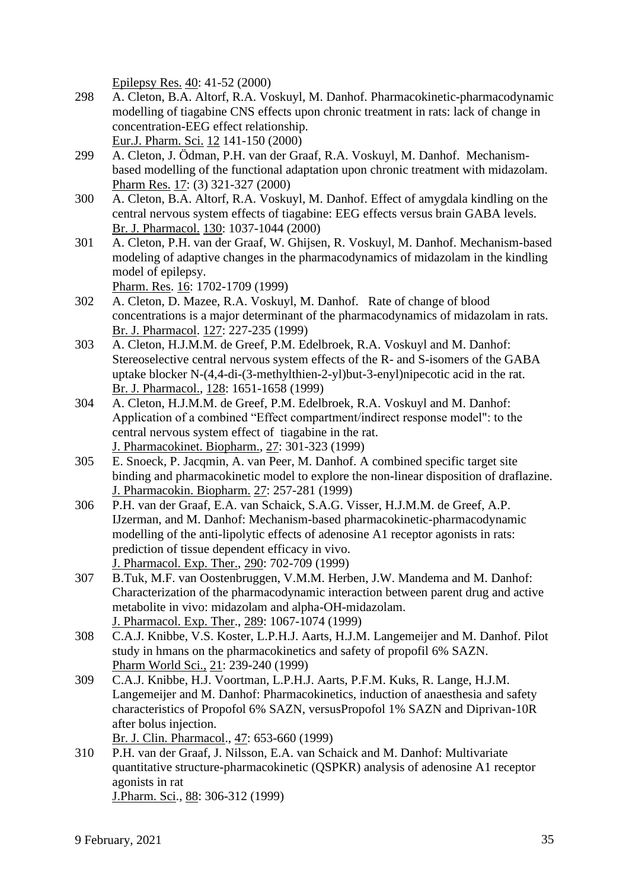Epilepsy Res. 40: 41-52 (2000)

- 298 A. Cleton, B.A. Altorf, R.A. Voskuyl, M. Danhof. Pharmacokinetic-pharmacodynamic modelling of tiagabine CNS effects upon chronic treatment in rats: lack of change in concentration-EEG effect relationship. Eur.J. Pharm. Sci. 12 141-150 (2000)
- 299 A. Cleton, J. Ödman, P.H. van der Graaf, R.A. Voskuyl, M. Danhof. Mechanismbased modelling of the functional adaptation upon chronic treatment with midazolam. Pharm Res. 17: (3) 321-327 (2000)
- 300 A. Cleton, B.A. Altorf, R.A. Voskuyl, M. Danhof. Effect of amygdala kindling on the central nervous system effects of tiagabine: EEG effects versus brain GABA levels. Br. J. Pharmacol. 130: 1037-1044 (2000)
- 301 A. Cleton, P.H. van der Graaf, W. Ghijsen, R. Voskuyl, M. Danhof. Mechanism-based modeling of adaptive changes in the pharmacodynamics of midazolam in the kindling model of epilepsy.

Pharm. Res. 16: 1702-1709 (1999)

- 302 A. Cleton, D. Mazee, R.A. Voskuyl, M. Danhof. Rate of change of blood concentrations is a major determinant of the pharmacodynamics of midazolam in rats. Br. J. Pharmacol. 127: 227-235 (1999)
- 303 A. Cleton, H.J.M.M. de Greef, P.M. Edelbroek, R.A. Voskuyl and M. Danhof: Stereoselective central nervous system effects of the R- and S-isomers of the GABA uptake blocker N-(4,4-di-(3-methylthien-2-yl)but-3-enyl)nipecotic acid in the rat. Br. J. Pharmacol., 128: 1651-1658 (1999)
- 304 A. Cleton, H.J.M.M. de Greef, P.M. Edelbroek, R.A. Voskuyl and M. Danhof: Application of a combined "Effect compartment/indirect response model": to the central nervous system effect of tiagabine in the rat. J. Pharmacokinet. Biopharm., 27: 301-323 (1999)
- 305 E. Snoeck, P. Jacqmin, A. van Peer, M. Danhof. A combined specific target site binding and pharmacokinetic model to explore the non-linear disposition of draflazine. J. Pharmacokin. Biopharm. 27: 257-281 (1999)
- 306 P.H. van der Graaf, E.A. van Schaick, S.A.G. Visser, H.J.M.M. de Greef, A.P. IJzerman, and M. Danhof: Mechanism-based pharmacokinetic-pharmacodynamic modelling of the anti-lipolytic effects of adenosine A1 receptor agonists in rats: prediction of tissue dependent efficacy in vivo. J. Pharmacol. Exp. Ther., 290: 702-709 (1999)
- 307 B.Tuk, M.F. van Oostenbruggen, V.M.M. Herben, J.W. Mandema and M. Danhof: Characterization of the pharmacodynamic interaction between parent drug and active metabolite in vivo: midazolam and alpha-OH-midazolam. J. Pharmacol. Exp. Ther., 289: 1067-1074 (1999)
- 308 C.A.J. Knibbe, V.S. Koster, L.P.H.J. Aarts, H.J.M. Langemeijer and M. Danhof. Pilot study in hmans on the pharmacokinetics and safety of propofil 6% SAZN. Pharm World Sci., 21: 239-240 (1999)
- 309 C.A.J. Knibbe, H.J. Voortman, L.P.H.J. Aarts, P.F.M. Kuks, R. Lange, H.J.M. Langemeijer and M. Danhof: Pharmacokinetics, induction of anaesthesia and safety characteristics of Propofol 6% SAZN, versusPropofol 1% SAZN and Diprivan-10R after bolus injection.

Br. J. Clin. Pharmacol., 47: 653-660 (1999)

310 P.H. van der Graaf, J. Nilsson, E.A. van Schaick and M. Danhof: Multivariate quantitative structure-pharmacokinetic (QSPKR) analysis of adenosine A1 receptor agonists in rat J.Pharm. Sci., 88: 306-312 (1999)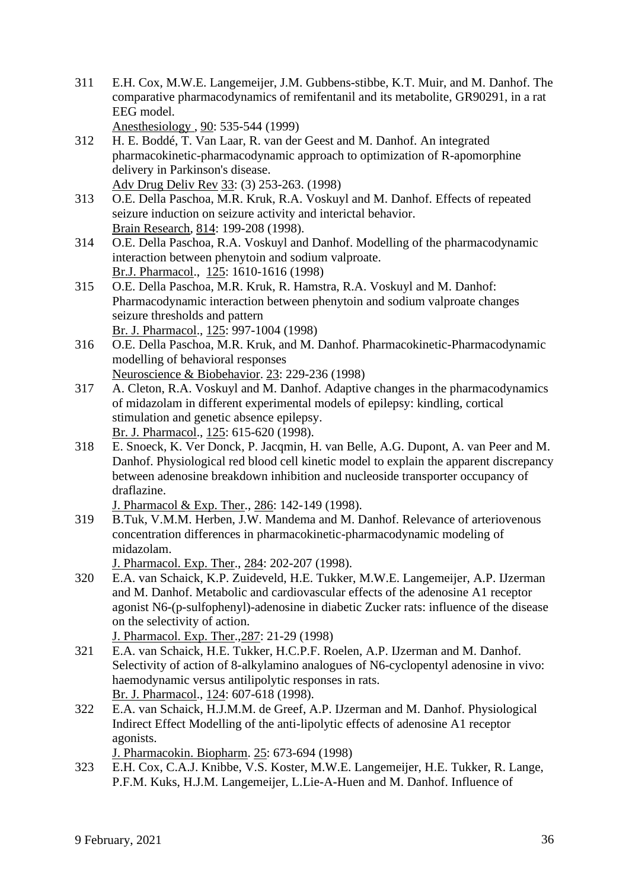311 E.H. Cox, M.W.E. Langemeijer, J.M. Gubbens-stibbe, K.T. Muir, and M. Danhof. The comparative pharmacodynamics of remifentanil and its metabolite, GR90291, in a rat EEG model.

Anesthesiology , 90: 535-544 (1999)

- 312 H. E. Boddé, T. Van Laar, R. van der Geest and M. Danhof. An integrated pharmacokinetic-pharmacodynamic approach to optimization of R-apomorphine delivery in Parkinson's disease. Adv Drug Deliv Rev 33: (3) 253-263. (1998)
- 313 O.E. Della Paschoa, M.R. Kruk, R.A. Voskuyl and M. Danhof. Effects of repeated seizure induction on seizure activity and interictal behavior. Brain Research, 814: 199-208 (1998).
- 314 O.E. Della Paschoa, R.A. Voskuyl and Danhof. Modelling of the pharmacodynamic interaction between phenytoin and sodium valproate. Br.J. Pharmacol., 125: 1610-1616 (1998)
- 315 O.E. Della Paschoa, M.R. Kruk, R. Hamstra, R.A. Voskuyl and M. Danhof: Pharmacodynamic interaction between phenytoin and sodium valproate changes seizure thresholds and pattern Br. J. Pharmacol., 125: 997-1004 (1998)
- 316 O.E. Della Paschoa, M.R. Kruk, and M. Danhof. Pharmacokinetic-Pharmacodynamic modelling of behavioral responses Neuroscience & Biobehavior. 23: 229-236 (1998)
- 317 A. Cleton, R.A. Voskuyl and M. Danhof. Adaptive changes in the pharmacodynamics of midazolam in different experimental models of epilepsy: kindling, cortical stimulation and genetic absence epilepsy. Br. J. Pharmacol., 125: 615-620 (1998).
- 318 E. Snoeck, K. Ver Donck, P. Jacqmin, H. van Belle, A.G. Dupont, A. van Peer and M. Danhof. Physiological red blood cell kinetic model to explain the apparent discrepancy between adenosine breakdown inhibition and nucleoside transporter occupancy of draflazine.

J. Pharmacol & Exp. Ther., 286: 142-149 (1998).

319 B.Tuk, V.M.M. Herben, J.W. Mandema and M. Danhof. Relevance of arteriovenous concentration differences in pharmacokinetic-pharmacodynamic modeling of midazolam.

J. Pharmacol. Exp. Ther., 284: 202-207 (1998).

320 E.A. van Schaick, K.P. Zuideveld, H.E. Tukker, M.W.E. Langemeijer, A.P. IJzerman and M. Danhof. Metabolic and cardiovascular effects of the adenosine A1 receptor agonist N6-(p-sulfophenyl)-adenosine in diabetic Zucker rats: influence of the disease on the selectivity of action.

J. Pharmacol. Exp. Ther.,287: 21-29 (1998)

- 321 E.A. van Schaick, H.E. Tukker, H.C.P.F. Roelen, A.P. IJzerman and M. Danhof. Selectivity of action of 8-alkylamino analogues of N6-cyclopentyl adenosine in vivo: haemodynamic versus antilipolytic responses in rats. Br. J. Pharmacol., 124: 607-618 (1998).
- 322 E.A. van Schaick, H.J.M.M. de Greef, A.P. IJzerman and M. Danhof. Physiological Indirect Effect Modelling of the anti-lipolytic effects of adenosine A1 receptor agonists.

J. Pharmacokin. Biopharm. 25: 673-694 (1998)

323 E.H. Cox, C.A.J. Knibbe, V.S. Koster, M.W.E. Langemeijer, H.E. Tukker, R. Lange, P.F.M. Kuks, H.J.M. Langemeijer, L.Lie-A-Huen and M. Danhof. Influence of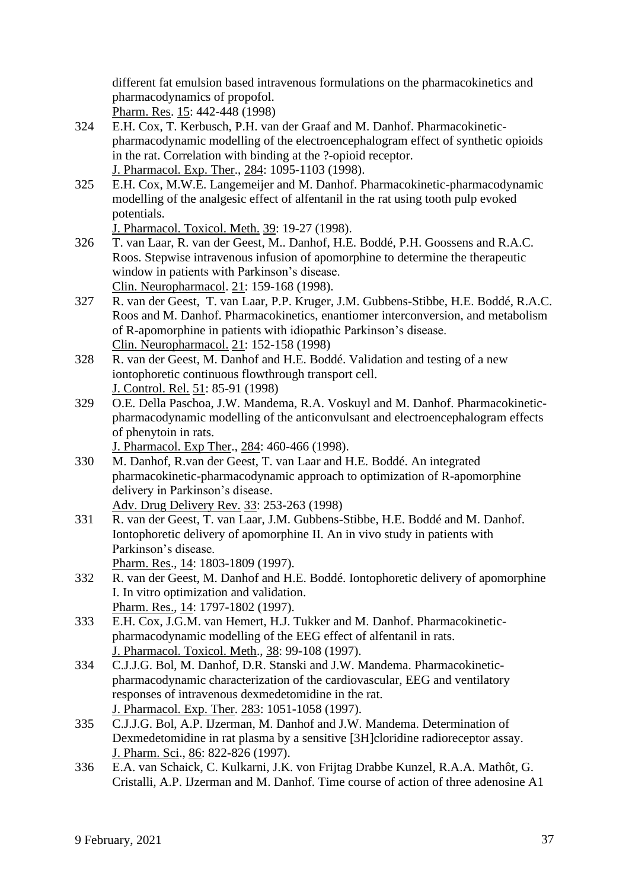different fat emulsion based intravenous formulations on the pharmacokinetics and pharmacodynamics of propofol.

Pharm. Res. 15: 442-448 (1998)

- 324 E.H. Cox, T. Kerbusch, P.H. van der Graaf and M. Danhof. Pharmacokineticpharmacodynamic modelling of the electroencephalogram effect of synthetic opioids in the rat. Correlation with binding at the ?-opioid receptor. J. Pharmacol. Exp. Ther., 284: 1095-1103 (1998).
- 325 E.H. Cox, M.W.E. Langemeijer and M. Danhof. Pharmacokinetic-pharmacodynamic modelling of the analgesic effect of alfentanil in the rat using tooth pulp evoked potentials.

J. Pharmacol. Toxicol. Meth. 39: 19-27 (1998).

- 326 T. van Laar, R. van der Geest, M.. Danhof, H.E. Boddé, P.H. Goossens and R.A.C. Roos. Stepwise intravenous infusion of apomorphine to determine the therapeutic window in patients with Parkinson's disease. Clin. Neuropharmacol. 21: 159-168 (1998).
- 327 R. van der Geest, T. van Laar, P.P. Kruger, J.M. Gubbens-Stibbe, H.E. Boddé, R.A.C. Roos and M. Danhof. Pharmacokinetics, enantiomer interconversion, and metabolism of R-apomorphine in patients with idiopathic Parkinson's disease. Clin. Neuropharmacol. 21: 152-158 (1998)
- 328 R. van der Geest, M. Danhof and H.E. Boddé. Validation and testing of a new iontophoretic continuous flowthrough transport cell. J. Control. Rel. 51: 85-91 (1998)
- 329 O.E. Della Paschoa, J.W. Mandema, R.A. Voskuyl and M. Danhof. Pharmacokineticpharmacodynamic modelling of the anticonvulsant and electroencephalogram effects of phenytoin in rats.

J. Pharmacol. Exp Ther., 284: 460-466 (1998).

- 330 M. Danhof, R.van der Geest, T. van Laar and H.E. Boddé. An integrated pharmacokinetic-pharmacodynamic approach to optimization of R-apomorphine delivery in Parkinson's disease. Adv. Drug Delivery Rev. 33: 253-263 (1998)
- 331 R. van der Geest, T. van Laar, J.M. Gubbens-Stibbe, H.E. Boddé and M. Danhof. Iontophoretic delivery of apomorphine II. An in vivo study in patients with Parkinson's disease. Pharm. Res., 14: 1803-1809 (1997).
- 332 R. van der Geest, M. Danhof and H.E. Boddé. Iontophoretic delivery of apomorphine I. In vitro optimization and validation. Pharm. Res., 14: 1797-1802 (1997).
- 333 E.H. Cox, J.G.M. van Hemert, H.J. Tukker and M. Danhof. Pharmacokineticpharmacodynamic modelling of the EEG effect of alfentanil in rats. J. Pharmacol. Toxicol. Meth., 38: 99-108 (1997).
- 334 C.J.J.G. Bol, M. Danhof, D.R. Stanski and J.W. Mandema. Pharmacokineticpharmacodynamic characterization of the cardiovascular, EEG and ventilatory responses of intravenous dexmedetomidine in the rat. J. Pharmacol. Exp. Ther. 283: 1051-1058 (1997).
- 335 C.J.J.G. Bol, A.P. IJzerman, M. Danhof and J.W. Mandema. Determination of Dexmedetomidine in rat plasma by a sensitive [3H]cloridine radioreceptor assay. J. Pharm. Sci., 86: 822-826 (1997).
- 336 E.A. van Schaick, C. Kulkarni, J.K. von Frijtag Drabbe Kunzel, R.A.A. Mathôt, G. Cristalli, A.P. IJzerman and M. Danhof. Time course of action of three adenosine A1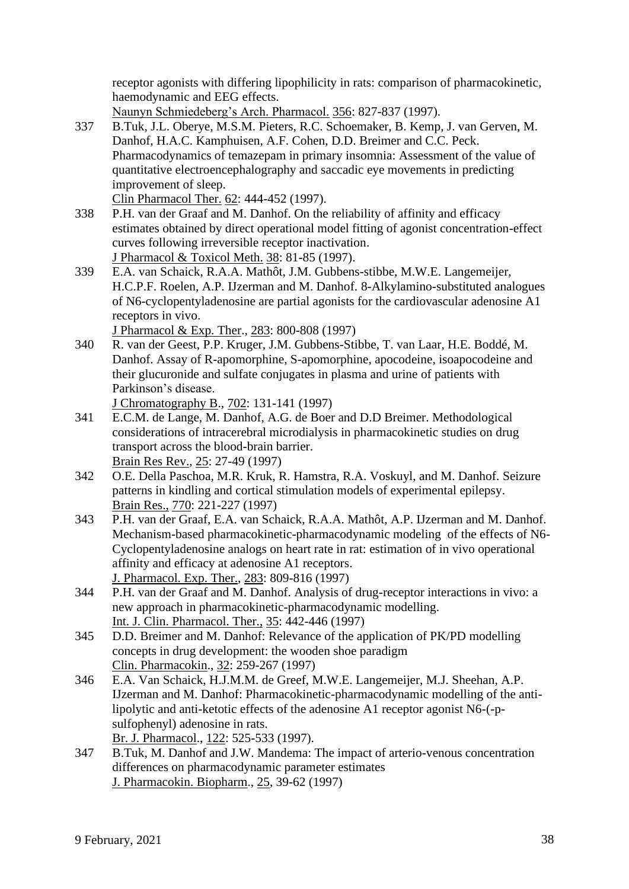receptor agonists with differing lipophilicity in rats: comparison of pharmacokinetic, haemodynamic and EEG effects.

Naunyn Schmiedeberg's Arch. Pharmacol. 356: 827-837 (1997).

337 B.Tuk, J.L. Oberye, M.S.M. Pieters, R.C. Schoemaker, B. Kemp, J. van Gerven, M. Danhof, H.A.C. Kamphuisen, A.F. Cohen, D.D. Breimer and C.C. Peck. Pharmacodynamics of temazepam in primary insomnia: Assessment of the value of quantitative electroencephalography and saccadic eye movements in predicting improvement of sleep.

Clin Pharmacol Ther. 62: 444-452 (1997).

- 338 P.H. van der Graaf and M. Danhof. On the reliability of affinity and efficacy estimates obtained by direct operational model fitting of agonist concentration-effect curves following irreversible receptor inactivation. J Pharmacol & Toxicol Meth. 38: 81-85 (1997).
- 339 E.A. van Schaick, R.A.A. Mathôt, J.M. Gubbens-stibbe, M.W.E. Langemeijer, H.C.P.F. Roelen, A.P. IJzerman and M. Danhof. 8-Alkylamino-substituted analogues of N6-cyclopentyladenosine are partial agonists for the cardiovascular adenosine A1 receptors in vivo.

J Pharmacol & Exp. Ther., 283: 800-808 (1997)

340 R. van der Geest, P.P. Kruger, J.M. Gubbens-Stibbe, T. van Laar, H.E. Boddé, M. Danhof. Assay of R-apomorphine, S-apomorphine, apocodeine, isoapocodeine and their glucuronide and sulfate conjugates in plasma and urine of patients with Parkinson's disease.

J Chromatography B., 702: 131-141 (1997)

- 341 E.C.M. de Lange, M. Danhof, A.G. de Boer and D.D Breimer. Methodological considerations of intracerebral microdialysis in pharmacokinetic studies on drug transport across the blood-brain barrier. Brain Res Rev., 25: 27-49 (1997)
- 342 O.E. Della Paschoa, M.R. Kruk, R. Hamstra, R.A. Voskuyl, and M. Danhof. Seizure patterns in kindling and cortical stimulation models of experimental epilepsy. Brain Res., 770: 221-227 (1997)
- 343 P.H. van der Graaf, E.A. van Schaick, R.A.A. Mathôt, A.P. IJzerman and M. Danhof. Mechanism-based pharmacokinetic-pharmacodynamic modeling of the effects of N6- Cyclopentyladenosine analogs on heart rate in rat: estimation of in vivo operational affinity and efficacy at adenosine A1 receptors. J. Pharmacol. Exp. Ther., 283: 809-816 (1997)
- 344 P.H. van der Graaf and M. Danhof. Analysis of drug-receptor interactions in vivo: a new approach in pharmacokinetic-pharmacodynamic modelling. Int. J. Clin. Pharmacol. Ther., 35: 442-446 (1997)
- 345 D.D. Breimer and M. Danhof: Relevance of the application of PK/PD modelling concepts in drug development: the wooden shoe paradigm Clin. Pharmacokin., 32: 259-267 (1997)
- 346 E.A. Van Schaick, H.J.M.M. de Greef, M.W.E. Langemeijer, M.J. Sheehan, A.P. IJzerman and M. Danhof: Pharmacokinetic-pharmacodynamic modelling of the antilipolytic and anti-ketotic effects of the adenosine A1 receptor agonist N6-(-psulfophenyl) adenosine in rats.

Br. J. Pharmacol., 122: 525-533 (1997).

347 B.Tuk, M. Danhof and J.W. Mandema: The impact of arterio-venous concentration differences on pharmacodynamic parameter estimates J. Pharmacokin. Biopharm., 25, 39-62 (1997)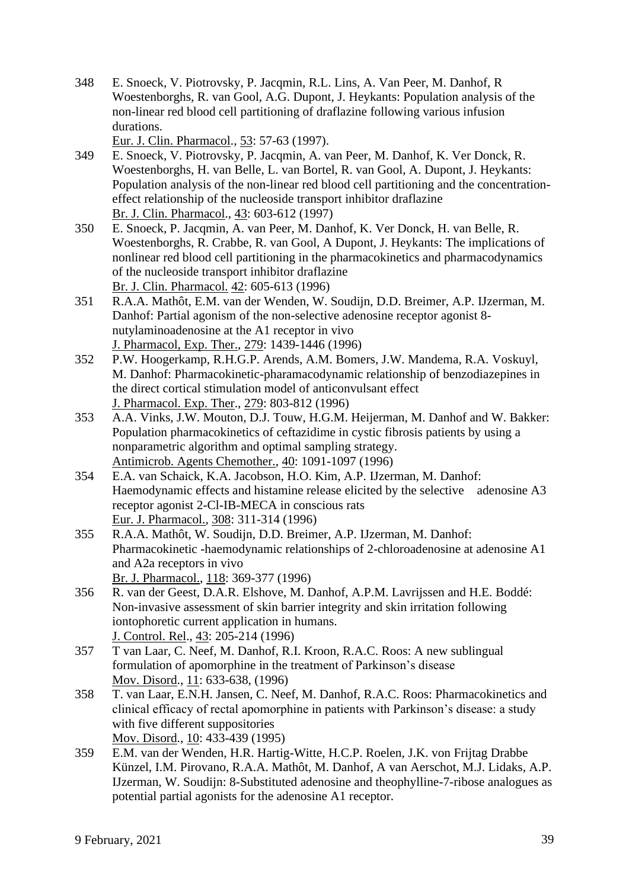348 E. Snoeck, V. Piotrovsky, P. Jacqmin, R.L. Lins, A. Van Peer, M. Danhof, R Woestenborghs, R. van Gool, A.G. Dupont, J. Heykants: Population analysis of the non-linear red blood cell partitioning of draflazine following various infusion durations.

Eur. J. Clin. Pharmacol., 53: 57-63 (1997).

- 349 E. Snoeck, V. Piotrovsky, P. Jacqmin, A. van Peer, M. Danhof, K. Ver Donck, R. Woestenborghs, H. van Belle, L. van Bortel, R. van Gool, A. Dupont, J. Heykants: Population analysis of the non-linear red blood cell partitioning and the concentrationeffect relationship of the nucleoside transport inhibitor draflazine Br. J. Clin. Pharmacol., 43: 603-612 (1997)
- 350 E. Snoeck, P. Jacqmin, A. van Peer, M. Danhof, K. Ver Donck, H. van Belle, R. Woestenborghs, R. Crabbe, R. van Gool, A Dupont, J. Heykants: The implications of nonlinear red blood cell partitioning in the pharmacokinetics and pharmacodynamics of the nucleoside transport inhibitor draflazine Br. J. Clin. Pharmacol. 42: 605-613 (1996)
- 351 R.A.A. Mathôt, E.M. van der Wenden, W. Soudijn, D.D. Breimer, A.P. IJzerman, M. Danhof: Partial agonism of the non-selective adenosine receptor agonist 8 nutylaminoadenosine at the A1 receptor in vivo J. Pharmacol, Exp. Ther., 279: 1439-1446 (1996)
- 352 P.W. Hoogerkamp, R.H.G.P. Arends, A.M. Bomers, J.W. Mandema, R.A. Voskuyl, M. Danhof: Pharmacokinetic-pharamacodynamic relationship of benzodiazepines in the direct cortical stimulation model of anticonvulsant effect J. Pharmacol. Exp. Ther., 279: 803-812 (1996)
- 353 A.A. Vinks, J.W. Mouton, D.J. Touw, H.G.M. Heijerman, M. Danhof and W. Bakker: Population pharmacokinetics of ceftazidime in cystic fibrosis patients by using a nonparametric algorithm and optimal sampling strategy. Antimicrob. Agents Chemother., 40: 1091-1097 (1996)
- 354 E.A. van Schaick, K.A. Jacobson, H.O. Kim, A.P. IJzerman, M. Danhof: Haemodynamic effects and histamine release elicited by the selective adenosine A3 receptor agonist 2-Cl-IB-MECA in conscious rats Eur. J. Pharmacol., 308: 311-314 (1996)
- 355 R.A.A. Mathôt, W. Soudijn, D.D. Breimer, A.P. IJzerman, M. Danhof: Pharmacokinetic -haemodynamic relationships of 2-chloroadenosine at adenosine A1 and A2a receptors in vivo Br. J. Pharmacol., 118: 369-377 (1996)
- 356 R. van der Geest, D.A.R. Elshove, M. Danhof, A.P.M. Lavrijssen and H.E. Boddé: Non-invasive assessment of skin barrier integrity and skin irritation following iontophoretic current application in humans. J. Control. Rel., 43: 205-214 (1996)
- 357 T van Laar, C. Neef, M. Danhof, R.I. Kroon, R.A.C. Roos: A new sublingual formulation of apomorphine in the treatment of Parkinson's disease Mov. Disord., 11: 633-638, (1996)
- 358 T. van Laar, E.N.H. Jansen, C. Neef, M. Danhof, R.A.C. Roos: Pharmacokinetics and clinical efficacy of rectal apomorphine in patients with Parkinson's disease: a study with five different suppositories Mov. Disord., 10: 433-439 (1995)
- 359 E.M. van der Wenden, H.R. Hartig-Witte, H.C.P. Roelen, J.K. von Frijtag Drabbe Künzel, I.M. Pirovano, R.A.A. Mathôt, M. Danhof, A van Aerschot, M.J. Lidaks, A.P. IJzerman, W. Soudijn: 8-Substituted adenosine and theophylline-7-ribose analogues as potential partial agonists for the adenosine A1 receptor.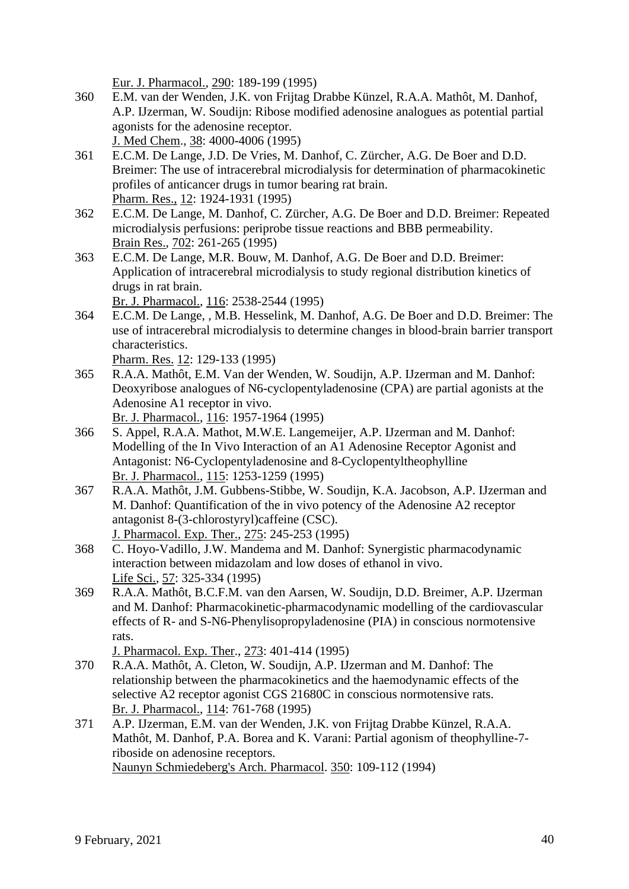Eur. J. Pharmacol., 290: 189-199 (1995)

- 360 E.M. van der Wenden, J.K. von Frijtag Drabbe Künzel, R.A.A. Mathôt, M. Danhof, A.P. IJzerman, W. Soudijn: Ribose modified adenosine analogues as potential partial agonists for the adenosine receptor. J. Med Chem., 38: 4000-4006 (1995)
- 361 E.C.M. De Lange, J.D. De Vries, M. Danhof, C. Zürcher, A.G. De Boer and D.D. Breimer: The use of intracerebral microdialysis for determination of pharmacokinetic profiles of anticancer drugs in tumor bearing rat brain. Pharm. Res., 12: 1924-1931 (1995)
- 362 E.C.M. De Lange, M. Danhof, C. Zürcher, A.G. De Boer and D.D. Breimer: Repeated microdialysis perfusions: periprobe tissue reactions and BBB permeability. Brain Res., 702: 261-265 (1995)
- 363 E.C.M. De Lange, M.R. Bouw, M. Danhof, A.G. De Boer and D.D. Breimer: Application of intracerebral microdialysis to study regional distribution kinetics of drugs in rat brain.

Br. J. Pharmacol., 116: 2538-2544 (1995)

364 E.C.M. De Lange, , M.B. Hesselink, M. Danhof, A.G. De Boer and D.D. Breimer: The use of intracerebral microdialysis to determine changes in blood-brain barrier transport characteristics.

Pharm. Res. 12: 129-133 (1995)

- 365 R.A.A. Mathôt, E.M. Van der Wenden, W. Soudijn, A.P. IJzerman and M. Danhof: Deoxyribose analogues of N6-cyclopentyladenosine (CPA) are partial agonists at the Adenosine A1 receptor in vivo. Br. J. Pharmacol., 116: 1957-1964 (1995)
- 366 S. Appel, R.A.A. Mathot, M.W.E. Langemeijer, A.P. IJzerman and M. Danhof: Modelling of the In Vivo Interaction of an A1 Adenosine Receptor Agonist and Antagonist: N6-Cyclopentyladenosine and 8-Cyclopentyltheophylline Br. J. Pharmacol., 115: 1253-1259 (1995)
- 367 R.A.A. Mathôt, J.M. Gubbens-Stibbe, W. Soudijn, K.A. Jacobson, A.P. IJzerman and M. Danhof: Quantification of the in vivo potency of the Adenosine A2 receptor antagonist 8-(3-chlorostyryl)caffeine (CSC). J. Pharmacol. Exp. Ther., 275: 245-253 (1995)
- 368 C. Hoyo-Vadillo, J.W. Mandema and M. Danhof: Synergistic pharmacodynamic interaction between midazolam and low doses of ethanol in vivo. Life Sci., 57: 325-334 (1995)
- 369 R.A.A. Mathôt, B.C.F.M. van den Aarsen, W. Soudijn, D.D. Breimer, A.P. IJzerman and M. Danhof: Pharmacokinetic-pharmacodynamic modelling of the cardiovascular effects of R- and S-N6-Phenylisopropyladenosine (PIA) in conscious normotensive rats.

J. Pharmacol. Exp. Ther., 273: 401-414 (1995)

- 370 R.A.A. Mathôt, A. Cleton, W. Soudijn, A.P. IJzerman and M. Danhof: The relationship between the pharmacokinetics and the haemodynamic effects of the selective A2 receptor agonist CGS 21680C in conscious normotensive rats. Br. J. Pharmacol., 114: 761-768 (1995)
- 371 A.P. IJzerman, E.M. van der Wenden, J.K. von Frijtag Drabbe Künzel, R.A.A. Mathôt, M. Danhof, P.A. Borea and K. Varani: Partial agonism of theophylline-7 riboside on adenosine receptors. Naunyn Schmiedeberg's Arch. Pharmacol. 350: 109-112 (1994)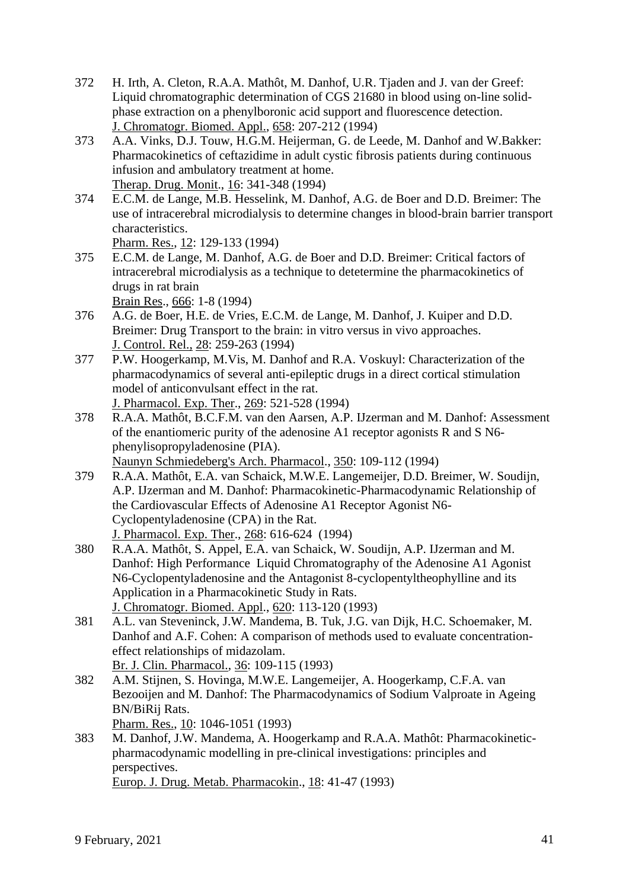- 372 H. Irth, A. Cleton, R.A.A. Mathôt, M. Danhof, U.R. Tjaden and J. van der Greef: Liquid chromatographic determination of CGS 21680 in blood using on-line solidphase extraction on a phenylboronic acid support and fluorescence detection. J. Chromatogr. Biomed. Appl., 658: 207-212 (1994)
- 373 A.A. Vinks, D.J. Touw, H.G.M. Heijerman, G. de Leede, M. Danhof and W.Bakker: Pharmacokinetics of ceftazidime in adult cystic fibrosis patients during continuous infusion and ambulatory treatment at home. Therap. Drug. Monit., 16: 341-348 (1994)
- 374 E.C.M. de Lange, M.B. Hesselink, M. Danhof, A.G. de Boer and D.D. Breimer: The use of intracerebral microdialysis to determine changes in blood-brain barrier transport characteristics.

Pharm. Res., 12: 129-133 (1994)

375 E.C.M. de Lange, M. Danhof, A.G. de Boer and D.D. Breimer: Critical factors of intracerebral microdialysis as a technique to detetermine the pharmacokinetics of drugs in rat brain

Brain Res., 666: 1-8 (1994)

- 376 A.G. de Boer, H.E. de Vries, E.C.M. de Lange, M. Danhof, J. Kuiper and D.D. Breimer: Drug Transport to the brain: in vitro versus in vivo approaches. J. Control. Rel., 28: 259-263 (1994)
- 377 P.W. Hoogerkamp, M.Vis, M. Danhof and R.A. Voskuyl: Characterization of the pharmacodynamics of several anti-epileptic drugs in a direct cortical stimulation model of anticonvulsant effect in the rat.

J. Pharmacol. Exp. Ther., 269: 521-528 (1994)

- 378 R.A.A. Mathôt, B.C.F.M. van den Aarsen, A.P. IJzerman and M. Danhof: Assessment of the enantiomeric purity of the adenosine A1 receptor agonists R and S N6 phenylisopropyladenosine (PIA). Naunyn Schmiedeberg's Arch. Pharmacol., 350: 109-112 (1994)
- 379 R.A.A. Mathôt, E.A. van Schaick, M.W.E. Langemeijer, D.D. Breimer, W. Soudijn, A.P. IJzerman and M. Danhof: Pharmacokinetic-Pharmacodynamic Relationship of the Cardiovascular Effects of Adenosine A1 Receptor Agonist N6- Cyclopentyladenosine (CPA) in the Rat. J. Pharmacol. Exp. Ther., 268: 616-624 (1994)
- 380 R.A.A. Mathôt, S. Appel, E.A. van Schaick, W. Soudijn, A.P. IJzerman and M. Danhof: High Performance Liquid Chromatography of the Adenosine A1 Agonist N6-Cyclopentyladenosine and the Antagonist 8-cyclopentyltheophylline and its Application in a Pharmacokinetic Study in Rats. J. Chromatogr. Biomed. Appl., 620: 113-120 (1993)
- 381 A.L. van Steveninck, J.W. Mandema, B. Tuk, J.G. van Dijk, H.C. Schoemaker, M. Danhof and A.F. Cohen: A comparison of methods used to evaluate concentrationeffect relationships of midazolam. Br. J. Clin. Pharmacol., 36: 109-115 (1993)
- 382 A.M. Stijnen, S. Hovinga, M.W.E. Langemeijer, A. Hoogerkamp, C.F.A. van Bezooijen and M. Danhof: The Pharmacodynamics of Sodium Valproate in Ageing BN/BiRij Rats.
	- Pharm. Res., 10: 1046-1051 (1993)
- 383 M. Danhof, J.W. Mandema, A. Hoogerkamp and R.A.A. Mathôt: Pharmacokineticpharmacodynamic modelling in pre-clinical investigations: principles and perspectives. Europ. J. Drug. Metab. Pharmacokin., 18: 41-47 (1993)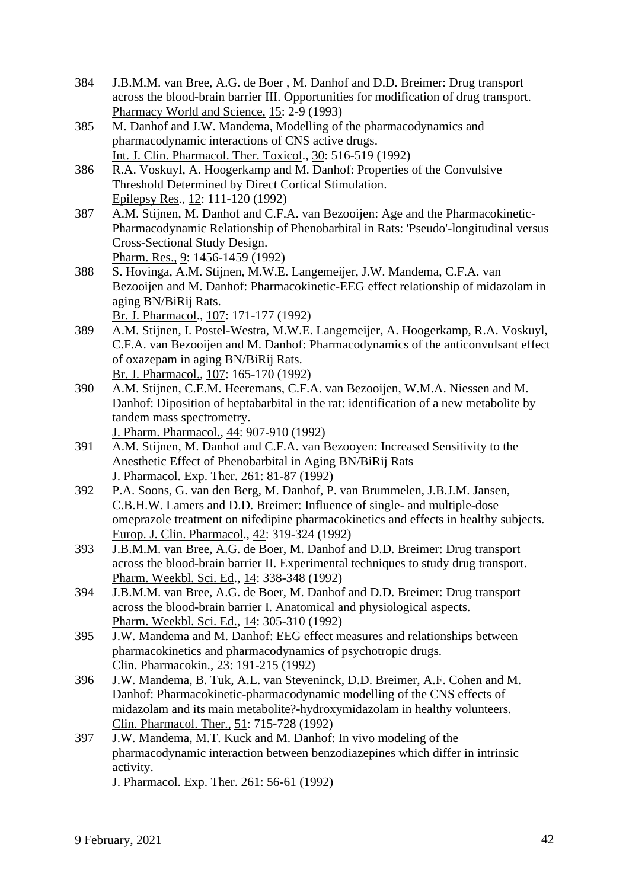- 384 J.B.M.M. van Bree, A.G. de Boer , M. Danhof and D.D. Breimer: Drug transport across the blood-brain barrier III. Opportunities for modification of drug transport. Pharmacy World and Science, 15: 2-9 (1993)
- 385 M. Danhof and J.W. Mandema, Modelling of the pharmacodynamics and pharmacodynamic interactions of CNS active drugs. Int. J. Clin. Pharmacol. Ther. Toxicol., 30: 516-519 (1992)
- 386 R.A. Voskuyl, A. Hoogerkamp and M. Danhof: Properties of the Convulsive Threshold Determined by Direct Cortical Stimulation. Epilepsy Res., 12: 111-120 (1992)
- 387 A.M. Stijnen, M. Danhof and C.F.A. van Bezooijen: Age and the Pharmacokinetic-Pharmacodynamic Relationship of Phenobarbital in Rats: 'Pseudo'-longitudinal versus Cross-Sectional Study Design. Pharm. Res., 9: 1456-1459 (1992)
- 388 S. Hovinga, A.M. Stijnen, M.W.E. Langemeijer, J.W. Mandema, C.F.A. van Bezooijen and M. Danhof: Pharmacokinetic-EEG effect relationship of midazolam in aging BN/BiRij Rats.
	- Br. J. Pharmacol., 107: 171-177 (1992)
- 389 A.M. Stijnen, I. Postel-Westra, M.W.E. Langemeijer, A. Hoogerkamp, R.A. Voskuyl, C.F.A. van Bezooijen and M. Danhof: Pharmacodynamics of the anticonvulsant effect of oxazepam in aging BN/BiRij Rats. Br. J. Pharmacol., 107: 165-170 (1992)
- 390 A.M. Stijnen, C.E.M. Heeremans, C.F.A. van Bezooijen, W.M.A. Niessen and M. Danhof: Diposition of heptabarbital in the rat: identification of a new metabolite by tandem mass spectrometry. J. Pharm. Pharmacol., 44: 907-910 (1992)
- 391 A.M. Stijnen, M. Danhof and C.F.A. van Bezooyen: Increased Sensitivity to the Anesthetic Effect of Phenobarbital in Aging BN/BiRij Rats J. Pharmacol. Exp. Ther. 261: 81-87 (1992)
- 392 P.A. Soons, G. van den Berg, M. Danhof, P. van Brummelen, J.B.J.M. Jansen, C.B.H.W. Lamers and D.D. Breimer: Influence of single- and multiple-dose omeprazole treatment on nifedipine pharmacokinetics and effects in healthy subjects. Europ. J. Clin. Pharmacol., 42: 319-324 (1992)
- 393 J.B.M.M. van Bree, A.G. de Boer, M. Danhof and D.D. Breimer: Drug transport across the blood-brain barrier II. Experimental techniques to study drug transport. Pharm. Weekbl. Sci. Ed., 14: 338-348 (1992)
- 394 J.B.M.M. van Bree, A.G. de Boer, M. Danhof and D.D. Breimer: Drug transport across the blood-brain barrier I. Anatomical and physiological aspects. Pharm. Weekbl. Sci. Ed., 14: 305-310 (1992)
- 395 J.W. Mandema and M. Danhof: EEG effect measures and relationships between pharmacokinetics and pharmacodynamics of psychotropic drugs. Clin. Pharmacokin., 23: 191-215 (1992)
- 396 J.W. Mandema, B. Tuk, A.L. van Steveninck, D.D. Breimer, A.F. Cohen and M. Danhof: Pharmacokinetic-pharmacodynamic modelling of the CNS effects of midazolam and its main metabolite?-hydroxymidazolam in healthy volunteers. Clin. Pharmacol. Ther., 51: 715-728 (1992)
- 397 J.W. Mandema, M.T. Kuck and M. Danhof: In vivo modeling of the pharmacodynamic interaction between benzodiazepines which differ in intrinsic activity. J. Pharmacol. Exp. Ther. 261: 56-61 (1992)

9 February, 2021 42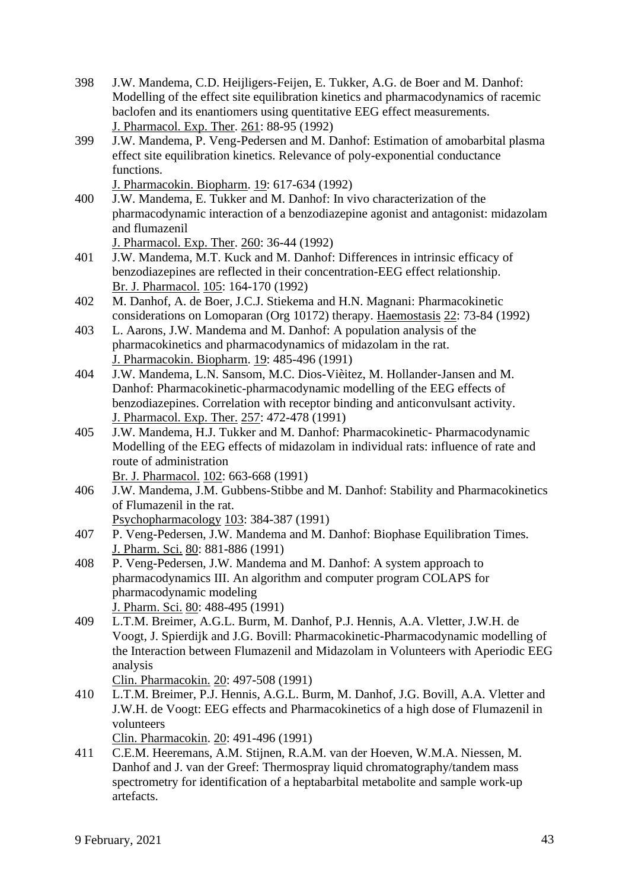- 398 J.W. Mandema, C.D. Heijligers-Feijen, E. Tukker, A.G. de Boer and M. Danhof: Modelling of the effect site equilibration kinetics and pharmacodynamics of racemic baclofen and its enantiomers using quentitative EEG effect measurements. J. Pharmacol. Exp. Ther. 261: 88-95 (1992)
- 399 J.W. Mandema, P. Veng-Pedersen and M. Danhof: Estimation of amobarbital plasma effect site equilibration kinetics. Relevance of poly-exponential conductance functions.

J. Pharmacokin. Biopharm. 19: 617-634 (1992)

400 J.W. Mandema, E. Tukker and M. Danhof: In vivo characterization of the pharmacodynamic interaction of a benzodiazepine agonist and antagonist: midazolam and flumazenil

J. Pharmacol. Exp. Ther. 260: 36-44 (1992)

- 401 J.W. Mandema, M.T. Kuck and M. Danhof: Differences in intrinsic efficacy of benzodiazepines are reflected in their concentration-EEG effect relationship. Br. J. Pharmacol. 105: 164-170 (1992)
- 402 M. Danhof, A. de Boer, J.C.J. Stiekema and H.N. Magnani: Pharmacokinetic considerations on Lomoparan (Org 10172) therapy. Haemostasis 22: 73-84 (1992)
- 403 L. Aarons, J.W. Mandema and M. Danhof: A population analysis of the pharmacokinetics and pharmacodynamics of midazolam in the rat. J. Pharmacokin. Biopharm. 19: 485-496 (1991)
- 404 J.W. Mandema, L.N. Sansom, M.C. Dios-Vièitez, M. Hollander-Jansen and M. Danhof: Pharmacokinetic-pharmacodynamic modelling of the EEG effects of benzodiazepines. Correlation with receptor binding and anticonvulsant activity. J. Pharmacol. Exp. Ther. 257: 472-478 (1991)
- 405 J.W. Mandema, H.J. Tukker and M. Danhof: Pharmacokinetic- Pharmacodynamic Modelling of the EEG effects of midazolam in individual rats: influence of rate and route of administration

Br. J. Pharmacol. 102: 663-668 (1991)

- 406 J.W. Mandema, J.M. Gubbens-Stibbe and M. Danhof: Stability and Pharmacokinetics of Flumazenil in the rat.
	- Psychopharmacology 103: 384-387 (1991)
- 407 P. Veng-Pedersen, J.W. Mandema and M. Danhof: Biophase Equilibration Times. J. Pharm. Sci. 80: 881-886 (1991)
- 408 P. Veng-Pedersen, J.W. Mandema and M. Danhof: A system approach to pharmacodynamics III. An algorithm and computer program COLAPS for pharmacodynamic modeling J. Pharm. Sci. 80: 488-495 (1991)
- 409 L.T.M. Breimer, A.G.L. Burm, M. Danhof, P.J. Hennis, A.A. Vletter, J.W.H. de Voogt, J. Spierdijk and J.G. Bovill: Pharmacokinetic-Pharmacodynamic modelling of the Interaction between Flumazenil and Midazolam in Volunteers with Aperiodic EEG analysis

Clin. Pharmacokin. 20: 497-508 (1991)

410 L.T.M. Breimer, P.J. Hennis, A.G.L. Burm, M. Danhof, J.G. Bovill, A.A. Vletter and J.W.H. de Voogt: EEG effects and Pharmacokinetics of a high dose of Flumazenil in volunteers

Clin. Pharmacokin. 20: 491-496 (1991)

411 C.E.M. Heeremans, A.M. Stijnen, R.A.M. van der Hoeven, W.M.A. Niessen, M. Danhof and J. van der Greef: Thermospray liquid chromatography/tandem mass spectrometry for identification of a heptabarbital metabolite and sample work-up artefacts.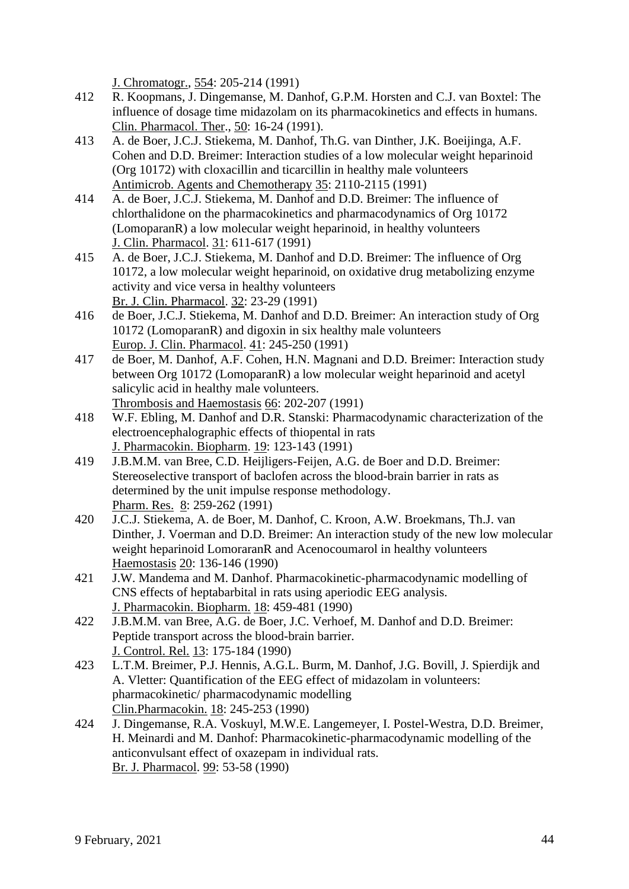J. Chromatogr., 554: 205-214 (1991)

- 412 R. Koopmans, J. Dingemanse, M. Danhof, G.P.M. Horsten and C.J. van Boxtel: The influence of dosage time midazolam on its pharmacokinetics and effects in humans. Clin. Pharmacol. Ther., 50: 16-24 (1991).
- 413 A. de Boer, J.C.J. Stiekema, M. Danhof, Th.G. van Dinther, J.K. Boeijinga, A.F. Cohen and D.D. Breimer: Interaction studies of a low molecular weight heparinoid (Org 10172) with cloxacillin and ticarcillin in healthy male volunteers Antimicrob. Agents and Chemotherapy 35: 2110-2115 (1991)
- 414 A. de Boer, J.C.J. Stiekema, M. Danhof and D.D. Breimer: The influence of chlorthalidone on the pharmacokinetics and pharmacodynamics of Org 10172 (LomoparanR) a low molecular weight heparinoid, in healthy volunteers J. Clin. Pharmacol. 31: 611-617 (1991)
- 415 A. de Boer, J.C.J. Stiekema, M. Danhof and D.D. Breimer: The influence of Org 10172, a low molecular weight heparinoid, on oxidative drug metabolizing enzyme activity and vice versa in healthy volunteers Br. J. Clin. Pharmacol. 32: 23-29 (1991)
- 416 de Boer, J.C.J. Stiekema, M. Danhof and D.D. Breimer: An interaction study of Org 10172 (LomoparanR) and digoxin in six healthy male volunteers Europ. J. Clin. Pharmacol. 41: 245-250 (1991)
- 417 de Boer, M. Danhof, A.F. Cohen, H.N. Magnani and D.D. Breimer: Interaction study between Org 10172 (LomoparanR) a low molecular weight heparinoid and acetyl salicylic acid in healthy male volunteers. Thrombosis and Haemostasis 66: 202-207 (1991)
- 418 W.F. Ebling, M. Danhof and D.R. Stanski: Pharmacodynamic characterization of the electroencephalographic effects of thiopental in rats J. Pharmacokin. Biopharm. 19: 123-143 (1991)
- 419 J.B.M.M. van Bree, C.D. Heijligers-Feijen, A.G. de Boer and D.D. Breimer: Stereoselective transport of baclofen across the blood-brain barrier in rats as determined by the unit impulse response methodology. Pharm. Res. 8: 259-262 (1991)
- 420 J.C.J. Stiekema, A. de Boer, M. Danhof, C. Kroon, A.W. Broekmans, Th.J. van Dinther, J. Voerman and D.D. Breimer: An interaction study of the new low molecular weight heparinoid LomoraranR and Acenocoumarol in healthy volunteers Haemostasis 20: 136-146 (1990)
- 421 J.W. Mandema and M. Danhof. Pharmacokinetic-pharmacodynamic modelling of CNS effects of heptabarbital in rats using aperiodic EEG analysis. J. Pharmacokin. Biopharm. 18: 459-481 (1990)
- 422 J.B.M.M. van Bree, A.G. de Boer, J.C. Verhoef, M. Danhof and D.D. Breimer: Peptide transport across the blood-brain barrier. J. Control. Rel. 13: 175-184 (1990)
- 423 L.T.M. Breimer, P.J. Hennis, A.G.L. Burm, M. Danhof, J.G. Bovill, J. Spierdijk and A. Vletter: Quantification of the EEG effect of midazolam in volunteers: pharmacokinetic/ pharmacodynamic modelling Clin.Pharmacokin. 18: 245-253 (1990)
- 424 J. Dingemanse, R.A. Voskuyl, M.W.E. Langemeyer, I. Postel-Westra, D.D. Breimer, H. Meinardi and M. Danhof: Pharmacokinetic-pharmacodynamic modelling of the anticonvulsant effect of oxazepam in individual rats. Br. J. Pharmacol. 99: 53-58 (1990)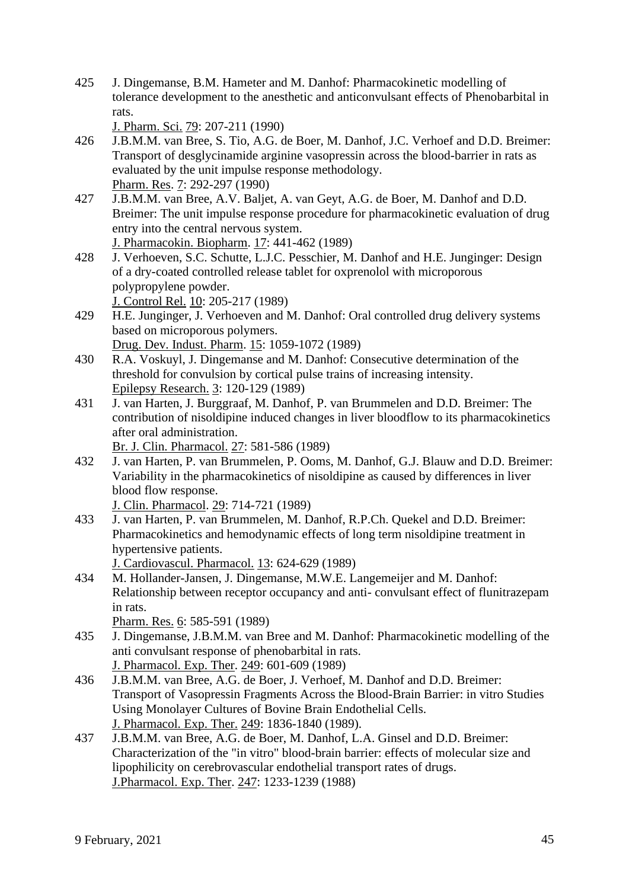425 J. Dingemanse, B.M. Hameter and M. Danhof: Pharmacokinetic modelling of tolerance development to the anesthetic and anticonvulsant effects of Phenobarbital in rats.

J. Pharm. Sci. 79: 207-211 (1990)

- 426 J.B.M.M. van Bree, S. Tio, A.G. de Boer, M. Danhof, J.C. Verhoef and D.D. Breimer: Transport of desglycinamide arginine vasopressin across the blood-barrier in rats as evaluated by the unit impulse response methodology. Pharm. Res. 7: 292-297 (1990)
- 427 J.B.M.M. van Bree, A.V. Baljet, A. van Geyt, A.G. de Boer, M. Danhof and D.D. Breimer: The unit impulse response procedure for pharmacokinetic evaluation of drug entry into the central nervous system.
	- J. Pharmacokin. Biopharm. 17: 441-462 (1989)
- 428 J. Verhoeven, S.C. Schutte, L.J.C. Pesschier, M. Danhof and H.E. Junginger: Design of a dry-coated controlled release tablet for oxprenolol with microporous polypropylene powder. J. Control Rel. 10: 205-217 (1989)
- 429 H.E. Junginger, J. Verhoeven and M. Danhof: Oral controlled drug delivery systems based on microporous polymers.

Drug. Dev. Indust. Pharm. 15: 1059-1072 (1989)

- 430 R.A. Voskuyl, J. Dingemanse and M. Danhof: Consecutive determination of the threshold for convulsion by cortical pulse trains of increasing intensity. Epilepsy Research. 3: 120-129 (1989)
- 431 J. van Harten, J. Burggraaf, M. Danhof, P. van Brummelen and D.D. Breimer: The contribution of nisoldipine induced changes in liver bloodflow to its pharmacokinetics after oral administration.

Br. J. Clin. Pharmacol. 27: 581-586 (1989)

432 J. van Harten, P. van Brummelen, P. Ooms, M. Danhof, G.J. Blauw and D.D. Breimer: Variability in the pharmacokinetics of nisoldipine as caused by differences in liver blood flow response.

J. Clin. Pharmacol. 29: 714-721 (1989)

433 J. van Harten, P. van Brummelen, M. Danhof, R.P.Ch. Quekel and D.D. Breimer: Pharmacokinetics and hemodynamic effects of long term nisoldipine treatment in hypertensive patients.

J. Cardiovascul. Pharmacol. 13: 624-629 (1989)

434 M. Hollander-Jansen, J. Dingemanse, M.W.E. Langemeijer and M. Danhof: Relationship between receptor occupancy and anti- convulsant effect of flunitrazepam in rats.

Pharm. Res. 6: 585-591 (1989)

- 435 J. Dingemanse, J.B.M.M. van Bree and M. Danhof: Pharmacokinetic modelling of the anti convulsant response of phenobarbital in rats. J. Pharmacol. Exp. Ther. 249: 601-609 (1989)
- 436 J.B.M.M. van Bree, A.G. de Boer, J. Verhoef, M. Danhof and D.D. Breimer: Transport of Vasopressin Fragments Across the Blood-Brain Barrier: in vitro Studies Using Monolayer Cultures of Bovine Brain Endothelial Cells. J. Pharmacol. Exp. Ther. 249: 1836-1840 (1989).
- 437 J.B.M.M. van Bree, A.G. de Boer, M. Danhof, L.A. Ginsel and D.D. Breimer: Characterization of the "in vitro" blood-brain barrier: effects of molecular size and lipophilicity on cerebrovascular endothelial transport rates of drugs. J.Pharmacol. Exp. Ther. 247: 1233-1239 (1988)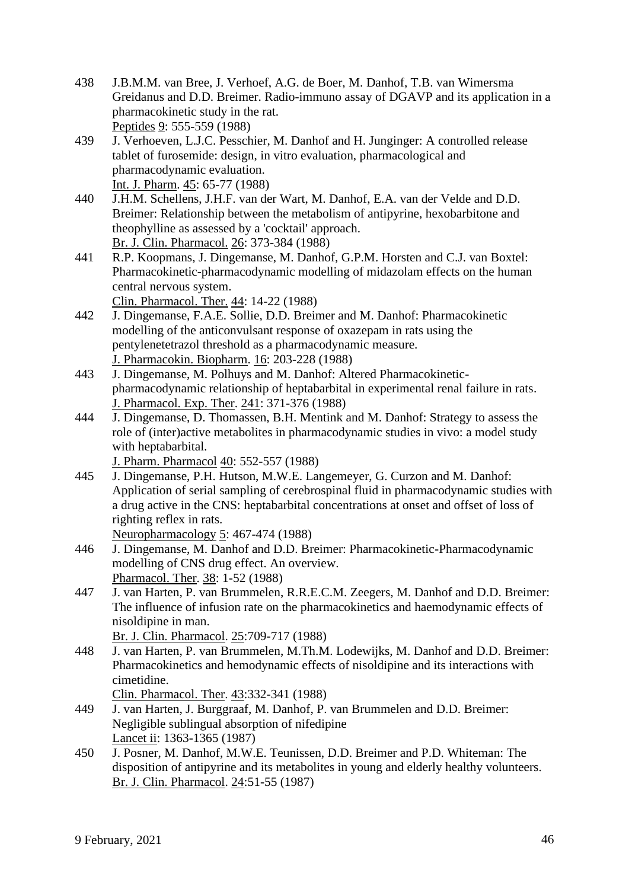- 438 J.B.M.M. van Bree, J. Verhoef, A.G. de Boer, M. Danhof, T.B. van Wimersma Greidanus and D.D. Breimer. Radio-immuno assay of DGAVP and its application in a pharmacokinetic study in the rat. Peptides 9: 555-559 (1988)
- 439 J. Verhoeven, L.J.C. Pesschier, M. Danhof and H. Junginger: A controlled release tablet of furosemide: design, in vitro evaluation, pharmacological and pharmacodynamic evaluation. Int. J. Pharm. 45: 65-77 (1988)
- 440 J.H.M. Schellens, J.H.F. van der Wart, M. Danhof, E.A. van der Velde and D.D. Breimer: Relationship between the metabolism of antipyrine, hexobarbitone and theophylline as assessed by a 'cocktail' approach. Br. J. Clin. Pharmacol. 26: 373-384 (1988)
- 441 R.P. Koopmans, J. Dingemanse, M. Danhof, G.P.M. Horsten and C.J. van Boxtel: Pharmacokinetic-pharmacodynamic modelling of midazolam effects on the human central nervous system.

Clin. Pharmacol. Ther. 44: 14-22 (1988)

- 442 J. Dingemanse, F.A.E. Sollie, D.D. Breimer and M. Danhof: Pharmacokinetic modelling of the anticonvulsant response of oxazepam in rats using the pentylenetetrazol threshold as a pharmacodynamic measure. J. Pharmacokin. Biopharm. 16: 203-228 (1988)
- 443 J. Dingemanse, M. Polhuys and M. Danhof: Altered Pharmacokineticpharmacodynamic relationship of heptabarbital in experimental renal failure in rats. J. Pharmacol. Exp. Ther. 241: 371-376 (1988)
- 444 J. Dingemanse, D. Thomassen, B.H. Mentink and M. Danhof: Strategy to assess the role of (inter)active metabolites in pharmacodynamic studies in vivo: a model study with heptabarbital.

J. Pharm. Pharmacol 40: 552-557 (1988)

445 J. Dingemanse, P.H. Hutson, M.W.E. Langemeyer, G. Curzon and M. Danhof: Application of serial sampling of cerebrospinal fluid in pharmacodynamic studies with a drug active in the CNS: heptabarbital concentrations at onset and offset of loss of righting reflex in rats.

Neuropharmacology 5: 467-474 (1988)

- 446 J. Dingemanse, M. Danhof and D.D. Breimer: Pharmacokinetic-Pharmacodynamic modelling of CNS drug effect. An overview. Pharmacol. Ther. 38: 1-52 (1988)
- 447 J. van Harten, P. van Brummelen, R.R.E.C.M. Zeegers, M. Danhof and D.D. Breimer: The influence of infusion rate on the pharmacokinetics and haemodynamic effects of nisoldipine in man. Br. J. Clin. Pharmacol. 25:709-717 (1988)
- 448 J. van Harten, P. van Brummelen, M.Th.M. Lodewijks, M. Danhof and D.D. Breimer: Pharmacokinetics and hemodynamic effects of nisoldipine and its interactions with cimetidine.

Clin. Pharmacol. Ther. 43:332-341 (1988)

- 449 J. van Harten, J. Burggraaf, M. Danhof, P. van Brummelen and D.D. Breimer: Negligible sublingual absorption of nifedipine Lancet ii: 1363-1365 (1987)
- 450 J. Posner, M. Danhof, M.W.E. Teunissen, D.D. Breimer and P.D. Whiteman: The disposition of antipyrine and its metabolites in young and elderly healthy volunteers. Br. J. Clin. Pharmacol. 24:51-55 (1987)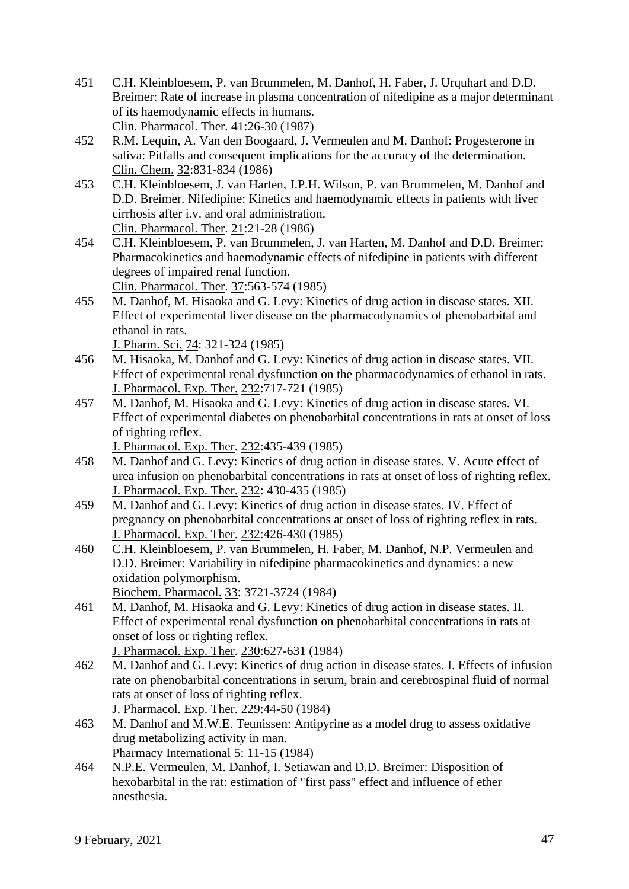- 451 C.H. Kleinbloesem, P. van Brummelen, M. Danhof, H. Faber, J. Urquhart and D.D. Breimer: Rate of increase in plasma concentration of nifedipine as a major determinant of its haemodynamic effects in humans. Clin. Pharmacol. Ther. 41:26-30 (1987)
- 452 R.M. Lequin, A. Van den Boogaard, J. Vermeulen and M. Danhof: Progesterone in saliva: Pitfalls and consequent implications for the accuracy of the determination. Clin. Chem. 32:831-834 (1986)
- 453 C.H. Kleinbloesem, J. van Harten, J.P.H. Wilson, P. van Brummelen, M. Danhof and D.D. Breimer. Nifedipine: Kinetics and haemodynamic effects in patients with liver cirrhosis after i.v. and oral administration. Clin. Pharmacol. Ther. 21:21-28 (1986)
- 454 C.H. Kleinbloesem, P. van Brummelen, J. van Harten, M. Danhof and D.D. Breimer: Pharmacokinetics and haemodynamic effects of nifedipine in patients with different degrees of impaired renal function.

Clin. Pharmacol. Ther. 37:563-574 (1985)

455 M. Danhof, M. Hisaoka and G. Levy: Kinetics of drug action in disease states. XII. Effect of experimental liver disease on the pharmacodynamics of phenobarbital and ethanol in rats.

J. Pharm. Sci. 74: 321-324 (1985)

- 456 M. Hisaoka, M. Danhof and G. Levy: Kinetics of drug action in disease states. VII. Effect of experimental renal dysfunction on the pharmacodynamics of ethanol in rats. J. Pharmacol. Exp. Ther. 232:717-721 (1985)
- 457 M. Danhof, M. Hisaoka and G. Levy: Kinetics of drug action in disease states. VI. Effect of experimental diabetes on phenobarbital concentrations in rats at onset of loss of righting reflex.

J. Pharmacol. Exp. Ther. 232:435-439 (1985)

- 458 M. Danhof and G. Levy: Kinetics of drug action in disease states. V. Acute effect of urea infusion on phenobarbital concentrations in rats at onset of loss of righting reflex. J. Pharmacol. Exp. Ther. 232: 430-435 (1985)
- 459 M. Danhof and G. Levy: Kinetics of drug action in disease states. IV. Effect of pregnancy on phenobarbital concentrations at onset of loss of righting reflex in rats. J. Pharmacol. Exp. Ther. 232:426-430 (1985)
- 460 C.H. Kleinbloesem, P. van Brummelen, H. Faber, M. Danhof, N.P. Vermeulen and D.D. Breimer: Variability in nifedipine pharmacokinetics and dynamics: a new oxidation polymorphism.

Biochem. Pharmacol. 33: 3721-3724 (1984)

461 M. Danhof, M. Hisaoka and G. Levy: Kinetics of drug action in disease states. II. Effect of experimental renal dysfunction on phenobarbital concentrations in rats at onset of loss or righting reflex.

```
J. Pharmacol. Exp. Ther. 230:627-631 (1984)
```
- 462 M. Danhof and G. Levy: Kinetics of drug action in disease states. I. Effects of infusion rate on phenobarbital concentrations in serum, brain and cerebrospinal fluid of normal rats at onset of loss of righting reflex. J. Pharmacol. Exp. Ther. 229:44-50 (1984)
- 463 M. Danhof and M.W.E. Teunissen: Antipyrine as a model drug to assess oxidative drug metabolizing activity in man. Pharmacy International 5: 11-15 (1984)
- 464 N.P.E. Vermeulen, M. Danhof, I. Setiawan and D.D. Breimer: Disposition of hexobarbital in the rat: estimation of "first pass" effect and influence of ether anesthesia.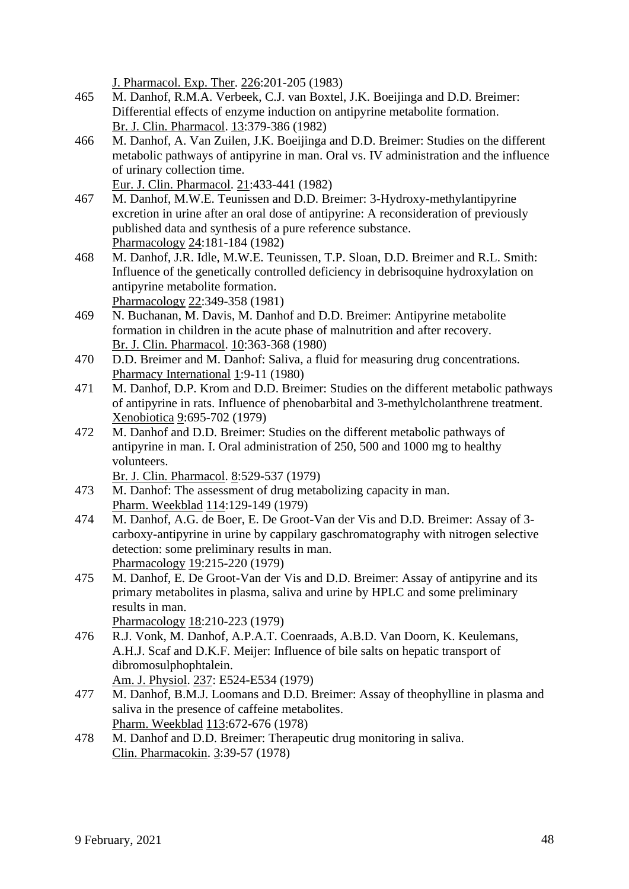J. Pharmacol. Exp. Ther. 226:201-205 (1983)

- 465 M. Danhof, R.M.A. Verbeek, C.J. van Boxtel, J.K. Boeijinga and D.D. Breimer: Differential effects of enzyme induction on antipyrine metabolite formation. Br. J. Clin. Pharmacol. 13:379-386 (1982)
- 466 M. Danhof, A. Van Zuilen, J.K. Boeijinga and D.D. Breimer: Studies on the different metabolic pathways of antipyrine in man. Oral vs. IV administration and the influence of urinary collection time.

Eur. J. Clin. Pharmacol. 21:433-441 (1982)

- 467 M. Danhof, M.W.E. Teunissen and D.D. Breimer: 3-Hydroxy-methylantipyrine excretion in urine after an oral dose of antipyrine: A reconsideration of previously published data and synthesis of a pure reference substance. Pharmacology 24:181-184 (1982)
- 468 M. Danhof, J.R. Idle, M.W.E. Teunissen, T.P. Sloan, D.D. Breimer and R.L. Smith: Influence of the genetically controlled deficiency in debrisoquine hydroxylation on antipyrine metabolite formation. Pharmacology 22:349-358 (1981)
- 469 N. Buchanan, M. Davis, M. Danhof and D.D. Breimer: Antipyrine metabolite formation in children in the acute phase of malnutrition and after recovery. Br. J. Clin. Pharmacol. 10:363-368 (1980)
- 470 D.D. Breimer and M. Danhof: Saliva, a fluid for measuring drug concentrations. Pharmacy International 1:9-11 (1980)
- 471 M. Danhof, D.P. Krom and D.D. Breimer: Studies on the different metabolic pathways of antipyrine in rats. Influence of phenobarbital and 3-methylcholanthrene treatment. Xenobiotica 9:695-702 (1979)
- 472 M. Danhof and D.D. Breimer: Studies on the different metabolic pathways of antipyrine in man. I. Oral administration of 250, 500 and 1000 mg to healthy volunteers.

Br. J. Clin. Pharmacol. 8:529-537 (1979)

- 473 M. Danhof: The assessment of drug metabolizing capacity in man. Pharm. Weekblad 114:129-149 (1979)
- 474 M. Danhof, A.G. de Boer, E. De Groot-Van der Vis and D.D. Breimer: Assay of 3 carboxy-antipyrine in urine by cappilary gaschromatography with nitrogen selective detection: some preliminary results in man. Pharmacology 19:215-220 (1979)
- 475 M. Danhof, E. De Groot-Van der Vis and D.D. Breimer: Assay of antipyrine and its primary metabolites in plasma, saliva and urine by HPLC and some preliminary results in man.
	- Pharmacology 18:210-223 (1979)
- 476 R.J. Vonk, M. Danhof, A.P.A.T. Coenraads, A.B.D. Van Doorn, K. Keulemans, A.H.J. Scaf and D.K.F. Meijer: Influence of bile salts on hepatic transport of dibromosulphophtalein. Am. J. Physiol. 237: E524-E534 (1979)
- 477 M. Danhof, B.M.J. Loomans and D.D. Breimer: Assay of theophylline in plasma and saliva in the presence of caffeine metabolites. Pharm. Weekblad 113:672-676 (1978)
- 478 M. Danhof and D.D. Breimer: Therapeutic drug monitoring in saliva. Clin. Pharmacokin. 3:39-57 (1978)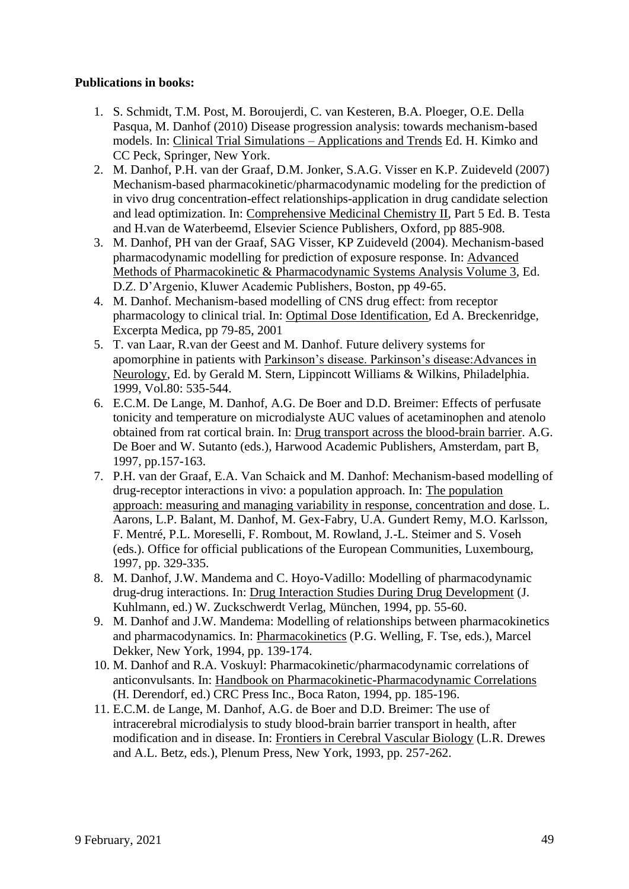### **Publications in books:**

- 1. S. Schmidt, T.M. Post, M. Boroujerdi, C. van Kesteren, B.A. Ploeger, O.E. Della Pasqua, M. Danhof (2010) Disease progression analysis: towards mechanism-based models. In: Clinical Trial Simulations – Applications and Trends Ed. H. Kimko and CC Peck, Springer, New York.
- 2. M. Danhof, P.H. van der Graaf, D.M. Jonker, S.A.G. Visser en K.P. Zuideveld (2007) Mechanism-based pharmacokinetic/pharmacodynamic modeling for the prediction of in vivo drug concentration-effect relationships-application in drug candidate selection and lead optimization. In: Comprehensive Medicinal Chemistry II, Part 5 Ed. B. Testa and H.van de Waterbeemd, Elsevier Science Publishers, Oxford, pp 885-908.
- 3. M. Danhof, PH van der Graaf, SAG Visser, KP Zuideveld (2004). Mechanism-based pharmacodynamic modelling for prediction of exposure response. In: Advanced Methods of Pharmacokinetic & Pharmacodynamic Systems Analysis Volume 3, Ed. D.Z. D'Argenio, Kluwer Academic Publishers, Boston, pp 49-65.
- 4. M. Danhof. Mechanism-based modelling of CNS drug effect: from receptor pharmacology to clinical trial. In: Optimal Dose Identification, Ed A. Breckenridge, Excerpta Medica, pp 79-85, 2001
- 5. T. van Laar, R.van der Geest and M. Danhof. Future delivery systems for apomorphine in patients with Parkinson's disease. Parkinson's disease:Advances in Neurology, Ed. by Gerald M. Stern, Lippincott Williams & Wilkins, Philadelphia. 1999, Vol.80: 535-544.
- 6. E.C.M. De Lange, M. Danhof, A.G. De Boer and D.D. Breimer: Effects of perfusate tonicity and temperature on microdialyste AUC values of acetaminophen and atenolo obtained from rat cortical brain. In: Drug transport across the blood-brain barrier. A.G. De Boer and W. Sutanto (eds.), Harwood Academic Publishers, Amsterdam, part B, 1997, pp.157-163.
- 7. P.H. van der Graaf, E.A. Van Schaick and M. Danhof: Mechanism-based modelling of drug-receptor interactions in vivo: a population approach. In: The population approach: measuring and managing variability in response, concentration and dose. L. Aarons, L.P. Balant, M. Danhof, M. Gex-Fabry, U.A. Gundert Remy, M.O. Karlsson, F. Mentré, P.L. Moreselli, F. Rombout, M. Rowland, J.-L. Steimer and S. Voseh (eds.). Office for official publications of the European Communities, Luxembourg, 1997, pp. 329-335.
- 8. M. Danhof, J.W. Mandema and C. Hoyo-Vadillo: Modelling of pharmacodynamic drug-drug interactions. In: Drug Interaction Studies During Drug Development (J. Kuhlmann, ed.) W. Zuckschwerdt Verlag, München, 1994, pp. 55-60.
- 9. M. Danhof and J.W. Mandema: Modelling of relationships between pharmacokinetics and pharmacodynamics. In: Pharmacokinetics (P.G. Welling, F. Tse, eds.), Marcel Dekker, New York, 1994, pp. 139-174.
- 10. M. Danhof and R.A. Voskuyl: Pharmacokinetic/pharmacodynamic correlations of anticonvulsants. In: Handbook on Pharmacokinetic-Pharmacodynamic Correlations (H. Derendorf, ed.) CRC Press Inc., Boca Raton, 1994, pp. 185-196.
- 11. E.C.M. de Lange, M. Danhof, A.G. de Boer and D.D. Breimer: The use of intracerebral microdialysis to study blood-brain barrier transport in health, after modification and in disease. In: Frontiers in Cerebral Vascular Biology (L.R. Drewes and A.L. Betz, eds.), Plenum Press, New York, 1993, pp. 257-262.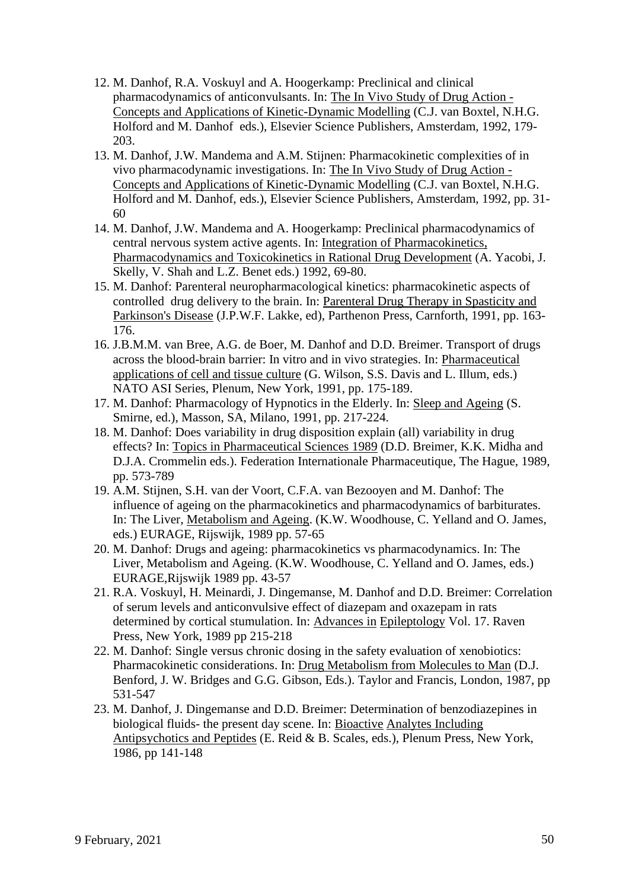- 12. M. Danhof, R.A. Voskuyl and A. Hoogerkamp: Preclinical and clinical pharmacodynamics of anticonvulsants. In: The In Vivo Study of Drug Action - Concepts and Applications of Kinetic-Dynamic Modelling (C.J. van Boxtel, N.H.G. Holford and M. Danhof eds.), Elsevier Science Publishers, Amsterdam, 1992, 179- 203.
- 13. M. Danhof, J.W. Mandema and A.M. Stijnen: Pharmacokinetic complexities of in vivo pharmacodynamic investigations. In: The In Vivo Study of Drug Action - Concepts and Applications of Kinetic-Dynamic Modelling (C.J. van Boxtel, N.H.G. Holford and M. Danhof, eds.), Elsevier Science Publishers, Amsterdam, 1992, pp. 31- 60
- 14. M. Danhof, J.W. Mandema and A. Hoogerkamp: Preclinical pharmacodynamics of central nervous system active agents. In: Integration of Pharmacokinetics, Pharmacodynamics and Toxicokinetics in Rational Drug Development (A. Yacobi, J. Skelly, V. Shah and L.Z. Benet eds.) 1992, 69-80.
- 15. M. Danhof: Parenteral neuropharmacological kinetics: pharmacokinetic aspects of controlled drug delivery to the brain. In: Parenteral Drug Therapy in Spasticity and Parkinson's Disease (J.P.W.F. Lakke, ed), Parthenon Press, Carnforth, 1991, pp. 163- 176.
- 16. J.B.M.M. van Bree, A.G. de Boer, M. Danhof and D.D. Breimer. Transport of drugs across the blood-brain barrier: In vitro and in vivo strategies. In: Pharmaceutical applications of cell and tissue culture (G. Wilson, S.S. Davis and L. Illum, eds.) NATO ASI Series, Plenum, New York, 1991, pp. 175-189.
- 17. M. Danhof: Pharmacology of Hypnotics in the Elderly. In: Sleep and Ageing (S. Smirne, ed.), Masson, SA, Milano, 1991, pp. 217-224.
- 18. M. Danhof: Does variability in drug disposition explain (all) variability in drug effects? In: Topics in Pharmaceutical Sciences 1989 (D.D. Breimer, K.K. Midha and D.J.A. Crommelin eds.). Federation Internationale Pharmaceutique, The Hague, 1989, pp. 573-789
- 19. A.M. Stijnen, S.H. van der Voort, C.F.A. van Bezooyen and M. Danhof: The influence of ageing on the pharmacokinetics and pharmacodynamics of barbiturates. In: The Liver, Metabolism and Ageing. (K.W. Woodhouse, C. Yelland and O. James, eds.) EURAGE, Rijswijk, 1989 pp. 57-65
- 20. M. Danhof: Drugs and ageing: pharmacokinetics vs pharmacodynamics. In: The Liver, Metabolism and Ageing. (K.W. Woodhouse, C. Yelland and O. James, eds.) EURAGE,Rijswijk 1989 pp. 43-57
- 21. R.A. Voskuyl, H. Meinardi, J. Dingemanse, M. Danhof and D.D. Breimer: Correlation of serum levels and anticonvulsive effect of diazepam and oxazepam in rats determined by cortical stumulation. In: Advances in Epileptology Vol. 17. Raven Press, New York, 1989 pp 215-218
- 22. M. Danhof: Single versus chronic dosing in the safety evaluation of xenobiotics: Pharmacokinetic considerations. In: Drug Metabolism from Molecules to Man (D.J. Benford, J. W. Bridges and G.G. Gibson, Eds.). Taylor and Francis, London, 1987, pp 531-547
- 23. M. Danhof, J. Dingemanse and D.D. Breimer: Determination of benzodiazepines in biological fluids- the present day scene. In: Bioactive Analytes Including Antipsychotics and Peptides (E. Reid & B. Scales, eds.), Plenum Press, New York, 1986, pp 141-148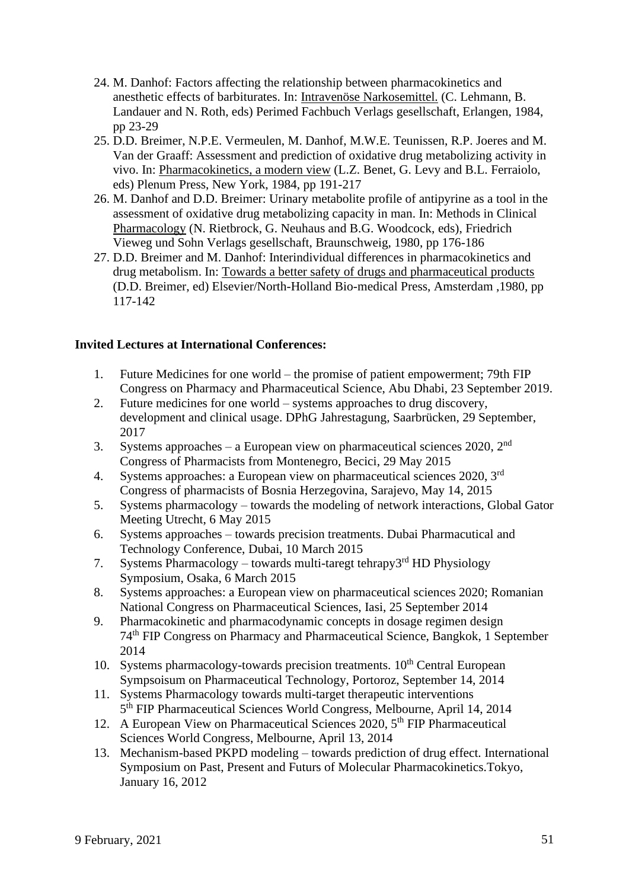- 24. M. Danhof: Factors affecting the relationship between pharmacokinetics and anesthetic effects of barbiturates. In: Intravenöse Narkosemittel. (C. Lehmann, B. Landauer and N. Roth, eds) Perimed Fachbuch Verlags gesellschaft, Erlangen, 1984, pp 23-29
- 25. D.D. Breimer, N.P.E. Vermeulen, M. Danhof, M.W.E. Teunissen, R.P. Joeres and M. Van der Graaff: Assessment and prediction of oxidative drug metabolizing activity in vivo. In: Pharmacokinetics, a modern view (L.Z. Benet, G. Levy and B.L. Ferraiolo, eds) Plenum Press, New York, 1984, pp 191-217
- 26. M. Danhof and D.D. Breimer: Urinary metabolite profile of antipyrine as a tool in the assessment of oxidative drug metabolizing capacity in man. In: Methods in Clinical Pharmacology (N. Rietbrock, G. Neuhaus and B.G. Woodcock, eds), Friedrich Vieweg und Sohn Verlags gesellschaft, Braunschweig, 1980, pp 176-186
- 27. D.D. Breimer and M. Danhof: Interindividual differences in pharmacokinetics and drug metabolism. In: Towards a better safety of drugs and pharmaceutical products (D.D. Breimer, ed) Elsevier/North-Holland Bio-medical Press, Amsterdam ,1980, pp 117-142

## **Invited Lectures at International Conferences:**

- 1. Future Medicines for one world the promise of patient empowerment; 79th FIP Congress on Pharmacy and Pharmaceutical Science, Abu Dhabi, 23 September 2019.
- 2. Future medicines for one world systems approaches to drug discovery, development and clinical usage. DPhG Jahrestagung, Saarbrücken, 29 September, 2017
- 3. Systems approaches a European view on pharmaceutical sciences 2020,  $2<sup>nd</sup>$ Congress of Pharmacists from Montenegro, Becici, 29 May 2015
- 4. Systems approaches: a European view on pharmaceutical sciences 2020, 3rd Congress of pharmacists of Bosnia Herzegovina, Sarajevo, May 14, 2015
- 5. Systems pharmacology towards the modeling of network interactions, Global Gator Meeting Utrecht, 6 May 2015
- 6. Systems approaches towards precision treatments. Dubai Pharmacutical and Technology Conference, Dubai, 10 March 2015
- 7. Systems Pharmacology towards multi-taregt tehrapy3<sup>rd</sup> HD Physiology Symposium, Osaka, 6 March 2015
- 8. Systems approaches: a European view on pharmaceutical sciences 2020; Romanian National Congress on Pharmaceutical Sciences, Iasi, 25 September 2014
- 9. Pharmacokinetic and pharmacodynamic concepts in dosage regimen design 74th FIP Congress on Pharmacy and Pharmaceutical Science, Bangkok, 1 September 2014
- 10. Systems pharmacology-towards precision treatments.  $10<sup>th</sup>$  Central European Sympsoisum on Pharmaceutical Technology, Portoroz, September 14, 2014
- 11. Systems Pharmacology towards multi-target therapeutic interventions 5<sup>th</sup> FIP Pharmaceutical Sciences World Congress, Melbourne, April 14, 2014
- 12. A European View on Pharmaceutical Sciences 2020,  $5<sup>th</sup>$  FIP Pharmaceutical Sciences World Congress, Melbourne, April 13, 2014
- 13. Mechanism-based PKPD modeling towards prediction of drug effect. International Symposium on Past, Present and Futurs of Molecular Pharmacokinetics.Tokyo, January 16, 2012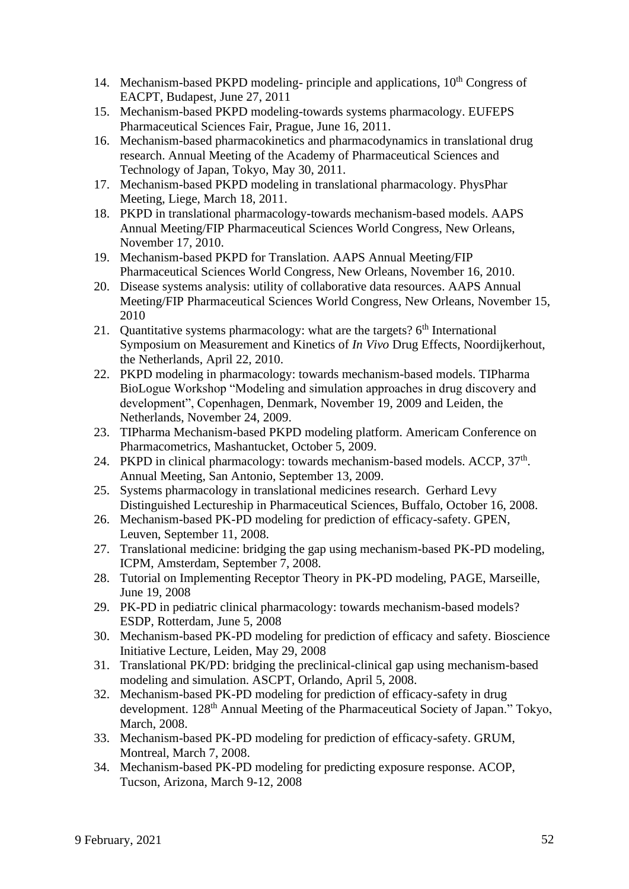- 14. Mechanism-based PKPD modeling- principle and applications,  $10<sup>th</sup>$  Congress of EACPT, Budapest, June 27, 2011
- 15. Mechanism-based PKPD modeling-towards systems pharmacology. EUFEPS Pharmaceutical Sciences Fair, Prague, June 16, 2011.
- 16. Mechanism-based pharmacokinetics and pharmacodynamics in translational drug research. Annual Meeting of the Academy of Pharmaceutical Sciences and Technology of Japan, Tokyo, May 30, 2011.
- 17. Mechanism-based PKPD modeling in translational pharmacology. PhysPhar Meeting, Liege, March 18, 2011.
- 18. PKPD in translational pharmacology-towards mechanism-based models. AAPS Annual Meeting/FIP Pharmaceutical Sciences World Congress, New Orleans, November 17, 2010.
- 19. Mechanism-based PKPD for Translation. AAPS Annual Meeting/FIP Pharmaceutical Sciences World Congress, New Orleans, November 16, 2010.
- 20. Disease systems analysis: utility of collaborative data resources. AAPS Annual Meeting/FIP Pharmaceutical Sciences World Congress, New Orleans, November 15, 2010
- 21. Ouantitative systems pharmacology: what are the targets?  $6<sup>th</sup>$  International Symposium on Measurement and Kinetics of *In Vivo* Drug Effects, Noordijkerhout, the Netherlands, April 22, 2010.
- 22. PKPD modeling in pharmacology: towards mechanism-based models. TIPharma BioLogue Workshop "Modeling and simulation approaches in drug discovery and development", Copenhagen, Denmark, November 19, 2009 and Leiden, the Netherlands, November 24, 2009.
- 23. TIPharma Mechanism-based PKPD modeling platform. Americam Conference on Pharmacometrics, Mashantucket, October 5, 2009.
- 24. PKPD in clinical pharmacology: towards mechanism-based models. ACCP,  $37<sup>th</sup>$ . Annual Meeting, San Antonio, September 13, 2009.
- 25. Systems pharmacology in translational medicines research. Gerhard Levy Distinguished Lectureship in Pharmaceutical Sciences, Buffalo, October 16, 2008.
- 26. Mechanism-based PK-PD modeling for prediction of efficacy-safety. GPEN, Leuven, September 11, 2008.
- 27. Translational medicine: bridging the gap using mechanism-based PK-PD modeling, ICPM, Amsterdam, September 7, 2008.
- 28. Tutorial on Implementing Receptor Theory in PK-PD modeling, PAGE, Marseille, June 19, 2008
- 29. PK-PD in pediatric clinical pharmacology: towards mechanism-based models? ESDP, Rotterdam, June 5, 2008
- 30. Mechanism-based PK-PD modeling for prediction of efficacy and safety. Bioscience Initiative Lecture, Leiden, May 29, 2008
- 31. Translational PK/PD: bridging the preclinical-clinical gap using mechanism-based modeling and simulation. ASCPT, Orlando, April 5, 2008.
- 32. Mechanism-based PK-PD modeling for prediction of efficacy-safety in drug development. 128<sup>th</sup> Annual Meeting of the Pharmaceutical Society of Japan." Tokyo, March, 2008.
- 33. Mechanism-based PK-PD modeling for prediction of efficacy-safety. GRUM, Montreal, March 7, 2008.
- 34. Mechanism-based PK-PD modeling for predicting exposure response. ACOP, Tucson, Arizona, March 9-12, 2008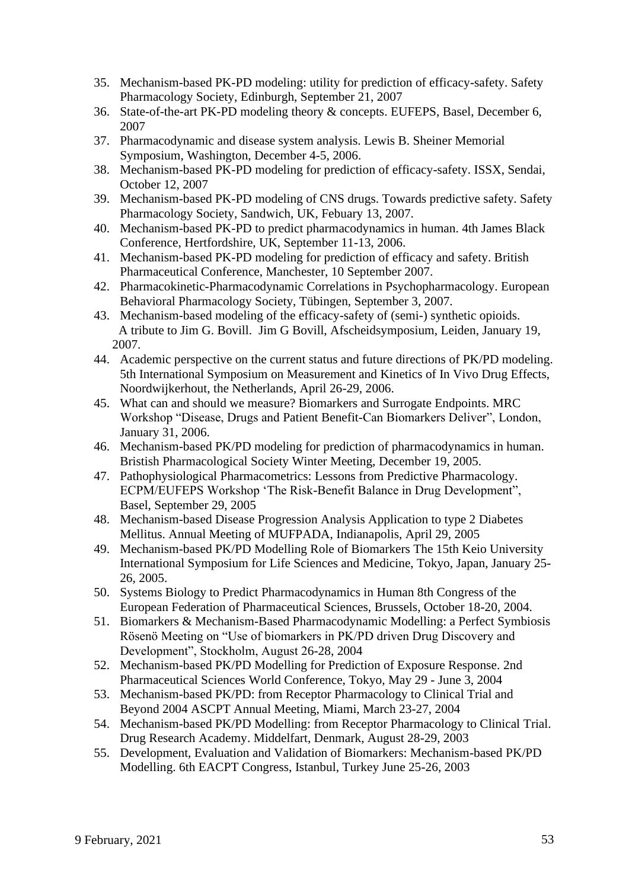- 35. Mechanism-based PK-PD modeling: utility for prediction of efficacy-safety. Safety Pharmacology Society, Edinburgh, September 21, 2007
- 36. State-of-the-art PK-PD modeling theory & concepts. EUFEPS, Basel, December 6, 2007
- 37. Pharmacodynamic and disease system analysis. Lewis B. Sheiner Memorial Symposium, Washington, December 4-5, 2006.
- 38. Mechanism-based PK-PD modeling for prediction of efficacy-safety. ISSX, Sendai, October 12, 2007
- 39. Mechanism-based PK-PD modeling of CNS drugs. Towards predictive safety. Safety Pharmacology Society, Sandwich, UK, Febuary 13, 2007.
- 40. Mechanism-based PK-PD to predict pharmacodynamics in human. 4th James Black Conference, Hertfordshire, UK, September 11-13, 2006.
- 41. Mechanism-based PK-PD modeling for prediction of efficacy and safety. British Pharmaceutical Conference, Manchester, 10 September 2007.
- 42. Pharmacokinetic-Pharmacodynamic Correlations in Psychopharmacology. European Behavioral Pharmacology Society, Tübingen, September 3, 2007.
- 43. Mechanism-based modeling of the efficacy-safety of (semi-) synthetic opioids. A tribute to Jim G. Bovill. Jim G Bovill, Afscheidsymposium, Leiden, January 19, 2007.
- 44. Academic perspective on the current status and future directions of PK/PD modeling. 5th International Symposium on Measurement and Kinetics of In Vivo Drug Effects, Noordwijkerhout, the Netherlands, April 26-29, 2006.
- 45. What can and should we measure? Biomarkers and Surrogate Endpoints. MRC Workshop "Disease, Drugs and Patient Benefit-Can Biomarkers Deliver", London, January 31, 2006.
- 46. Mechanism-based PK/PD modeling for prediction of pharmacodynamics in human. Bristish Pharmacological Society Winter Meeting, December 19, 2005.
- 47. Pathophysiological Pharmacometrics: Lessons from Predictive Pharmacology. ECPM/EUFEPS Workshop 'The Risk-Benefit Balance in Drug Development", Basel, September 29, 2005
- 48. Mechanism-based Disease Progression Analysis Application to type 2 Diabetes Mellitus. Annual Meeting of MUFPADA, Indianapolis, April 29, 2005
- 49. Mechanism-based PK/PD Modelling Role of Biomarkers The 15th Keio University International Symposium for Life Sciences and Medicine, Tokyo, Japan, January 25- 26, 2005.
- 50. Systems Biology to Predict Pharmacodynamics in Human 8th Congress of the European Federation of Pharmaceutical Sciences, Brussels, October 18-20, 2004.
- 51. Biomarkers & Mechanism-Based Pharmacodynamic Modelling: a Perfect Symbiosis Rösenö Meeting on "Use of biomarkers in PK/PD driven Drug Discovery and Development", Stockholm, August 26-28, 2004
- 52. Mechanism-based PK/PD Modelling for Prediction of Exposure Response. 2nd Pharmaceutical Sciences World Conference, Tokyo, May 29 - June 3, 2004
- 53. Mechanism-based PK/PD: from Receptor Pharmacology to Clinical Trial and Beyond 2004 ASCPT Annual Meeting, Miami, March 23-27, 2004
- 54. Mechanism-based PK/PD Modelling: from Receptor Pharmacology to Clinical Trial. Drug Research Academy. Middelfart, Denmark, August 28-29, 2003
- 55. Development, Evaluation and Validation of Biomarkers: Mechanism-based PK/PD Modelling. 6th EACPT Congress, Istanbul, Turkey June 25-26, 2003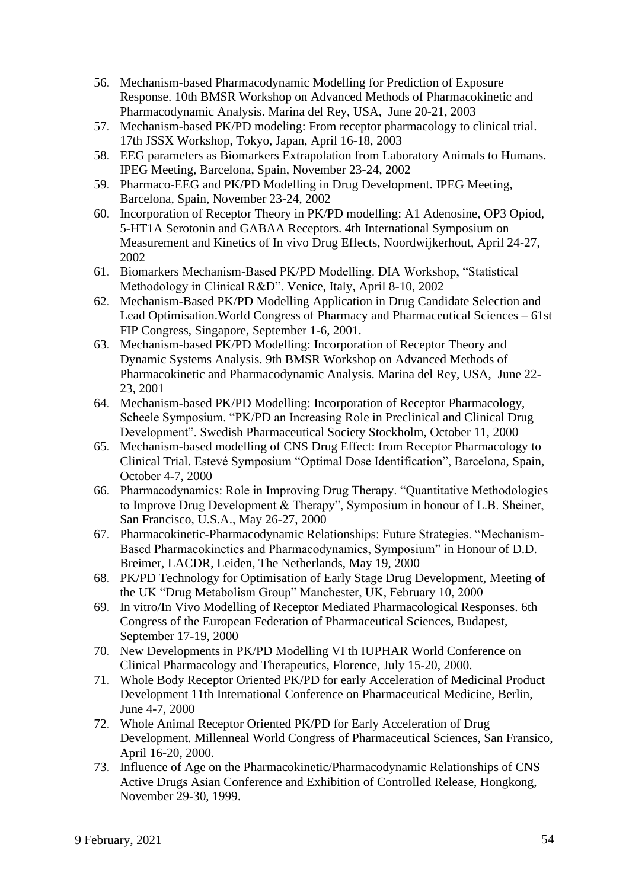- 56. Mechanism-based Pharmacodynamic Modelling for Prediction of Exposure Response. 10th BMSR Workshop on Advanced Methods of Pharmacokinetic and Pharmacodynamic Analysis. Marina del Rey, USA, June 20-21, 2003
- 57. Mechanism-based PK/PD modeling: From receptor pharmacology to clinical trial. 17th JSSX Workshop, Tokyo, Japan, April 16-18, 2003
- 58. EEG parameters as Biomarkers Extrapolation from Laboratory Animals to Humans. IPEG Meeting, Barcelona, Spain, November 23-24, 2002
- 59. Pharmaco-EEG and PK/PD Modelling in Drug Development. IPEG Meeting, Barcelona, Spain, November 23-24, 2002
- 60. Incorporation of Receptor Theory in PK/PD modelling: A1 Adenosine, OP3 Opiod, 5-HT1A Serotonin and GABAA Receptors. 4th International Symposium on Measurement and Kinetics of In vivo Drug Effects, Noordwijkerhout, April 24-27, 2002
- 61. Biomarkers Mechanism-Based PK/PD Modelling. DIA Workshop, "Statistical Methodology in Clinical R&D". Venice, Italy, April 8-10, 2002
- 62. Mechanism-Based PK/PD Modelling Application in Drug Candidate Selection and Lead Optimisation.World Congress of Pharmacy and Pharmaceutical Sciences – 61st FIP Congress, Singapore, September 1-6, 2001.
- 63. Mechanism-based PK/PD Modelling: Incorporation of Receptor Theory and Dynamic Systems Analysis. 9th BMSR Workshop on Advanced Methods of Pharmacokinetic and Pharmacodynamic Analysis. Marina del Rey, USA, June 22- 23, 2001
- 64. Mechanism-based PK/PD Modelling: Incorporation of Receptor Pharmacology, Scheele Symposium. "PK/PD an Increasing Role in Preclinical and Clinical Drug Development". Swedish Pharmaceutical Society Stockholm, October 11, 2000
- 65. Mechanism-based modelling of CNS Drug Effect: from Receptor Pharmacology to Clinical Trial. Estevé Symposium "Optimal Dose Identification", Barcelona, Spain, October 4-7, 2000
- 66. Pharmacodynamics: Role in Improving Drug Therapy. "Quantitative Methodologies to Improve Drug Development & Therapy", Symposium in honour of L.B. Sheiner, San Francisco, U.S.A., May 26-27, 2000
- 67. Pharmacokinetic-Pharmacodynamic Relationships: Future Strategies. "Mechanism-Based Pharmacokinetics and Pharmacodynamics, Symposium" in Honour of D.D. Breimer, LACDR, Leiden, The Netherlands, May 19, 2000
- 68. PK/PD Technology for Optimisation of Early Stage Drug Development, Meeting of the UK "Drug Metabolism Group" Manchester, UK, February 10, 2000
- 69. In vitro/In Vivo Modelling of Receptor Mediated Pharmacological Responses. 6th Congress of the European Federation of Pharmaceutical Sciences, Budapest, September 17-19, 2000
- 70. New Developments in PK/PD Modelling VI th IUPHAR World Conference on Clinical Pharmacology and Therapeutics, Florence, July 15-20, 2000.
- 71. Whole Body Receptor Oriented PK/PD for early Acceleration of Medicinal Product Development 11th International Conference on Pharmaceutical Medicine, Berlin, June 4-7, 2000
- 72. Whole Animal Receptor Oriented PK/PD for Early Acceleration of Drug Development. Millenneal World Congress of Pharmaceutical Sciences, San Fransico, April 16-20, 2000.
- 73. Influence of Age on the Pharmacokinetic/Pharmacodynamic Relationships of CNS Active Drugs Asian Conference and Exhibition of Controlled Release, Hongkong, November 29-30, 1999.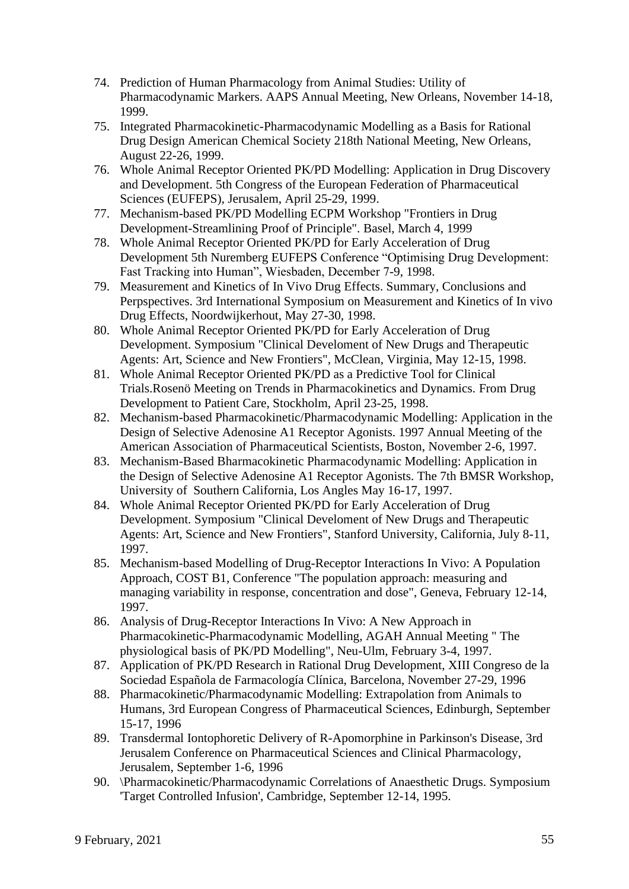- 74. Prediction of Human Pharmacology from Animal Studies: Utility of Pharmacodynamic Markers. AAPS Annual Meeting, New Orleans, November 14-18, 1999.
- 75. Integrated Pharmacokinetic-Pharmacodynamic Modelling as a Basis for Rational Drug Design American Chemical Society 218th National Meeting, New Orleans, August 22-26, 1999.
- 76. Whole Animal Receptor Oriented PK/PD Modelling: Application in Drug Discovery and Development. 5th Congress of the European Federation of Pharmaceutical Sciences (EUFEPS), Jerusalem, April 25-29, 1999.
- 77. Mechanism-based PK/PD Modelling ECPM Workshop "Frontiers in Drug Development-Streamlining Proof of Principle". Basel, March 4, 1999
- 78. Whole Animal Receptor Oriented PK/PD for Early Acceleration of Drug Development 5th Nuremberg EUFEPS Conference "Optimising Drug Development: Fast Tracking into Human", Wiesbaden, December 7-9, 1998.
- 79. Measurement and Kinetics of In Vivo Drug Effects. Summary, Conclusions and Perpspectives. 3rd International Symposium on Measurement and Kinetics of In vivo Drug Effects, Noordwijkerhout, May 27-30, 1998.
- 80. Whole Animal Receptor Oriented PK/PD for Early Acceleration of Drug Development. Symposium "Clinical Develoment of New Drugs and Therapeutic Agents: Art, Science and New Frontiers", McClean, Virginia, May 12-15, 1998.
- 81. Whole Animal Receptor Oriented PK/PD as a Predictive Tool for Clinical Trials.Rosenö Meeting on Trends in Pharmacokinetics and Dynamics. From Drug Development to Patient Care, Stockholm, April 23-25, 1998.
- 82. Mechanism-based Pharmacokinetic/Pharmacodynamic Modelling: Application in the Design of Selective Adenosine A1 Receptor Agonists. 1997 Annual Meeting of the American Association of Pharmaceutical Scientists, Boston, November 2-6, 1997.
- 83. Mechanism-Based Bharmacokinetic Pharmacodynamic Modelling: Application in the Design of Selective Adenosine A1 Receptor Agonists. The 7th BMSR Workshop, University of Southern California, Los Angles May 16-17, 1997.
- 84. Whole Animal Receptor Oriented PK/PD for Early Acceleration of Drug Development. Symposium "Clinical Develoment of New Drugs and Therapeutic Agents: Art, Science and New Frontiers", Stanford University, California, July 8-11, 1997.
- 85. Mechanism-based Modelling of Drug-Receptor Interactions In Vivo: A Population Approach, COST B1, Conference "The population approach: measuring and managing variability in response, concentration and dose", Geneva, February 12-14, 1997.
- 86. Analysis of Drug-Receptor Interactions In Vivo: A New Approach in Pharmacokinetic-Pharmacodynamic Modelling, AGAH Annual Meeting " The physiological basis of PK/PD Modelling", Neu-Ulm, February 3-4, 1997.
- 87. Application of PK/PD Research in Rational Drug Development, XIII Congreso de la Sociedad Española de Farmacología Clínica, Barcelona, November 27-29, 1996
- 88. Pharmacokinetic/Pharmacodynamic Modelling: Extrapolation from Animals to Humans, 3rd European Congress of Pharmaceutical Sciences, Edinburgh, September 15-17, 1996
- 89. Transdermal Iontophoretic Delivery of R-Apomorphine in Parkinson's Disease, 3rd Jerusalem Conference on Pharmaceutical Sciences and Clinical Pharmacology, Jerusalem, September 1-6, 1996
- 90. \Pharmacokinetic/Pharmacodynamic Correlations of Anaesthetic Drugs. Symposium 'Target Controlled Infusion', Cambridge, September 12-14, 1995.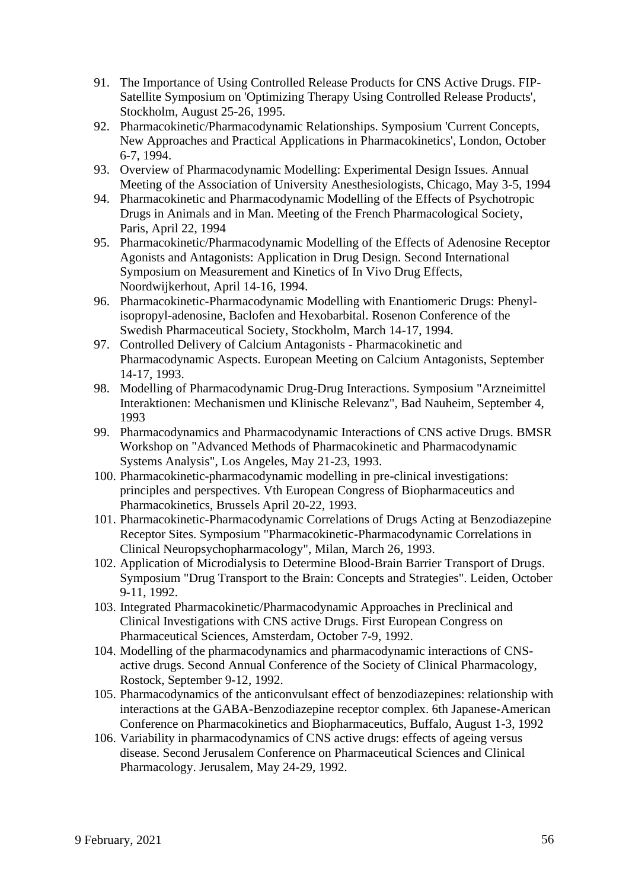- 91. The Importance of Using Controlled Release Products for CNS Active Drugs. FIP-Satellite Symposium on 'Optimizing Therapy Using Controlled Release Products', Stockholm, August 25-26, 1995.
- 92. Pharmacokinetic/Pharmacodynamic Relationships. Symposium 'Current Concepts, New Approaches and Practical Applications in Pharmacokinetics', London, October 6-7, 1994.
- 93. Overview of Pharmacodynamic Modelling: Experimental Design Issues. Annual Meeting of the Association of University Anesthesiologists, Chicago, May 3-5, 1994
- 94. Pharmacokinetic and Pharmacodynamic Modelling of the Effects of Psychotropic Drugs in Animals and in Man. Meeting of the French Pharmacological Society, Paris, April 22, 1994
- 95. Pharmacokinetic/Pharmacodynamic Modelling of the Effects of Adenosine Receptor Agonists and Antagonists: Application in Drug Design. Second International Symposium on Measurement and Kinetics of In Vivo Drug Effects, Noordwijkerhout, April 14-16, 1994.
- 96. Pharmacokinetic-Pharmacodynamic Modelling with Enantiomeric Drugs: Phenylisopropyl-adenosine, Baclofen and Hexobarbital. Rosenon Conference of the Swedish Pharmaceutical Society, Stockholm, March 14-17, 1994.
- 97. Controlled Delivery of Calcium Antagonists Pharmacokinetic and Pharmacodynamic Aspects. European Meeting on Calcium Antagonists, September 14-17, 1993.
- 98. Modelling of Pharmacodynamic Drug-Drug Interactions. Symposium "Arzneimittel Interaktionen: Mechanismen und Klinische Relevanz", Bad Nauheim, September 4, 1993
- 99. Pharmacodynamics and Pharmacodynamic Interactions of CNS active Drugs. BMSR Workshop on "Advanced Methods of Pharmacokinetic and Pharmacodynamic Systems Analysis", Los Angeles, May 21-23, 1993.
- 100. Pharmacokinetic-pharmacodynamic modelling in pre-clinical investigations: principles and perspectives. Vth European Congress of Biopharmaceutics and Pharmacokinetics, Brussels April 20-22, 1993.
- 101. Pharmacokinetic-Pharmacodynamic Correlations of Drugs Acting at Benzodiazepine Receptor Sites. Symposium "Pharmacokinetic-Pharmacodynamic Correlations in Clinical Neuropsychopharmacology", Milan, March 26, 1993.
- 102. Application of Microdialysis to Determine Blood-Brain Barrier Transport of Drugs. Symposium "Drug Transport to the Brain: Concepts and Strategies". Leiden, October 9-11, 1992.
- 103. Integrated Pharmacokinetic/Pharmacodynamic Approaches in Preclinical and Clinical Investigations with CNS active Drugs. First European Congress on Pharmaceutical Sciences, Amsterdam, October 7-9, 1992.
- 104. Modelling of the pharmacodynamics and pharmacodynamic interactions of CNSactive drugs. Second Annual Conference of the Society of Clinical Pharmacology, Rostock, September 9-12, 1992.
- 105. Pharmacodynamics of the anticonvulsant effect of benzodiazepines: relationship with interactions at the GABA-Benzodiazepine receptor complex. 6th Japanese-American Conference on Pharmacokinetics and Biopharmaceutics, Buffalo, August 1-3, 1992
- 106. Variability in pharmacodynamics of CNS active drugs: effects of ageing versus disease. Second Jerusalem Conference on Pharmaceutical Sciences and Clinical Pharmacology. Jerusalem, May 24-29, 1992.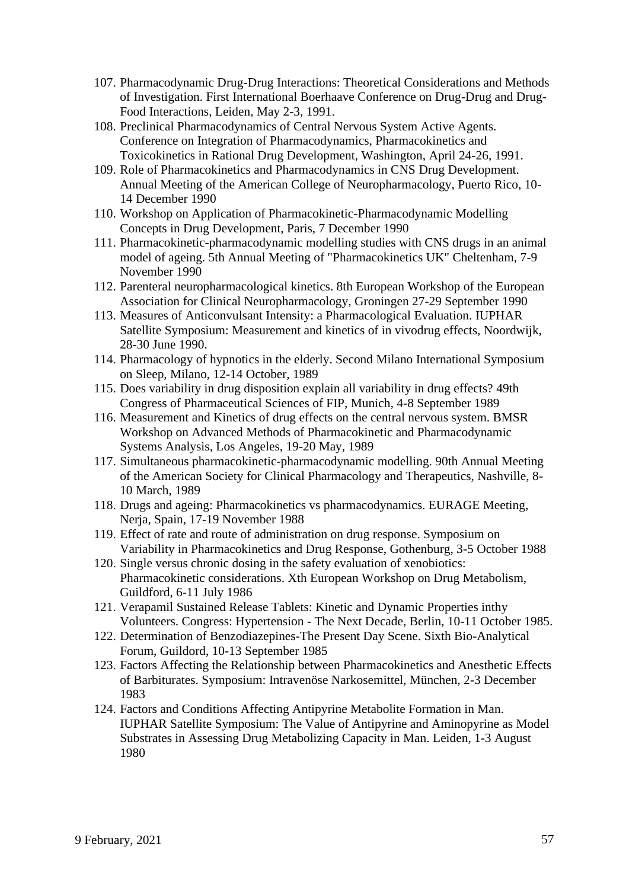- 107. Pharmacodynamic Drug-Drug Interactions: Theoretical Considerations and Methods of Investigation. First International Boerhaave Conference on Drug-Drug and Drug-Food Interactions, Leiden, May 2-3, 1991.
- 108. Preclinical Pharmacodynamics of Central Nervous System Active Agents. Conference on Integration of Pharmacodynamics, Pharmacokinetics and Toxicokinetics in Rational Drug Development, Washington, April 24-26, 1991.
- 109. Role of Pharmacokinetics and Pharmacodynamics in CNS Drug Development. Annual Meeting of the American College of Neuropharmacology, Puerto Rico, 10- 14 December 1990
- 110. Workshop on Application of Pharmacokinetic-Pharmacodynamic Modelling Concepts in Drug Development, Paris, 7 December 1990
- 111. Pharmacokinetic-pharmacodynamic modelling studies with CNS drugs in an animal model of ageing. 5th Annual Meeting of "Pharmacokinetics UK" Cheltenham, 7-9 November 1990
- 112. Parenteral neuropharmacological kinetics. 8th European Workshop of the European Association for Clinical Neuropharmacology, Groningen 27-29 September 1990
- 113. Measures of Anticonvulsant Intensity: a Pharmacological Evaluation. IUPHAR Satellite Symposium: Measurement and kinetics of in vivodrug effects, Noordwijk, 28-30 June 1990.
- 114. Pharmacology of hypnotics in the elderly. Second Milano International Symposium on Sleep, Milano, 12-14 October, 1989
- 115. Does variability in drug disposition explain all variability in drug effects? 49th Congress of Pharmaceutical Sciences of FIP, Munich, 4-8 September 1989
- 116. Measurement and Kinetics of drug effects on the central nervous system. BMSR Workshop on Advanced Methods of Pharmacokinetic and Pharmacodynamic Systems Analysis, Los Angeles, 19-20 May, 1989
- 117. Simultaneous pharmacokinetic-pharmacodynamic modelling. 90th Annual Meeting of the American Society for Clinical Pharmacology and Therapeutics, Nashville, 8- 10 March, 1989
- 118. Drugs and ageing: Pharmacokinetics vs pharmacodynamics. EURAGE Meeting, Nerja, Spain, 17-19 November 1988
- 119. Effect of rate and route of administration on drug response. Symposium on Variability in Pharmacokinetics and Drug Response, Gothenburg, 3-5 October 1988
- 120. Single versus chronic dosing in the safety evaluation of xenobiotics: Pharmacokinetic considerations. Xth European Workshop on Drug Metabolism, Guildford, 6-11 July 1986
- 121. Verapamil Sustained Release Tablets: Kinetic and Dynamic Properties inthy Volunteers. Congress: Hypertension - The Next Decade, Berlin, 10-11 October 1985.
- 122. Determination of Benzodiazepines-The Present Day Scene. Sixth Bio-Analytical Forum, Guildord, 10-13 September 1985
- 123. Factors Affecting the Relationship between Pharmacokinetics and Anesthetic Effects of Barbiturates. Symposium: Intravenöse Narkosemittel, München, 2-3 December 1983
- 124. Factors and Conditions Affecting Antipyrine Metabolite Formation in Man. IUPHAR Satellite Symposium: The Value of Antipyrine and Aminopyrine as Model Substrates in Assessing Drug Metabolizing Capacity in Man. Leiden, 1-3 August 1980